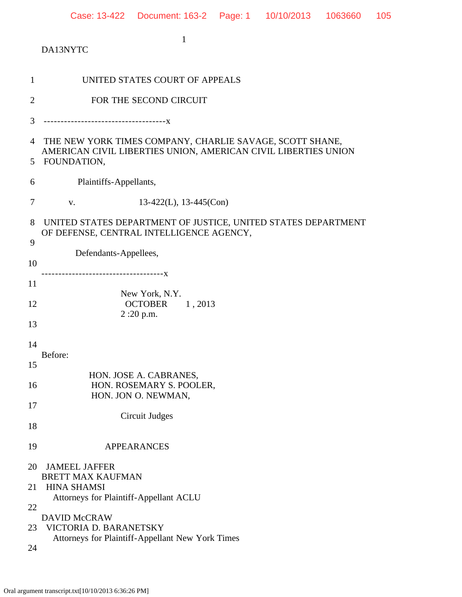1 DA13NYTC 1 UNITED STATES COURT OF APPEALS 2 FOR THE SECOND CIRCUIT 3 ------------------------------------x 4 THE NEW YORK TIMES COMPANY, CHARLIE SAVAGE, SCOTT SHANE, AMERICAN CIVIL LIBERTIES UNION, AMERICAN CIVIL LIBERTIES UNION 5 FOUNDATION, 6 Plaintiffs-Appellants, 7 v. 13-422(L), 13-445(Con) 8 UNITED STATES DEPARTMENT OF JUSTICE, UNITED STATES DEPARTMENT OF DEFENSE, CENTRAL INTELLIGENCE AGENCY, 9 Defendants-Appellees, 10 ------------------------------------x 11 New York, N.Y. 12 **OCTOBER** 1, 2013 2 :20 p.m. 13 14 Before: 15 HON. JOSE A. CABRANES, 16 **HON. ROSEMARY S. POOLER,**  HON. JON O. NEWMAN, 17 Circuit Judges 18 19 APPEARANCES 20 JAMEEL JAFFER BRETT MAX KAUFMAN 21 HINA SHAMSI Attorneys for Plaintiff-Appellant ACLU 22 DAVID McCRAW 23 VICTORIA D. BARANETSKY Attorneys for Plaintiff-Appellant New York Times

24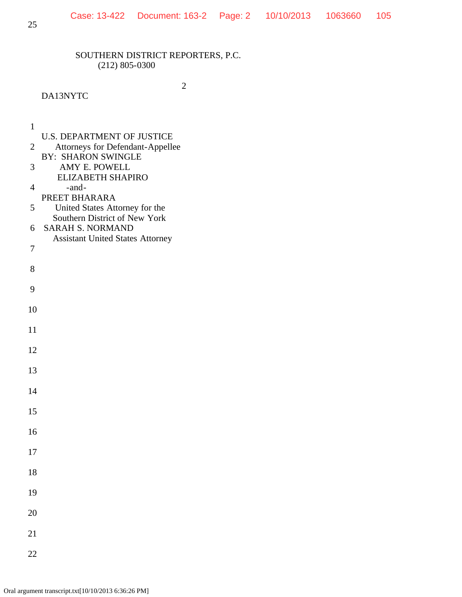2

## DA13NYTC

1

- U.S. DEPARTMENT OF JUSTICE
- 2 Attorneys for Defendant-Appellee
- BY: SHARON SWINGLE 3 AMY E. POWELL
	- ELIZABETH SHAPIRO
- 4 -and-
- PREET BHARARA
- 5 United States Attorney for the Southern District of New York
- 6 SARAH S. NORMAND Assistant United States Attorney 7
- 8

9

10

11

12

13

14

15

16

17

18

19

20

21

22

Oral argument transcript.txt[10/10/2013 6:36:26 PM]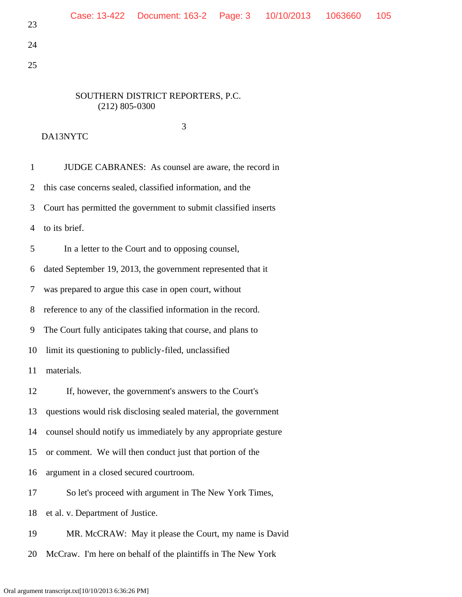25

# SOUTHERN DISTRICT REPORTERS, P.C. (212) 805-0300

 3 DA13NYTC

 1 JUDGE CABRANES: As counsel are aware, the record in 2 this case concerns sealed, classified information, and the 3 Court has permitted the government to submit classified inserts 4 to its brief. 5 In a letter to the Court and to opposing counsel, 6 dated September 19, 2013, the government represented that it 7 was prepared to argue this case in open court, without 8 reference to any of the classified information in the record. 9 The Court fully anticipates taking that course, and plans to 10 limit its questioning to publicly-filed, unclassified 11 materials. 12 If, however, the government's answers to the Court's 13 questions would risk disclosing sealed material, the government 14 counsel should notify us immediately by any appropriate gesture 15 or comment. We will then conduct just that portion of the 16 argument in a closed secured courtroom. 17 So let's proceed with argument in The New York Times, 18 et al. v. Department of Justice. 19 MR. McCRAW: May it please the Court, my name is David

20 McCraw. I'm here on behalf of the plaintiffs in The New York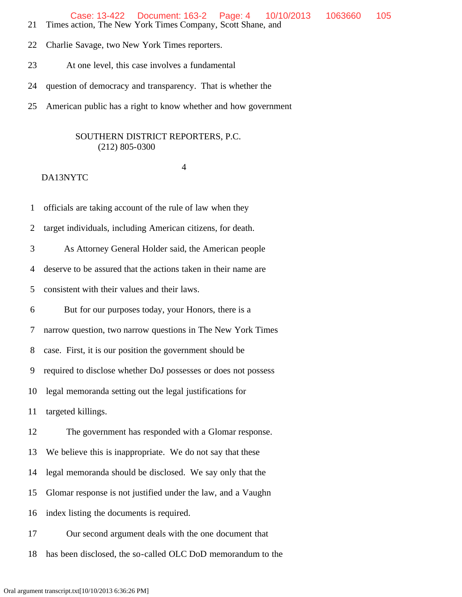Case: 13-422 Document: 163-2 Page: 4 10/10/2013 1063660 105

- 21 Times action, The New York Times Company, Scott Shane, and
- 22 Charlie Savage, two New York Times reporters.
- 23 At one level, this case involves a fundamental
- 24 question of democracy and transparency. That is whether the
- 25 American public has a right to know whether and how government

### SOUTHERN DISTRICT REPORTERS, P.C. (212) 805-0300

#### 4

#### DA13NYTC

1 officials are taking account of the rule of law when they

2 target individuals, including American citizens, for death.

3 As Attorney General Holder said, the American people

4 deserve to be assured that the actions taken in their name are

5 consistent with their values and their laws.

6 But for our purposes today, your Honors, there is a

7 narrow question, two narrow questions in The New York Times

8 case. First, it is our position the government should be

9 required to disclose whether DoJ possesses or does not possess

10 legal memoranda setting out the legal justifications for

11 targeted killings.

12 The government has responded with a Glomar response.

13 We believe this is inappropriate. We do not say that these

14 legal memoranda should be disclosed. We say only that the

15 Glomar response is not justified under the law, and a Vaughn

16 index listing the documents is required.

17 Our second argument deals with the one document that

18 has been disclosed, the so-called OLC DoD memorandum to the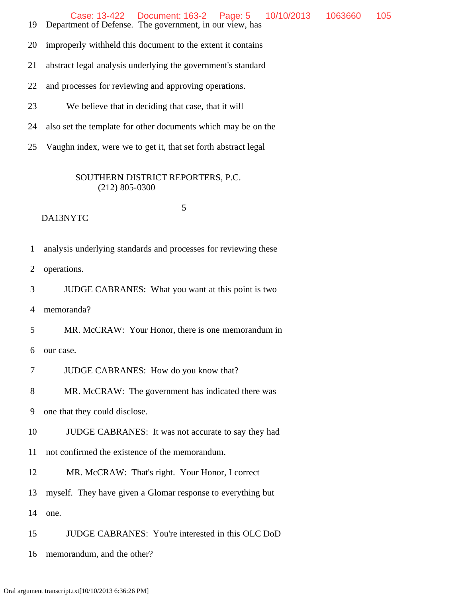19 Department of Defense. The government, in our view, has

20 improperly withheld this document to the extent it contains

21 abstract legal analysis underlying the government's standard

- 22 and processes for reviewing and approving operations.
- 23 We believe that in deciding that case, that it will
- 24 also set the template for other documents which may be on the
- 25 Vaughn index, were we to get it, that set forth abstract legal

## SOUTHERN DISTRICT REPORTERS, P.C. (212) 805-0300

## DA13NYTC

5

- 1 analysis underlying standards and processes for reviewing these
- 2 operations.
- 3 JUDGE CABRANES: What you want at this point is two

4 memoranda?

5 MR. McCRAW: Your Honor, there is one memorandum in

6 our case.

- 7 JUDGE CABRANES: How do you know that?
- 8 MR. McCRAW: The government has indicated there was

9 one that they could disclose.

10 JUDGE CABRANES: It was not accurate to say they had

11 not confirmed the existence of the memorandum.

12 MR. McCRAW: That's right. Your Honor, I correct

13 myself. They have given a Glomar response to everything but

14 one.

15 JUDGE CABRANES: You're interested in this OLC DoD

16 memorandum, and the other?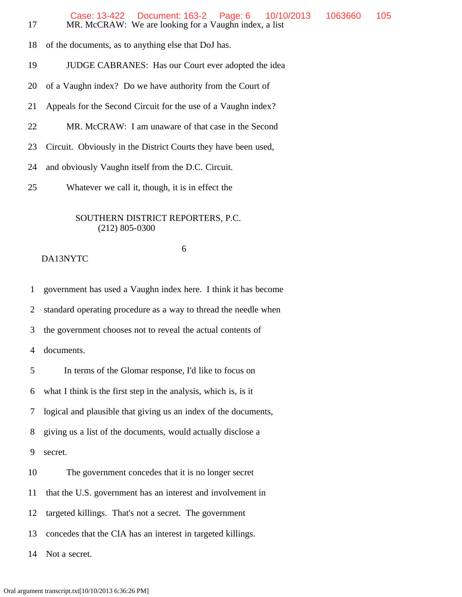| 17             | Case: 13-422  Document: 163-2  Page: 6<br>1063660<br>10/10/2013<br>MR. McCRAW: We are looking for a Vaughn index, a list | 105 |
|----------------|--------------------------------------------------------------------------------------------------------------------------|-----|
| 18             | of the documents, as to anything else that DoJ has.                                                                      |     |
| 19             | JUDGE CABRANES: Has our Court ever adopted the idea                                                                      |     |
| 20             | of a Vaughn index? Do we have authority from the Court of                                                                |     |
| 21             | Appeals for the Second Circuit for the use of a Vaughn index?                                                            |     |
| 22             | MR. McCRAW: I am unaware of that case in the Second                                                                      |     |
| 23             | Circuit. Obviously in the District Courts they have been used,                                                           |     |
| 24             | and obviously Vaughn itself from the D.C. Circuit.                                                                       |     |
| 25             | Whatever we call it, though, it is in effect the                                                                         |     |
|                | SOUTHERN DISTRICT REPORTERS, P.C.<br>$(212)$ 805-0300                                                                    |     |
|                | 6<br>DA13NYTC                                                                                                            |     |
| $\mathbf{1}$   | government has used a Vaughn index here. I think it has become                                                           |     |
| $\overline{2}$ | standard operating procedure as a way to thread the needle when                                                          |     |
| 3              | the government chooses not to reveal the actual contents of                                                              |     |
| $\overline{4}$ | documents.                                                                                                               |     |
| 5              | In terms of the Glomar response, I'd like to focus on                                                                    |     |
| 6              | what I think is the first step in the analysis, which is, is it                                                          |     |
| 7              | logical and plausible that giving us an index of the documents,                                                          |     |
| 8              | giving us a list of the documents, would actually disclose a                                                             |     |
| 9              | secret.                                                                                                                  |     |
| 10             | The government concedes that it is no longer secret                                                                      |     |
| 11             | that the U.S. government has an interest and involvement in                                                              |     |
| 12             | targeted killings. That's not a secret. The government                                                                   |     |
| 13             | concedes that the CIA has an interest in targeted killings.                                                              |     |

14 Not a secret.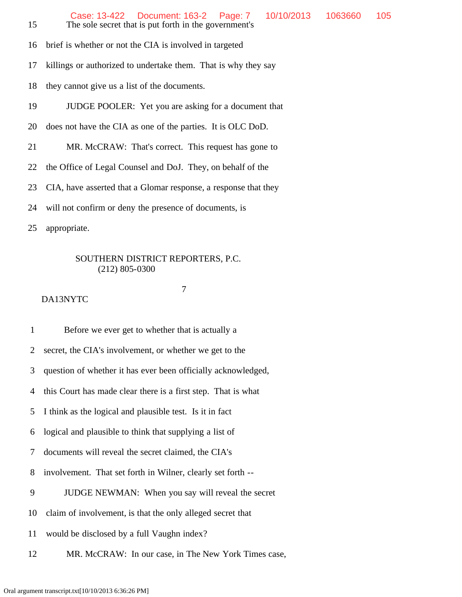- 16 brief is whether or not the CIA is involved in targeted
- 17 killings or authorized to undertake them. That is why they say
- 18 they cannot give us a list of the documents.
- 19 JUDGE POOLER: Yet you are asking for a document that
- 20 does not have the CIA as one of the parties. It is OLC DoD.
- 21 MR. McCRAW: That's correct. This request has gone to
- 22 the Office of Legal Counsel and DoJ. They, on behalf of the
- 23 CIA, have asserted that a Glomar response, a response that they
- 24 will not confirm or deny the presence of documents, is
- 25 appropriate.

### 7

#### DA13NYTC

1 Before we ever get to whether that is actually a

2 secret, the CIA's involvement, or whether we get to the

3 question of whether it has ever been officially acknowledged,

4 this Court has made clear there is a first step. That is what

5 I think as the logical and plausible test. Is it in fact

6 logical and plausible to think that supplying a list of

7 documents will reveal the secret claimed, the CIA's

- 8 involvement. That set forth in Wilner, clearly set forth --
- 9 JUDGE NEWMAN: When you say will reveal the secret

10 claim of involvement, is that the only alleged secret that

11 would be disclosed by a full Vaughn index?

12 MR. McCRAW: In our case, in The New York Times case,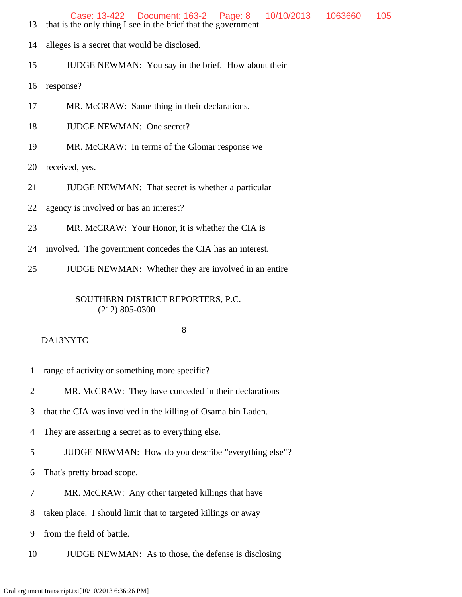- 13 that is the only thing I see in the brief that the government
- 14 alleges is a secret that would be disclosed.
- 15 JUDGE NEWMAN: You say in the brief. How about their

16 response?

- 17 MR. McCRAW: Same thing in their declarations.
- 18 JUDGE NEWMAN: One secret?
- 19 MR. McCRAW: In terms of the Glomar response we

20 received, yes.

- 21 **JUDGE NEWMAN:** That secret is whether a particular
- 22 agency is involved or has an interest?
- 23 MR. McCRAW: Your Honor, it is whether the CIA is
- 24 involved. The government concedes the CIA has an interest.
- 25 JUDGE NEWMAN: Whether they are involved in an entire

## SOUTHERN DISTRICT REPORTERS, P.C. (212) 805-0300

#### 8

- 1 range of activity or something more specific?
- 2 MR. McCRAW: They have conceded in their declarations
- 3 that the CIA was involved in the killing of Osama bin Laden.
- 4 They are asserting a secret as to everything else.
- 5 JUDGE NEWMAN: How do you describe "everything else"?
- 6 That's pretty broad scope.
- 7 MR. McCRAW: Any other targeted killings that have
- 8 taken place. I should limit that to targeted killings or away
- 9 from the field of battle.
- 10 JUDGE NEWMAN: As to those, the defense is disclosing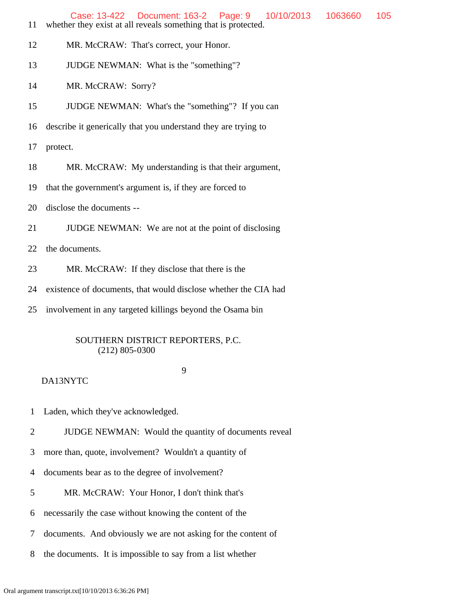| 11 | Case: 13-422  Document: 163-2  Page: 9<br>1063660<br>10/10/2013<br>105<br>whether they exist at all reveals something that is protected. |
|----|------------------------------------------------------------------------------------------------------------------------------------------|
| 12 | MR. McCRAW: That's correct, your Honor.                                                                                                  |
| 13 | JUDGE NEWMAN: What is the "something"?                                                                                                   |
| 14 | MR. McCRAW: Sorry?                                                                                                                       |
| 15 | JUDGE NEWMAN: What's the "something"? If you can                                                                                         |
| 16 | describe it generically that you understand they are trying to                                                                           |
| 17 | protect.                                                                                                                                 |
| 18 | MR. McCRAW: My understanding is that their argument,                                                                                     |
| 19 | that the government's argument is, if they are forced to                                                                                 |
| 20 | disclose the documents --                                                                                                                |
| 21 | JUDGE NEWMAN: We are not at the point of disclosing                                                                                      |
| 22 | the documents.                                                                                                                           |
| 23 | MR. McCRAW: If they disclose that there is the                                                                                           |
| 24 | existence of documents, that would disclose whether the CIA had                                                                          |
| 25 | involvement in any targeted killings beyond the Osama bin                                                                                |
|    |                                                                                                                                          |

## 9

- 1 Laden, which they've acknowledged.
- 2 JUDGE NEWMAN: Would the quantity of documents reveal
- 3 more than, quote, involvement? Wouldn't a quantity of
- 4 documents bear as to the degree of involvement?
- 5 MR. McCRAW: Your Honor, I don't think that's
- 6 necessarily the case without knowing the content of the
- 7 documents. And obviously we are not asking for the content of
- 8 the documents. It is impossible to say from a list whether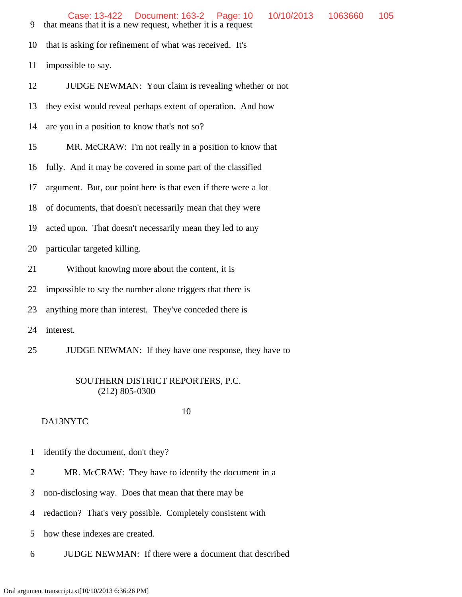- 9 that means that it is a new request, whether it is a request
- 10 that is asking for refinement of what was received. It's
- 11 impossible to say.

12 JUDGE NEWMAN: Your claim is revealing whether or not

13 they exist would reveal perhaps extent of operation. And how

14 are you in a position to know that's not so?

15 MR. McCRAW: I'm not really in a position to know that

16 fully. And it may be covered in some part of the classified

17 argument. But, our point here is that even if there were a lot

18 of documents, that doesn't necessarily mean that they were

19 acted upon. That doesn't necessarily mean they led to any

20 particular targeted killing.

21 Without knowing more about the content, it is

22 impossible to say the number alone triggers that there is

23 anything more than interest. They've conceded there is

24 interest.

25 JUDGE NEWMAN: If they have one response, they have to

## SOUTHERN DISTRICT REPORTERS, P.C. (212) 805-0300

- 1 identify the document, don't they?
- 2 MR. McCRAW: They have to identify the document in a
- 3 non-disclosing way. Does that mean that there may be
- 4 redaction? That's very possible. Completely consistent with
- 5 how these indexes are created.
- 6 JUDGE NEWMAN: If there were a document that described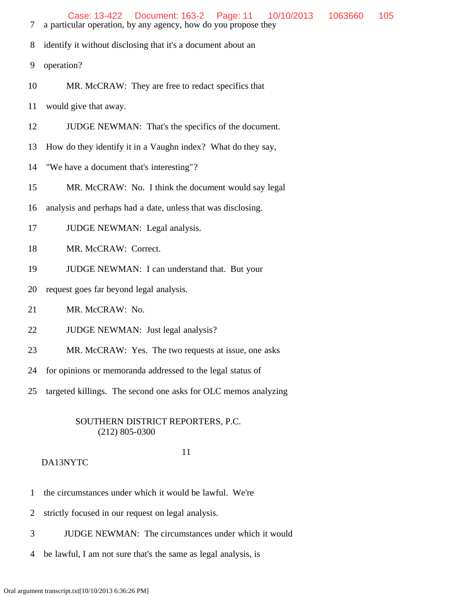- 7 a particular operation, by any agency, how do you propose they
- 8 identify it without disclosing that it's a document about an
- 9 operation?
- 10 MR. McCRAW: They are free to redact specifics that
- 11 would give that away.
- 12 JUDGE NEWMAN: That's the specifics of the document.
- 13 How do they identify it in a Vaughn index? What do they say,
- 14 "We have a document that's interesting"?
- 15 MR. McCRAW: No. I think the document would say legal
- 16 analysis and perhaps had a date, unless that was disclosing.
- 17 JUDGE NEWMAN: Legal analysis.
- 18 MR. McCRAW: Correct.
- 19 JUDGE NEWMAN: I can understand that. But your
- 20 request goes far beyond legal analysis.
- 21 MR. McCRAW: No.
- 22 JUDGE NEWMAN: Just legal analysis?
- 23 MR. McCRAW: Yes. The two requests at issue, one asks
- 24 for opinions or memoranda addressed to the legal status of
- 25 targeted killings. The second one asks for OLC memos analyzing

#### 11

- 1 the circumstances under which it would be lawful. We're
- 2 strictly focused in our request on legal analysis.
- 3 JUDGE NEWMAN: The circumstances under which it would
- 4 be lawful, I am not sure that's the same as legal analysis, is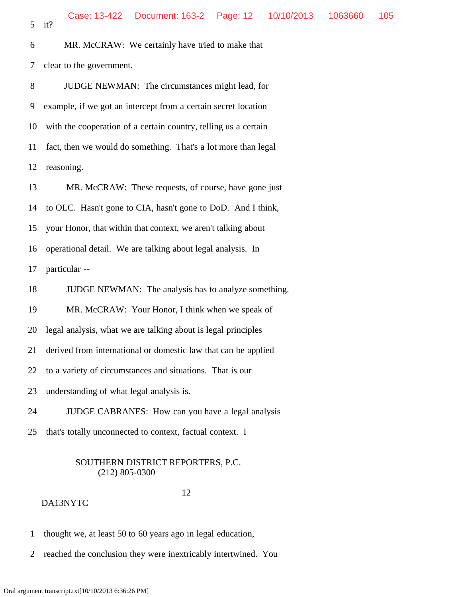6 MR. McCRAW: We certainly have tried to make that 7 clear to the government.

 8 JUDGE NEWMAN: The circumstances might lead, for 9 example, if we got an intercept from a certain secret location 10 with the cooperation of a certain country, telling us a certain 11 fact, then we would do something. That's a lot more than legal 12 reasoning.

 13 MR. McCRAW: These requests, of course, have gone just 14 to OLC. Hasn't gone to CIA, hasn't gone to DoD. And I think, 15 your Honor, that within that context, we aren't talking about 16 operational detail. We are talking about legal analysis. In

17 particular --

18 JUDGE NEWMAN: The analysis has to analyze something.

19 MR. McCRAW: Your Honor, I think when we speak of

20 legal analysis, what we are talking about is legal principles

21 derived from international or domestic law that can be applied

22 to a variety of circumstances and situations. That is our

23 understanding of what legal analysis is.

24 JUDGE CABRANES: How can you have a legal analysis

25 that's totally unconnected to context, factual context. I

## SOUTHERN DISTRICT REPORTERS, P.C. (212) 805-0300

## 12

- 1 thought we, at least 50 to 60 years ago in legal education,
- 2 reached the conclusion they were inextricably intertwined. You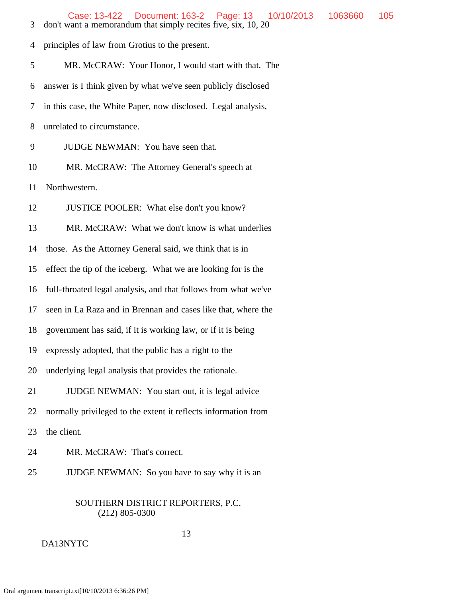| 3  | Document: 163-2   Page: 13<br>Case: 13-422<br>10/10/2013<br>don't want a memorandum that simply recites five, six, 10, 20 | 1063660 | 105 |
|----|---------------------------------------------------------------------------------------------------------------------------|---------|-----|
| 4  | principles of law from Grotius to the present.                                                                            |         |     |
| 5  | MR. McCRAW: Your Honor, I would start with that. The                                                                      |         |     |
| 6  | answer is I think given by what we've seen publicly disclosed                                                             |         |     |
| 7  | in this case, the White Paper, now disclosed. Legal analysis,                                                             |         |     |
| 8  | unrelated to circumstance.                                                                                                |         |     |
| 9  | JUDGE NEWMAN: You have seen that.                                                                                         |         |     |
| 10 | MR. McCRAW: The Attorney General's speech at                                                                              |         |     |
| 11 | Northwestern.                                                                                                             |         |     |
| 12 | JUSTICE POOLER: What else don't you know?                                                                                 |         |     |
| 13 | MR. McCRAW: What we don't know is what underlies                                                                          |         |     |
| 14 | those. As the Attorney General said, we think that is in                                                                  |         |     |
| 15 | effect the tip of the iceberg. What we are looking for is the                                                             |         |     |
| 16 | full-throated legal analysis, and that follows from what we've                                                            |         |     |
| 17 | seen in La Raza and in Brennan and cases like that, where the                                                             |         |     |
| 18 | government has said, if it is working law, or if it is being                                                              |         |     |
| 19 | expressly adopted, that the public has a right to the                                                                     |         |     |
| 20 | underlying legal analysis that provides the rationale.                                                                    |         |     |
| 21 | JUDGE NEWMAN: You start out, it is legal advice                                                                           |         |     |
| 22 | normally privileged to the extent it reflects information from                                                            |         |     |
| 23 | the client.                                                                                                               |         |     |
| 24 | MR. McCRAW: That's correct.                                                                                               |         |     |
|    |                                                                                                                           |         |     |
| 25 | JUDGE NEWMAN: So you have to say why it is an                                                                             |         |     |

DA13NYTC

13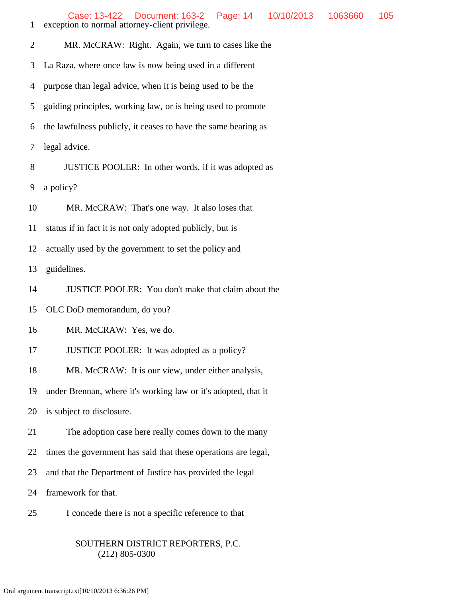| $\mathbf{1}$   | Case: 13-422<br>Document: 163-2<br>Page: 14<br>10/10/2013<br>1063660<br>105<br>exception to normal attorney-client privilege. |  |  |  |
|----------------|-------------------------------------------------------------------------------------------------------------------------------|--|--|--|
| $\overline{2}$ | MR. McCRAW: Right. Again, we turn to cases like the                                                                           |  |  |  |
| 3              | La Raza, where once law is now being used in a different                                                                      |  |  |  |
| 4              | purpose than legal advice, when it is being used to be the                                                                    |  |  |  |
| 5              | guiding principles, working law, or is being used to promote                                                                  |  |  |  |
| 6              | the lawfulness publicly, it ceases to have the same bearing as                                                                |  |  |  |
| 7              | legal advice.                                                                                                                 |  |  |  |
| 8              | JUSTICE POOLER: In other words, if it was adopted as                                                                          |  |  |  |
| 9              | a policy?                                                                                                                     |  |  |  |
| 10             | MR. McCRAW: That's one way. It also loses that                                                                                |  |  |  |
| 11             | status if in fact it is not only adopted publicly, but is                                                                     |  |  |  |
| 12             | actually used by the government to set the policy and                                                                         |  |  |  |
| 13             | guidelines.                                                                                                                   |  |  |  |
| 14             | JUSTICE POOLER: You don't make that claim about the                                                                           |  |  |  |
| 15             | OLC DoD memorandum, do you?                                                                                                   |  |  |  |
| 16             | MR. McCRAW: Yes, we do.                                                                                                       |  |  |  |
| 17             | JUSTICE POOLER: It was adopted as a policy?                                                                                   |  |  |  |
| 18             | MR. McCRAW: It is our view, under either analysis,                                                                            |  |  |  |
| 19             | under Brennan, where it's working law or it's adopted, that it                                                                |  |  |  |
| 20             | is subject to disclosure.                                                                                                     |  |  |  |
| 21             | The adoption case here really comes down to the many                                                                          |  |  |  |
| 22             | times the government has said that these operations are legal,                                                                |  |  |  |
| 23             | and that the Department of Justice has provided the legal                                                                     |  |  |  |
| 24             | framework for that.                                                                                                           |  |  |  |
| 25             | I concede there is not a specific reference to that                                                                           |  |  |  |
|                |                                                                                                                               |  |  |  |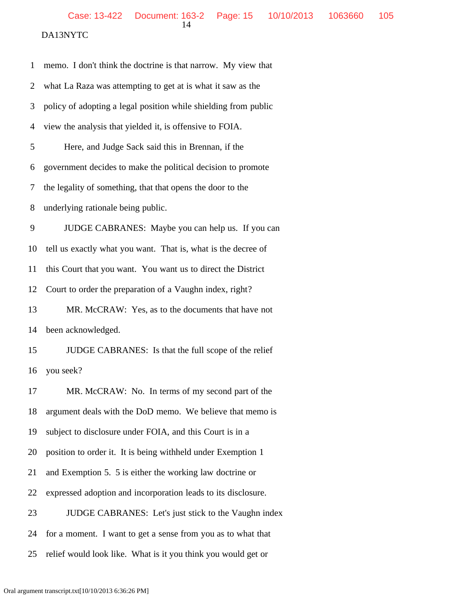| $\mathbf{1}$   | memo. I don't think the doctrine is that narrow. My view that   |
|----------------|-----------------------------------------------------------------|
| $\overline{2}$ | what La Raza was attempting to get at is what it saw as the     |
| 3              | policy of adopting a legal position while shielding from public |
| 4              | view the analysis that yielded it, is offensive to FOIA.        |
| 5              | Here, and Judge Sack said this in Brennan, if the               |
| 6              | government decides to make the political decision to promote    |
| 7              | the legality of something, that that opens the door to the      |
| 8              | underlying rationale being public.                              |
| 9              | JUDGE CABRANES: Maybe you can help us. If you can               |
| 10             | tell us exactly what you want. That is, what is the decree of   |
| 11             | this Court that you want. You want us to direct the District    |
| 12             | Court to order the preparation of a Vaughn index, right?        |
| 13             | MR. McCRAW: Yes, as to the documents that have not              |
| 14             | been acknowledged.                                              |
| 15             | JUDGE CABRANES: Is that the full scope of the relief            |
| 16             | you seek?                                                       |
| 17             | MR. McCRAW: No. In terms of my second part of the               |
| 18             | argument deals with the DoD memo. We believe that memo is       |
| 19             | subject to disclosure under FOIA, and this Court is in a        |
| 20             | position to order it. It is being withheld under Exemption 1    |
| 21             | and Exemption 5. 5 is either the working law doctrine or        |
| 22             | expressed adoption and incorporation leads to its disclosure.   |
| 23             | JUDGE CABRANES: Let's just stick to the Vaughn index            |
| 24             | for a moment. I want to get a sense from you as to what that    |
| 25             | relief would look like. What is it you think you would get or   |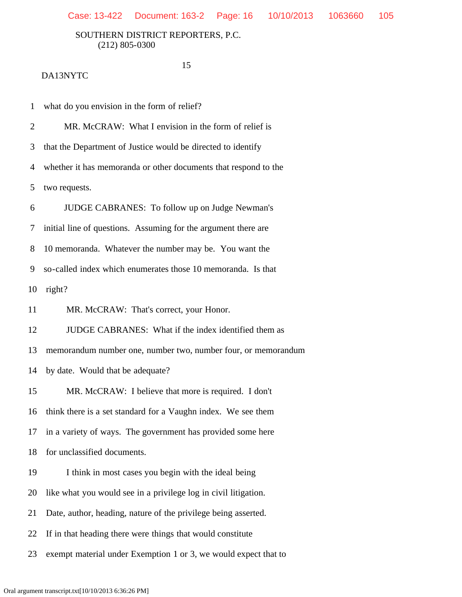15

#### DA13NYTC

1 what do you envision in the form of relief?

2 MR. McCRAW: What I envision in the form of relief is

3 that the Department of Justice would be directed to identify

4 whether it has memoranda or other documents that respond to the

5 two requests.

6 JUDGE CABRANES: To follow up on Judge Newman's

7 initial line of questions. Assuming for the argument there are

8 10 memoranda. Whatever the number may be. You want the

9 so-called index which enumerates those 10 memoranda. Is that

10 right?

11 MR. McCRAW: That's correct, your Honor.

12 JUDGE CABRANES: What if the index identified them as

13 memorandum number one, number two, number four, or memorandum

14 by date. Would that be adequate?

15 MR. McCRAW: I believe that more is required. I don't

16 think there is a set standard for a Vaughn index. We see them

17 in a variety of ways. The government has provided some here

18 for unclassified documents.

19 I think in most cases you begin with the ideal being

20 like what you would see in a privilege log in civil litigation.

21 Date, author, heading, nature of the privilege being asserted.

22 If in that heading there were things that would constitute

23 exempt material under Exemption 1 or 3, we would expect that to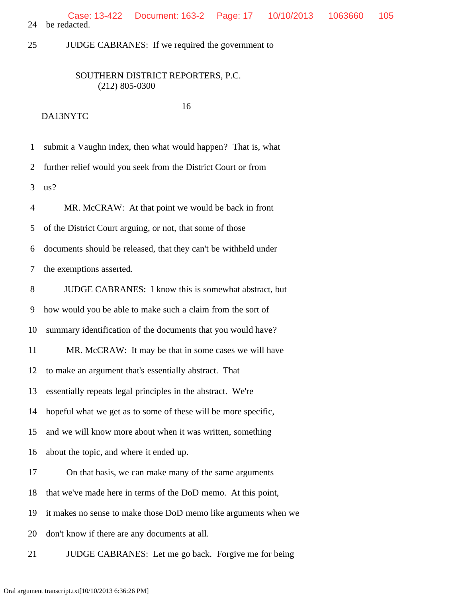24 be redacted. Case: 13-422 Document: 163-2 Page: 17 10/10/2013 1063660 105

25 JUDGE CABRANES: If we required the government to

### SOUTHERN DISTRICT REPORTERS, P.C. (212) 805-0300

#### 16 DA13NYTC

 1 submit a Vaughn index, then what would happen? That is, what 2 further relief would you seek from the District Court or from 3 us? 4 MR. McCRAW: At that point we would be back in front 5 of the District Court arguing, or not, that some of those 6 documents should be released, that they can't be withheld under 7 the exemptions asserted. 8 JUDGE CABRANES: I know this is somewhat abstract, but 9 how would you be able to make such a claim from the sort of 10 summary identification of the documents that you would have? 11 MR. McCRAW: It may be that in some cases we will have 12 to make an argument that's essentially abstract. That 13 essentially repeats legal principles in the abstract. We're 14 hopeful what we get as to some of these will be more specific, 15 and we will know more about when it was written, something 16 about the topic, and where it ended up. 17 On that basis, we can make many of the same arguments 18 that we've made here in terms of the DoD memo. At this point, 19 it makes no sense to make those DoD memo like arguments when we 20 don't know if there are any documents at all. 21 JUDGE CABRANES: Let me go back. Forgive me for being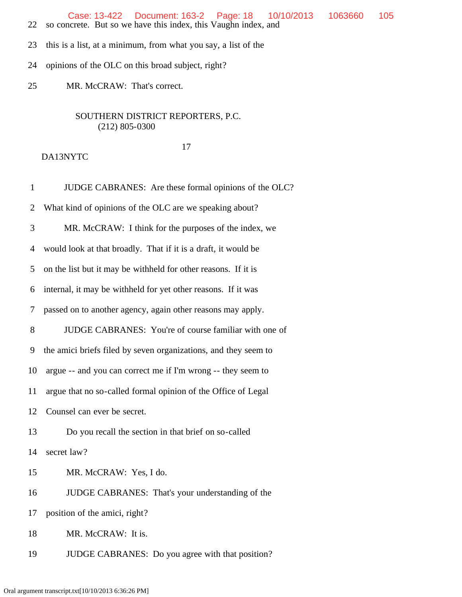Case: 13-422 Document: 163-2 Page: 18 10/10/2013 1063660 105

- 22 so concrete. But so we have this index, this Vaughn index, and
- 23 this is a list, at a minimum, from what you say, a list of the
- 24 opinions of the OLC on this broad subject, right?

25 MR. McCRAW: That's correct.

## SOUTHERN DISTRICT REPORTERS, P.C. (212) 805-0300

#### 17

## DA13NYTC

 1 JUDGE CABRANES: Are these formal opinions of the OLC? 2 What kind of opinions of the OLC are we speaking about? 3 MR. McCRAW: I think for the purposes of the index, we 4 would look at that broadly. That if it is a draft, it would be 5 on the list but it may be withheld for other reasons. If it is 6 internal, it may be withheld for yet other reasons. If it was 7 passed on to another agency, again other reasons may apply. 8 JUDGE CABRANES: You're of course familiar with one of 9 the amici briefs filed by seven organizations, and they seem to 10 argue -- and you can correct me if I'm wrong -- they seem to 11 argue that no so-called formal opinion of the Office of Legal 12 Counsel can ever be secret. 13 Do you recall the section in that brief on so-called 14 secret law? 15 MR. McCRAW: Yes, I do. 16 JUDGE CABRANES: That's your understanding of the 17 position of the amici, right? 18 MR. McCRAW: It is. 19 JUDGE CABRANES: Do you agree with that position?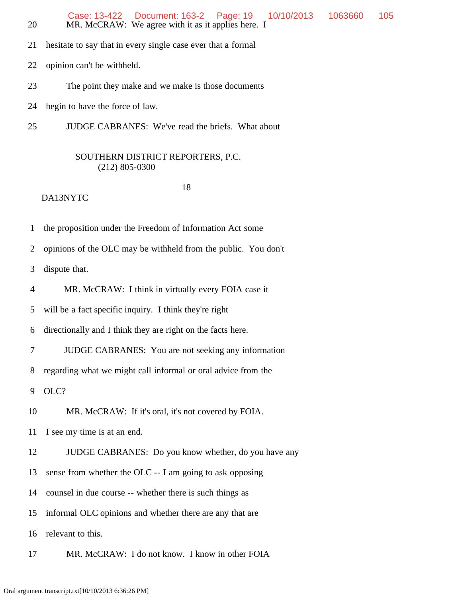|    | Case: 13-422  Document: 163-2  Page: 19  10/10/2013  1063660  105 |  |  |
|----|-------------------------------------------------------------------|--|--|
| 20 | MR. McCRAW: We agree with it as it applies here. I                |  |  |

21 hesitate to say that in every single case ever that a formal

22 opinion can't be withheld.

23 The point they make and we make is those documents

24 begin to have the force of law.

25 JUDGE CABRANES: We've read the briefs. What about

### SOUTHERN DISTRICT REPORTERS, P.C. (212) 805-0300

18

DA13NYTC

1 the proposition under the Freedom of Information Act some

2 opinions of the OLC may be withheld from the public. You don't

3 dispute that.

4 MR. McCRAW: I think in virtually every FOIA case it

5 will be a fact specific inquiry. I think they're right

6 directionally and I think they are right on the facts here.

7 JUDGE CABRANES: You are not seeking any information

8 regarding what we might call informal or oral advice from the

9 OLC?

10 MR. McCRAW: If it's oral, it's not covered by FOIA.

11 I see my time is at an end.

12 JUDGE CABRANES: Do you know whether, do you have any

13 sense from whether the OLC -- I am going to ask opposing

14 counsel in due course -- whether there is such things as

15 informal OLC opinions and whether there are any that are

16 relevant to this.

17 MR. McCRAW: I do not know. I know in other FOIA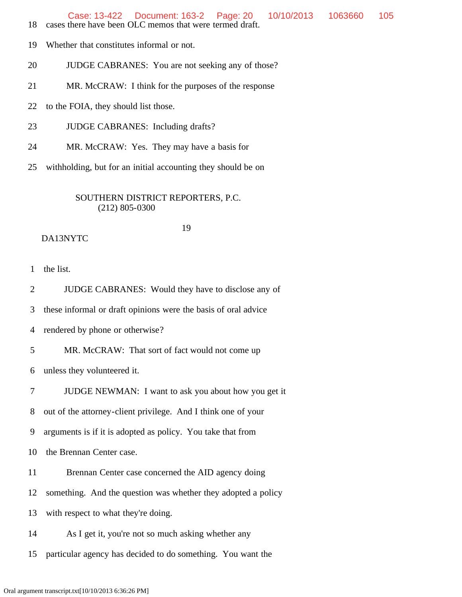Case: 13-422 Document: 163-2 Page: 20 10/10/2013 1063660 105

- 18 cases there have been OLC memos that were termed draft.
- 19 Whether that constitutes informal or not.
- 20 JUDGE CABRANES: You are not seeking any of those?
- 21 MR. McCRAW: I think for the purposes of the response
- 22 to the FOIA, they should list those.
- 23 JUDGE CABRANES: Including drafts?
- 24 MR. McCRAW: Yes. They may have a basis for
- 25 withholding, but for an initial accounting they should be on

## SOUTHERN DISTRICT REPORTERS, P.C. (212) 805-0300

#### 19 DA13NYTC

1 the list.

2 JUDGE CABRANES: Would they have to disclose any of

3 these informal or draft opinions were the basis of oral advice

4 rendered by phone or otherwise?

5 MR. McCRAW: That sort of fact would not come up

6 unless they volunteered it.

7 JUDGE NEWMAN: I want to ask you about how you get it

8 out of the attorney-client privilege. And I think one of your

9 arguments is if it is adopted as policy. You take that from

10 the Brennan Center case.

11 Brennan Center case concerned the AID agency doing

12 something. And the question was whether they adopted a policy

13 with respect to what they're doing.

14 As I get it, you're not so much asking whether any

15 particular agency has decided to do something. You want the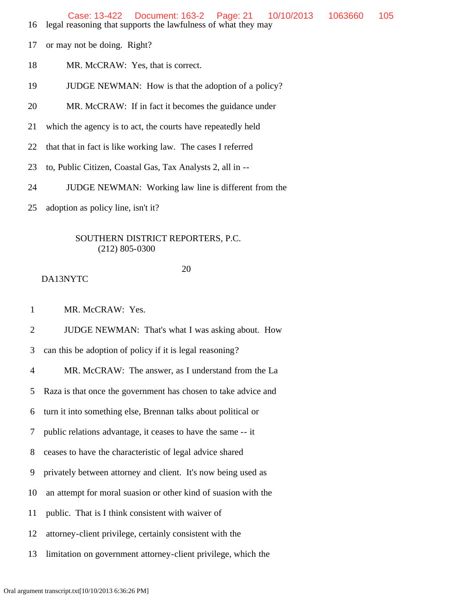- 16 legal reasoning that supports the lawfulness of what they may
- 17 or may not be doing. Right?
- 18 MR. McCRAW: Yes, that is correct.
- 19 JUDGE NEWMAN: How is that the adoption of a policy?
- 20 MR. McCRAW: If in fact it becomes the guidance under
- 21 which the agency is to act, the courts have repeatedly held
- 22 that that in fact is like working law. The cases I referred
- 23 to, Public Citizen, Coastal Gas, Tax Analysts 2, all in --
- 24 JUDGE NEWMAN: Working law line is different from the
- 25 adoption as policy line, isn't it?

20

#### DA13NYTC

1 MR. McCRAW: Yes.

2 JUDGE NEWMAN: That's what I was asking about. How

3 can this be adoption of policy if it is legal reasoning?

4 MR. McCRAW: The answer, as I understand from the La

5 Raza is that once the government has chosen to take advice and

6 turn it into something else, Brennan talks about political or

7 public relations advantage, it ceases to have the same -- it

8 ceases to have the characteristic of legal advice shared

9 privately between attorney and client. It's now being used as

- 10 an attempt for moral suasion or other kind of suasion with the
- 11 public. That is I think consistent with waiver of
- 12 attorney-client privilege, certainly consistent with the
- 13 limitation on government attorney-client privilege, which the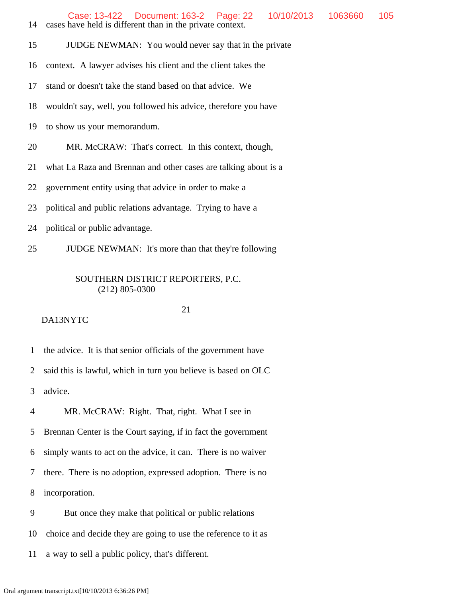14 cases have held is different than in the private context.

15 JUDGE NEWMAN: You would never say that in the private

16 context. A lawyer advises his client and the client takes the

17 stand or doesn't take the stand based on that advice. We

18 wouldn't say, well, you followed his advice, therefore you have

19 to show us your memorandum.

20 MR. McCRAW: That's correct. In this context, though,

21 what La Raza and Brennan and other cases are talking about is a

22 government entity using that advice in order to make a

23 political and public relations advantage. Trying to have a

24 political or public advantage.

25 JUDGE NEWMAN: It's more than that they're following

## SOUTHERN DISTRICT REPORTERS, P.C. (212) 805-0300

## DA13NYTC

21

1 the advice. It is that senior officials of the government have

2 said this is lawful, which in turn you believe is based on OLC

3 advice.

4 MR. McCRAW: Right. That, right. What I see in

5 Brennan Center is the Court saying, if in fact the government

6 simply wants to act on the advice, it can. There is no waiver

7 there. There is no adoption, expressed adoption. There is no

8 incorporation.

9 But once they make that political or public relations

10 choice and decide they are going to use the reference to it as

11 a way to sell a public policy, that's different.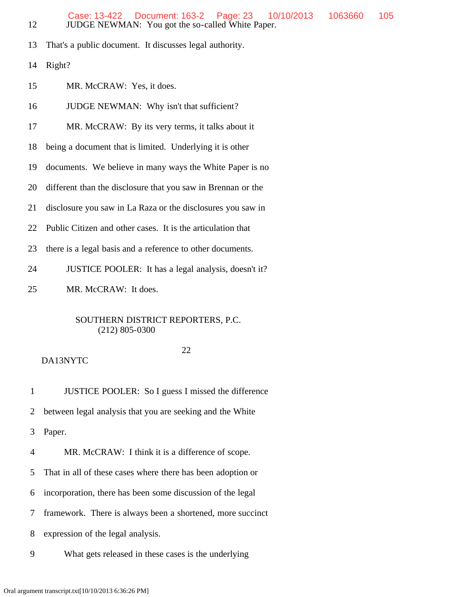- 13 That's a public document. It discusses legal authority.
- 14 Right?
- 15 MR. McCRAW: Yes, it does.
- 16 JUDGE NEWMAN: Why isn't that sufficient?
- 17 MR. McCRAW: By its very terms, it talks about it
- 18 being a document that is limited. Underlying it is other
- 19 documents. We believe in many ways the White Paper is no
- 20 different than the disclosure that you saw in Brennan or the
- 21 disclosure you saw in La Raza or the disclosures you saw in
- 22 Public Citizen and other cases. It is the articulation that
- 23 there is a legal basis and a reference to other documents.
- 24 JUSTICE POOLER: It has a legal analysis, doesn't it?
- 25 MR. McCRAW: It does.

#### 22

#### DA13NYTC

1 JUSTICE POOLER: So I guess I missed the difference

2 between legal analysis that you are seeking and the White

3 Paper.

4 MR. McCRAW: I think it is a difference of scope.

- 5 That in all of these cases where there has been adoption or
- 6 incorporation, there has been some discussion of the legal
- 7 framework. There is always been a shortened, more succinct
- 8 expression of the legal analysis.
- 9 What gets released in these cases is the underlying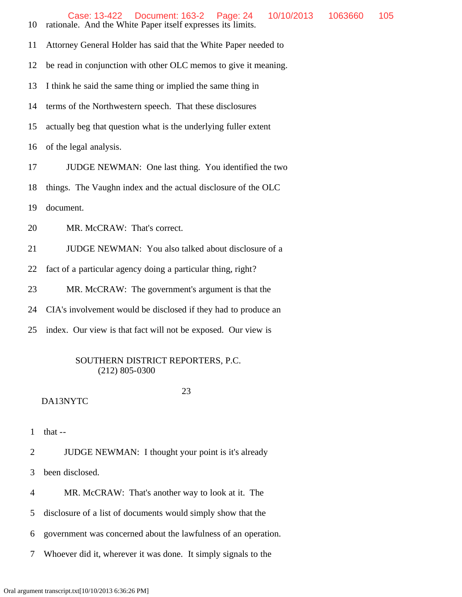10 rationale. And the White Paper itself expresses its limits.

11 Attorney General Holder has said that the White Paper needed to

12 be read in conjunction with other OLC memos to give it meaning.

13 I think he said the same thing or implied the same thing in

14 terms of the Northwestern speech. That these disclosures

15 actually beg that question what is the underlying fuller extent

16 of the legal analysis.

17 JUDGE NEWMAN: One last thing. You identified the two

18 things. The Vaughn index and the actual disclosure of the OLC

19 document.

20 MR. McCRAW: That's correct.

21 JUDGE NEWMAN: You also talked about disclosure of a

22 fact of a particular agency doing a particular thing, right?

23 MR. McCRAW: The government's argument is that the

24 CIA's involvement would be disclosed if they had to produce an

25 index. Our view is that fact will not be exposed. Our view is

# SOUTHERN DISTRICT REPORTERS, P.C. (212) 805-0300

23

# DA13NYTC

1 that --

2 JUDGE NEWMAN: I thought your point is it's already

3 been disclosed.

4 MR. McCRAW: That's another way to look at it. The

5 disclosure of a list of documents would simply show that the

6 government was concerned about the lawfulness of an operation.

7 Whoever did it, wherever it was done. It simply signals to the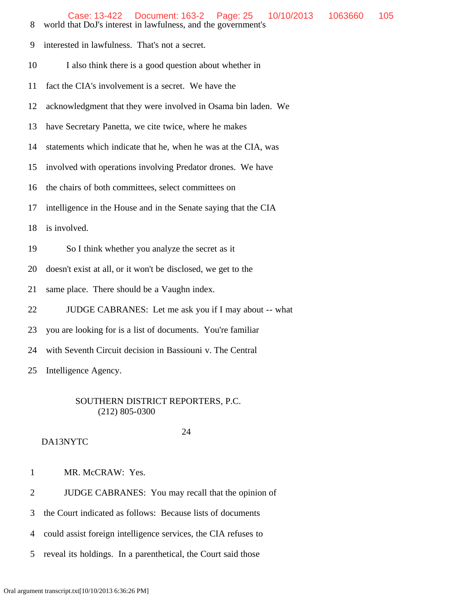- 8 world that DoJ's interest in lawfulness, and the government's
- 9 interested in lawfulness. That's not a secret.
- 10 I also think there is a good question about whether in
- 11 fact the CIA's involvement is a secret. We have the
- 12 acknowledgment that they were involved in Osama bin laden. We
- 13 have Secretary Panetta, we cite twice, where he makes
- 14 statements which indicate that he, when he was at the CIA, was
- 15 involved with operations involving Predator drones. We have
- 16 the chairs of both committees, select committees on
- 17 intelligence in the House and in the Senate saying that the CIA
- 18 is involved.
- 19 So I think whether you analyze the secret as it
- 20 doesn't exist at all, or it won't be disclosed, we get to the
- 21 same place. There should be a Vaughn index.
- 22 JUDGE CABRANES: Let me ask you if I may about -- what
- 23 you are looking for is a list of documents. You're familiar
- 24 with Seventh Circuit decision in Bassiouni v. The Central

25 Intelligence Agency.

#### SOUTHERN DISTRICT REPORTERS, P.C. (212) 805-0300

24

- DA13NYTC
- 1 MR. McCRAW: Yes.
- 2 JUDGE CABRANES: You may recall that the opinion of
- 3 the Court indicated as follows: Because lists of documents
- 4 could assist foreign intelligence services, the CIA refuses to
- 5 reveal its holdings. In a parenthetical, the Court said those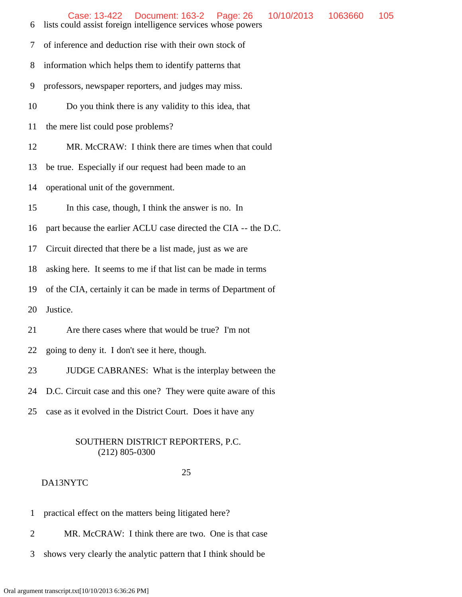- 6 lists could assist foreign intelligence services whose powers
- 7 of inference and deduction rise with their own stock of
- 8 information which helps them to identify patterns that
- 9 professors, newspaper reporters, and judges may miss.
- 10 Do you think there is any validity to this idea, that
- 11 the mere list could pose problems?
- 12 MR. McCRAW: I think there are times when that could
- 13 be true. Especially if our request had been made to an
- 14 operational unit of the government.
- 15 In this case, though, I think the answer is no. In
- 16 part because the earlier ACLU case directed the CIA -- the D.C.
- 17 Circuit directed that there be a list made, just as we are
- 18 asking here. It seems to me if that list can be made in terms
- 19 of the CIA, certainly it can be made in terms of Department of
- 20 Justice.
- 21 Are there cases where that would be true? I'm not
- 22 going to deny it. I don't see it here, though.
- 23 JUDGE CABRANES: What is the interplay between the
- 24 D.C. Circuit case and this one? They were quite aware of this
- 25 case as it evolved in the District Court. Does it have any

## 25

- 1 practical effect on the matters being litigated here?
- 2 MR. McCRAW: I think there are two. One is that case
- 3 shows very clearly the analytic pattern that I think should be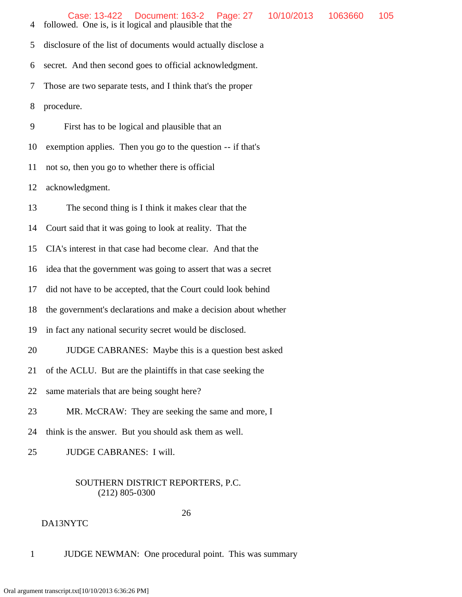4 followed. One is, is it logical and plausible that the

5 disclosure of the list of documents would actually disclose a

6 secret. And then second goes to official acknowledgment.

7 Those are two separate tests, and I think that's the proper

8 procedure.

9 First has to be logical and plausible that an

10 exemption applies. Then you go to the question -- if that's

11 not so, then you go to whether there is official

12 acknowledgment.

13 The second thing is I think it makes clear that the

14 Court said that it was going to look at reality. That the

15 CIA's interest in that case had become clear. And that the

16 idea that the government was going to assert that was a secret

17 did not have to be accepted, that the Court could look behind

18 the government's declarations and make a decision about whether

- 19 in fact any national security secret would be disclosed.
- 20 JUDGE CABRANES: Maybe this is a question best asked
- 21 of the ACLU. But are the plaintiffs in that case seeking the
- 22 same materials that are being sought here?
- 23 MR. McCRAW: They are seeking the same and more, I
- 24 think is the answer. But you should ask them as well.

25 JUDGE CABRANES: I will.

# SOUTHERN DISTRICT REPORTERS, P.C. (212) 805-0300

26

1 JUDGE NEWMAN: One procedural point. This was summary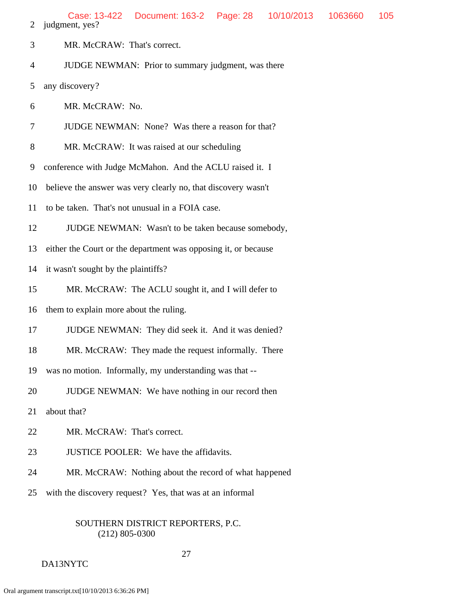| MR. McCRAW: That's correct. |  |
|-----------------------------|--|
|                             |  |

4 JUDGE NEWMAN: Prior to summary judgment, was there

5 any discovery?

6 MR. McCRAW: No.

- 7 JUDGE NEWMAN: None? Was there a reason for that?
- 8 MR. McCRAW: It was raised at our scheduling

9 conference with Judge McMahon. And the ACLU raised it. I

- 10 believe the answer was very clearly no, that discovery wasn't
- 11 to be taken. That's not unusual in a FOIA case.
- 12 JUDGE NEWMAN: Wasn't to be taken because somebody,

13 either the Court or the department was opposing it, or because

- 14 it wasn't sought by the plaintiffs?
- 15 MR. McCRAW: The ACLU sought it, and I will defer to
- 16 them to explain more about the ruling.
- 17 JUDGE NEWMAN: They did seek it. And it was denied?
- 18 MR. McCRAW: They made the request informally. There
- 19 was no motion. Informally, my understanding was that --
- 20 JUDGE NEWMAN: We have nothing in our record then
- 21 about that?
- 22 MR. McCRAW: That's correct.
- 23 JUSTICE POOLER: We have the affidavits.
- 24 MR. McCRAW: Nothing about the record of what happened
- 25 with the discovery request? Yes, that was at an informal

## SOUTHERN DISTRICT REPORTERS, P.C. (212) 805-0300

## 27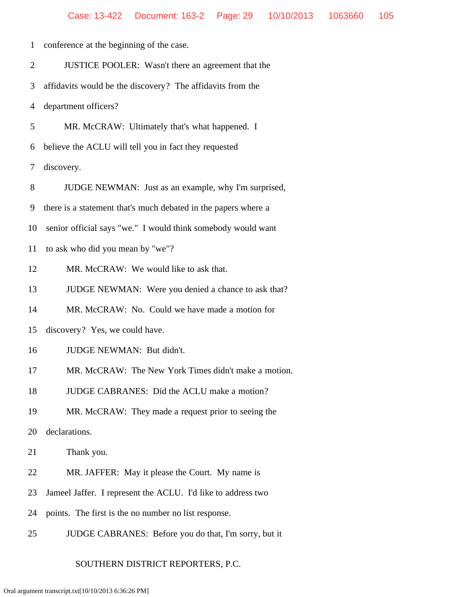| $\mathbf{1}$   | conference at the beginning of the case.                       |
|----------------|----------------------------------------------------------------|
| $\overline{2}$ | JUSTICE POOLER: Wasn't there an agreement that the             |
| 3              | affidavits would be the discovery? The affidavits from the     |
| 4              | department officers?                                           |
| 5              | MR. McCRAW: Ultimately that's what happened. I                 |
| 6              | believe the ACLU will tell you in fact they requested          |
| 7              | discovery.                                                     |
| 8              | JUDGE NEWMAN: Just as an example, why I'm surprised,           |
| 9              | there is a statement that's much debated in the papers where a |
| 10             | senior official says "we." I would think somebody would want   |
| 11             | to ask who did you mean by "we"?                               |
| 12             | MR. McCRAW: We would like to ask that.                         |
| 13             | JUDGE NEWMAN: Were you denied a chance to ask that?            |
| 14             | MR. McCRAW: No. Could we have made a motion for                |
| 15             | discovery? Yes, we could have.                                 |
| 16             | JUDGE NEWMAN: But didn't.                                      |
| 17             | MR. McCRAW: The New York Times didn't make a motion.           |
| 18             | JUDGE CABRANES: Did the ACLU make a motion?                    |
| 19             | MR. McCRAW: They made a request prior to seeing the            |
| 20             | declarations.                                                  |
| 21             | Thank you.                                                     |
| 22             | MR. JAFFER: May it please the Court. My name is                |
| 23             | Jameel Jaffer. I represent the ACLU. I'd like to address two   |
| 24             | points. The first is the no number no list response.           |
| 25             | JUDGE CABRANES: Before you do that, I'm sorry, but it          |

# SOUTHERN DISTRICT REPORTERS, P.C.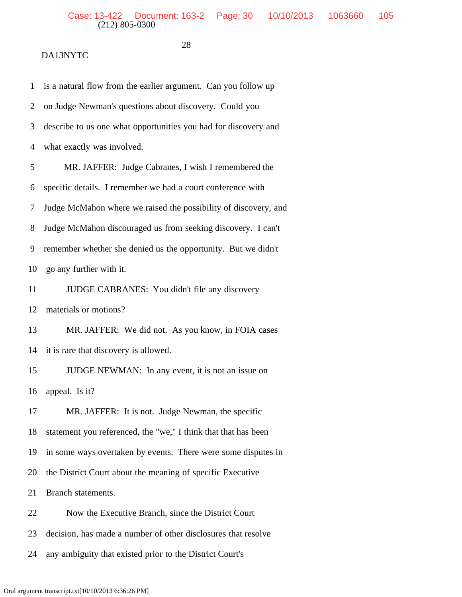# DA13NYTC

28

| $\mathbf{1}$   | is a natural flow from the earlier argument. Can you follow up  |
|----------------|-----------------------------------------------------------------|
| $\overline{2}$ | on Judge Newman's questions about discovery. Could you          |
| 3              | describe to us one what opportunities you had for discovery and |
| $\overline{4}$ | what exactly was involved.                                      |
| 5              | MR. JAFFER: Judge Cabranes, I wish I remembered the             |
| 6              | specific details. I remember we had a court conference with     |
| 7              | Judge McMahon where we raised the possibility of discovery, and |
| 8              | Judge McMahon discouraged us from seeking discovery. I can't    |
| 9              | remember whether she denied us the opportunity. But we didn't   |
| 10             | go any further with it.                                         |
| 11             | JUDGE CABRANES: You didn't file any discovery                   |
| 12             | materials or motions?                                           |
| 13             | MR. JAFFER: We did not. As you know, in FOIA cases              |
| 14             | it is rare that discovery is allowed.                           |
| 15             | JUDGE NEWMAN: In any event, it is not an issue on               |
| 16             | appeal. Is it?                                                  |
| 17             | MR. JAFFER: It is not. Judge Newman, the specific               |
| 18             | statement you referenced, the "we," I think that that has been  |
| 19             | in some ways overtaken by events. There were some disputes in   |
| 20             | the District Court about the meaning of specific Executive      |
| 21             | Branch statements.                                              |
| 22             | Now the Executive Branch, since the District Court              |
| 23             | decision, has made a number of other disclosures that resolve   |
| 24             | any ambiguity that existed prior to the District Court's        |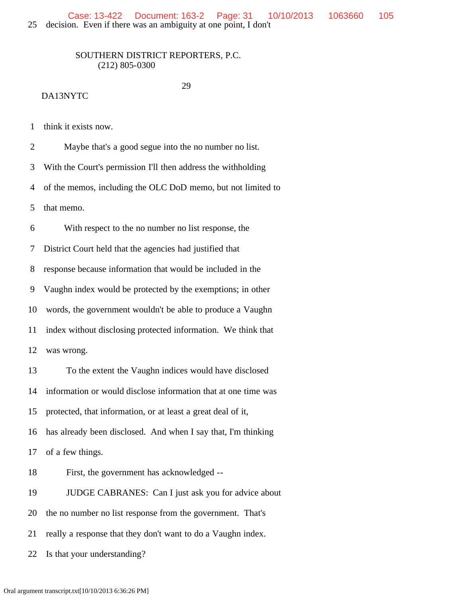29

## DA13NYTC

1 think it exists now.

 2 Maybe that's a good segue into the no number no list. 3 With the Court's permission I'll then address the withholding 4 of the memos, including the OLC DoD memo, but not limited to 5 that memo. 6 With respect to the no number no list response, the 7 District Court held that the agencies had justified that 8 response because information that would be included in the 9 Vaughn index would be protected by the exemptions; in other 10 words, the government wouldn't be able to produce a Vaughn 11 index without disclosing protected information. We think that 12 was wrong. 13 To the extent the Vaughn indices would have disclosed 14 information or would disclose information that at one time was 15 protected, that information, or at least a great deal of it, 16 has already been disclosed. And when I say that, I'm thinking 17 of a few things. 18 First, the government has acknowledged -- 19 JUDGE CABRANES: Can I just ask you for advice about 20 the no number no list response from the government. That's 21 really a response that they don't want to do a Vaughn index.

22 Is that your understanding?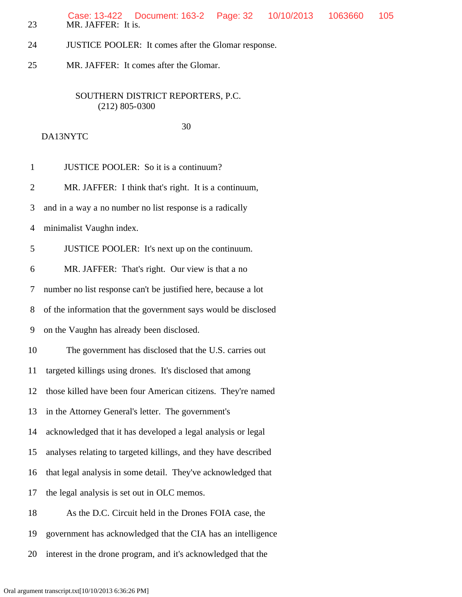23 MR. JAFFER: It is. Case: 13-422 Document: 163-2 Page: 32 10/10/2013 1063660 105

- 24 JUSTICE POOLER: It comes after the Glomar response.
- 25 MR. JAFFER: It comes after the Glomar.

DA13NYTC

## SOUTHERN DISTRICT REPORTERS, P.C. (212) 805-0300

30

 1 JUSTICE POOLER: So it is a continuum? 2 MR. JAFFER: I think that's right. It is a continuum, 3 and in a way a no number no list response is a radically 4 minimalist Vaughn index. 5 JUSTICE POOLER: It's next up on the continuum. 6 MR. JAFFER: That's right. Our view is that a no 7 number no list response can't be justified here, because a lot 8 of the information that the government says would be disclosed 9 on the Vaughn has already been disclosed. 10 The government has disclosed that the U.S. carries out 11 targeted killings using drones. It's disclosed that among 12 those killed have been four American citizens. They're named 13 in the Attorney General's letter. The government's 14 acknowledged that it has developed a legal analysis or legal 15 analyses relating to targeted killings, and they have described 16 that legal analysis in some detail. They've acknowledged that 17 the legal analysis is set out in OLC memos. 18 As the D.C. Circuit held in the Drones FOIA case, the 19 government has acknowledged that the CIA has an intelligence

20 interest in the drone program, and it's acknowledged that the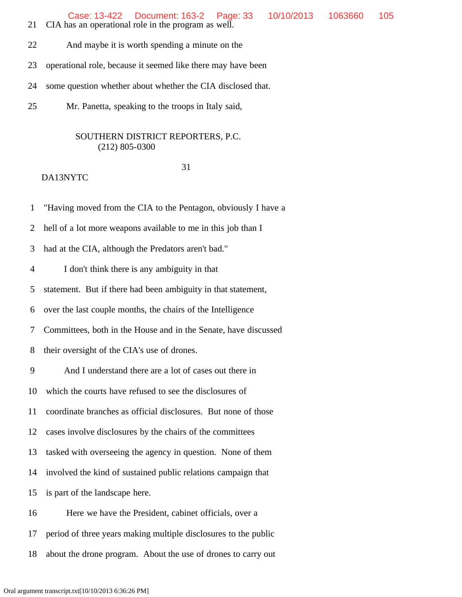- 21 CIA has an operational role in the program as well.
- 22 And maybe it is worth spending a minute on the

23 operational role, because it seemed like there may have been

- 24 some question whether about whether the CIA disclosed that.
- 25 Mr. Panetta, speaking to the troops in Italy said,

### SOUTHERN DISTRICT REPORTERS, P.C. (212) 805-0300

## 31

## DA13NYTC

1 "Having moved from the CIA to the Pentagon, obviously I have a

2 hell of a lot more weapons available to me in this job than I

3 had at the CIA, although the Predators aren't bad."

4 I don't think there is any ambiguity in that

5 statement. But if there had been ambiguity in that statement,

6 over the last couple months, the chairs of the Intelligence

7 Committees, both in the House and in the Senate, have discussed

8 their oversight of the CIA's use of drones.

9 And I understand there are a lot of cases out there in

10 which the courts have refused to see the disclosures of

11 coordinate branches as official disclosures. But none of those

12 cases involve disclosures by the chairs of the committees

13 tasked with overseeing the agency in question. None of them

14 involved the kind of sustained public relations campaign that

15 is part of the landscape here.

16 Here we have the President, cabinet officials, over a

17 period of three years making multiple disclosures to the public

18 about the drone program. About the use of drones to carry out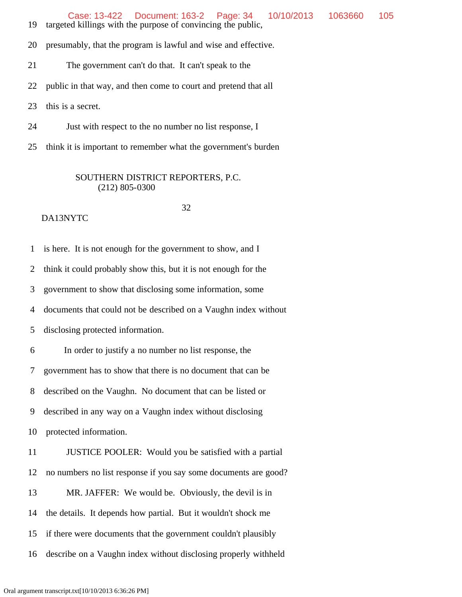Case: 13-422 Document: 163-2 Page: 34 10/10/2013 1063660 105

19 targeted killings with the purpose of convincing the public,

20 presumably, that the program is lawful and wise and effective.

21 The government can't do that. It can't speak to the

22 public in that way, and then come to court and pretend that all

23 this is a secret.

24 Just with respect to the no number no list response, I

25 think it is important to remember what the government's burden

## SOUTHERN DISTRICT REPORTERS, P.C. (212) 805-0300

#### 32 DA13NYTC

 1 is here. It is not enough for the government to show, and I 2 think it could probably show this, but it is not enough for the 3 government to show that disclosing some information, some 4 documents that could not be described on a Vaughn index without 5 disclosing protected information. 6 In order to justify a no number no list response, the 7 government has to show that there is no document that can be 8 described on the Vaughn. No document that can be listed or 9 described in any way on a Vaughn index without disclosing 10 protected information. 11 JUSTICE POOLER: Would you be satisfied with a partial 12 no numbers no list response if you say some documents are good? 13 MR. JAFFER: We would be. Obviously, the devil is in 14 the details. It depends how partial. But it wouldn't shock me 15 if there were documents that the government couldn't plausibly 16 describe on a Vaughn index without disclosing properly withheld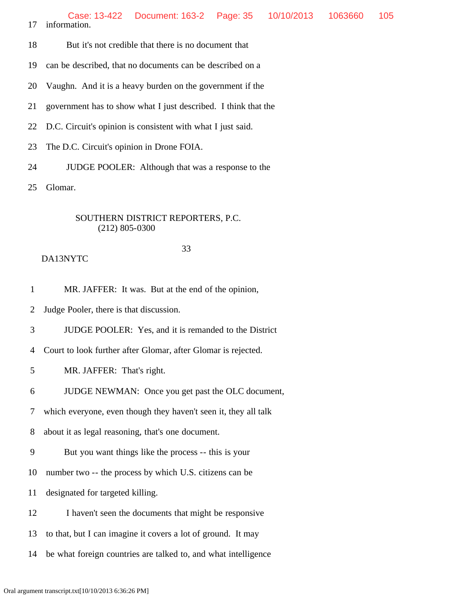18 But it's not credible that there is no document that

19 can be described, that no documents can be described on a

20 Vaughn. And it is a heavy burden on the government if the

21 government has to show what I just described. I think that the

22 D.C. Circuit's opinion is consistent with what I just said.

23 The D.C. Circuit's opinion in Drone FOIA.

24 JUDGE POOLER: Although that was a response to the

25 Glomar.

## SOUTHERN DISTRICT REPORTERS, P.C. (212) 805-0300

## 33

## DA13NYTC

1 MR. JAFFER: It was. But at the end of the opinion,

2 Judge Pooler, there is that discussion.

3 JUDGE POOLER: Yes, and it is remanded to the District

4 Court to look further after Glomar, after Glomar is rejected.

5 MR. JAFFER: That's right.

6 JUDGE NEWMAN: Once you get past the OLC document,

7 which everyone, even though they haven't seen it, they all talk

8 about it as legal reasoning, that's one document.

9 But you want things like the process -- this is your

10 number two -- the process by which U.S. citizens can be

11 designated for targeted killing.

12 I haven't seen the documents that might be responsive

13 to that, but I can imagine it covers a lot of ground. It may

14 be what foreign countries are talked to, and what intelligence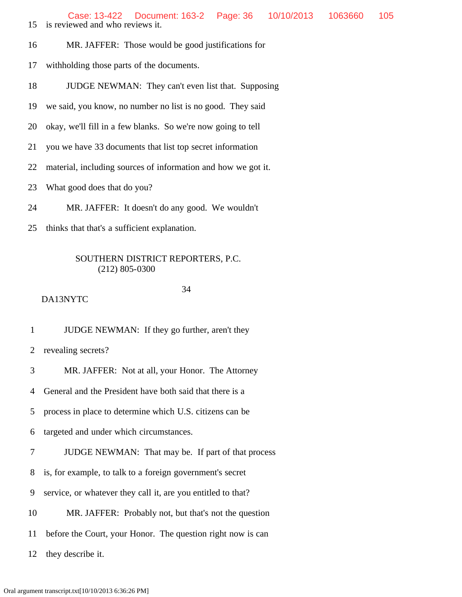- 15 is reviewed and who reviews it.
- 16 MR. JAFFER: Those would be good justifications for
- 17 withholding those parts of the documents.
- 18 JUDGE NEWMAN: They can't even list that. Supposing
- 19 we said, you know, no number no list is no good. They said
- 20 okay, we'll fill in a few blanks. So we're now going to tell
- 21 you we have 33 documents that list top secret information
- 22 material, including sources of information and how we got it.
- 23 What good does that do you?
- 24 MR. JAFFER: It doesn't do any good. We wouldn't
- 25 thinks that that's a sufficient explanation.

## 34

DA13NYTC

1 JUDGE NEWMAN: If they go further, aren't they

2 revealing secrets?

3 MR. JAFFER: Not at all, your Honor. The Attorney

4 General and the President have both said that there is a

5 process in place to determine which U.S. citizens can be

6 targeted and under which circumstances.

7 JUDGE NEWMAN: That may be. If part of that process

8 is, for example, to talk to a foreign government's secret

9 service, or whatever they call it, are you entitled to that?

10 MR. JAFFER: Probably not, but that's not the question

11 before the Court, your Honor. The question right now is can

12 they describe it.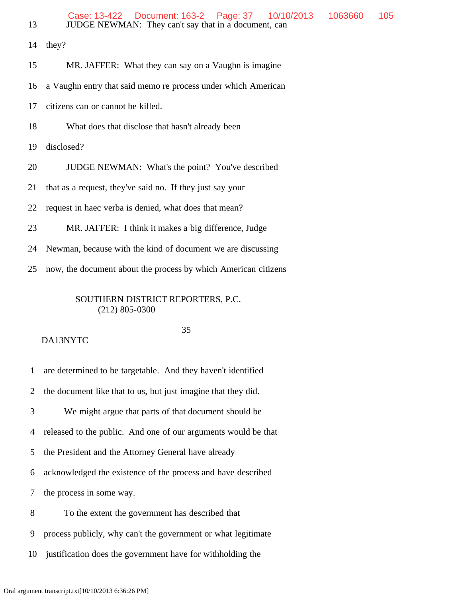| 13 | Case: 13-422  Document: 163-2  Page: 37<br>10/10/2013<br>JUDGE NEWMAN: They can't say that in a document, can | 1063660 | 105 |
|----|---------------------------------------------------------------------------------------------------------------|---------|-----|
| 14 | they?                                                                                                         |         |     |
| 15 | MR. JAFFER: What they can say on a Vaughn is imagine                                                          |         |     |
| 16 | a Vaughn entry that said memo re process under which American                                                 |         |     |
| 17 | citizens can or cannot be killed.                                                                             |         |     |
| 18 | What does that disclose that hasn't already been                                                              |         |     |
| 19 | disclosed?                                                                                                    |         |     |
| 20 | JUDGE NEWMAN: What's the point? You've described                                                              |         |     |
| 21 | that as a request, they've said no. If they just say your                                                     |         |     |
| 22 | request in haec verba is denied, what does that mean?                                                         |         |     |
| 23 | MR. JAFFER: I think it makes a big difference, Judge                                                          |         |     |
| 24 | Newman, because with the kind of document we are discussing                                                   |         |     |
| 25 | now, the document about the process by which American citizens                                                |         |     |
|    | SOUTHERN DISTRICT REPORTERS, P.C.<br>$(212)$ 805-0300                                                         |         |     |

#### 35

DA13NYTC

1 are determined to be targetable. And they haven't identified

2 the document like that to us, but just imagine that they did.

3 We might argue that parts of that document should be

4 released to the public. And one of our arguments would be that

5 the President and the Attorney General have already

6 acknowledged the existence of the process and have described

7 the process in some way.

8 To the extent the government has described that

9 process publicly, why can't the government or what legitimate

10 justification does the government have for withholding the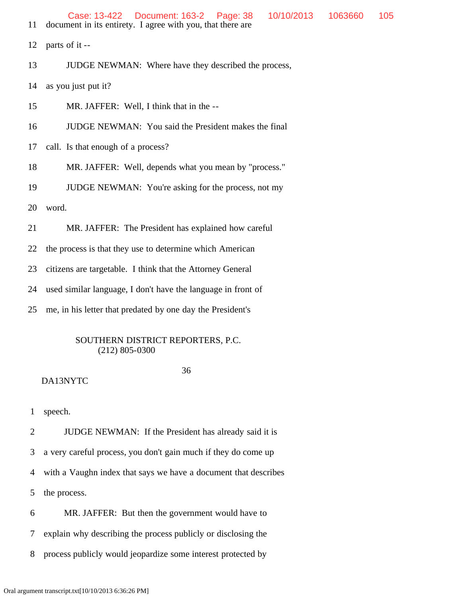- 11 document in its entirety. I agree with you, that there are
- 12 parts of it --
- 13 JUDGE NEWMAN: Where have they described the process,
- 14 as you just put it?
- 15 MR. JAFFER: Well, I think that in the --
- 16 JUDGE NEWMAN: You said the President makes the final
- 17 call. Is that enough of a process?
- 18 MR. JAFFER: Well, depends what you mean by "process."
- 19 JUDGE NEWMAN: You're asking for the process, not my
- 20 word.
- 21 MR. JAFFER: The President has explained how careful
- 22 the process is that they use to determine which American
- 23 citizens are targetable. I think that the Attorney General
- 24 used similar language, I don't have the language in front of
- 25 me, in his letter that predated by one day the President's

## 36

### DA13NYTC

1 speech.

2 JUDGE NEWMAN: If the President has already said it is

3 a very careful process, you don't gain much if they do come up

- 4 with a Vaughn index that says we have a document that describes
- 5 the process.
- 6 MR. JAFFER: But then the government would have to
- 7 explain why describing the process publicly or disclosing the
- 8 process publicly would jeopardize some interest protected by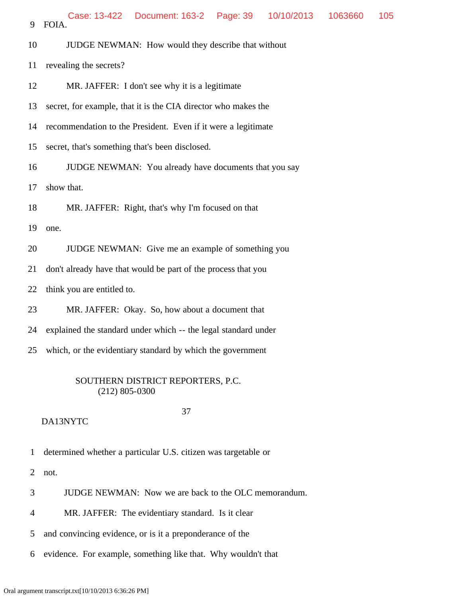9 FOIA. Case: 13-422 Document: 163-2 Page: 39 10/10/2013 1063660 105

- 10 JUDGE NEWMAN: How would they describe that without
- 11 revealing the secrets?
- 12 MR. JAFFER: I don't see why it is a legitimate
- 13 secret, for example, that it is the CIA director who makes the
- 14 recommendation to the President. Even if it were a legitimate
- 15 secret, that's something that's been disclosed.
- 16 JUDGE NEWMAN: You already have documents that you say

17 show that.

18 MR. JAFFER: Right, that's why I'm focused on that

19 one.

- 20 JUDGE NEWMAN: Give me an example of something you
- 21 don't already have that would be part of the process that you
- 22 think you are entitled to.
- 23 MR. JAFFER: Okay. So, how about a document that
- 24 explained the standard under which -- the legal standard under
- 25 which, or the evidentiary standard by which the government

### SOUTHERN DISTRICT REPORTERS, P.C. (212) 805-0300

#### DA13NYTC

37

- 1 determined whether a particular U.S. citizen was targetable or
- 2 not.
- 3 JUDGE NEWMAN: Now we are back to the OLC memorandum.
- 4 MR. JAFFER: The evidentiary standard. Is it clear
- 5 and convincing evidence, or is it a preponderance of the
- 6 evidence. For example, something like that. Why wouldn't that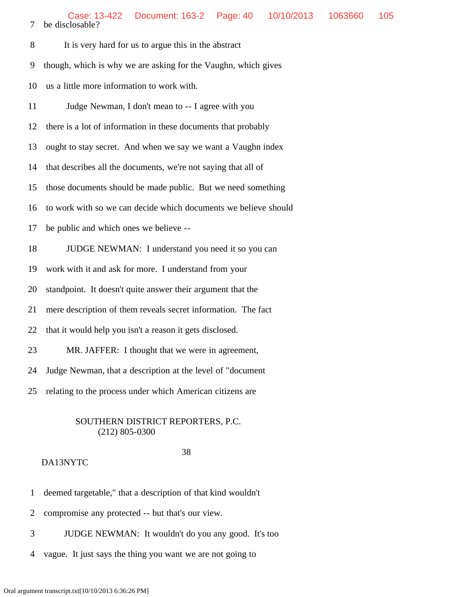| It is very hard for us to argue this in the abstract |
|------------------------------------------------------|

9 though, which is why we are asking for the Vaughn, which gives

10 us a little more information to work with.

11 Judge Newman, I don't mean to -- I agree with you

12 there is a lot of information in these documents that probably

13 ought to stay secret. And when we say we want a Vaughn index

14 that describes all the documents, we're not saying that all of

15 those documents should be made public. But we need something

16 to work with so we can decide which documents we believe should

- 17 be public and which ones we believe --
- 18 JUDGE NEWMAN: I understand you need it so you can

19 work with it and ask for more. I understand from your

20 standpoint. It doesn't quite answer their argument that the

21 mere description of them reveals secret information. The fact

22 that it would help you isn't a reason it gets disclosed.

23 MR. JAFFER: I thought that we were in agreement,

24 Judge Newman, that a description at the level of "document

25 relating to the process under which American citizens are

### SOUTHERN DISTRICT REPORTERS, P.C. (212) 805-0300

## 38

- 1 deemed targetable," that a description of that kind wouldn't
- 2 compromise any protected -- but that's our view.
- 3 JUDGE NEWMAN: It wouldn't do you any good. It's too
- 4 vague. It just says the thing you want we are not going to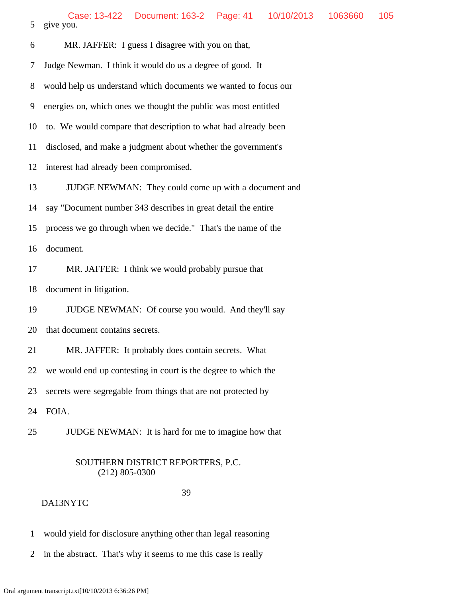| 6  | MR. JAFFER: I guess I disagree with you on that,                |
|----|-----------------------------------------------------------------|
| 7  | Judge Newman. I think it would do us a degree of good. It       |
| 8  | would help us understand which documents we wanted to focus our |
| 9  | energies on, which ones we thought the public was most entitled |
| 10 | to. We would compare that description to what had already been  |
| 11 | disclosed, and make a judgment about whether the government's   |
| 12 | interest had already been compromised.                          |
| 13 | JUDGE NEWMAN: They could come up with a document and            |
| 14 | say "Document number 343 describes in great detail the entire   |
| 15 | process we go through when we decide." That's the name of the   |
| 16 | document.                                                       |
| 17 | MR. JAFFER: I think we would probably pursue that               |
| 18 | document in litigation.                                         |
| 19 | JUDGE NEWMAN: Of course you would. And they'll say              |
| 20 | that document contains secrets.                                 |
| 21 | MR. JAFFER: It probably does contain secrets. What              |
| 22 | we would end up contesting in court is the degree to which the  |
| 23 | secrets were segregable from things that are not protected by   |
| 24 | FOIA.                                                           |
|    |                                                                 |

25 JUDGE NEWMAN: It is hard for me to imagine how that

# SOUTHERN DISTRICT REPORTERS, P.C. (212) 805-0300

## 39

- 1 would yield for disclosure anything other than legal reasoning
- 2 in the abstract. That's why it seems to me this case is really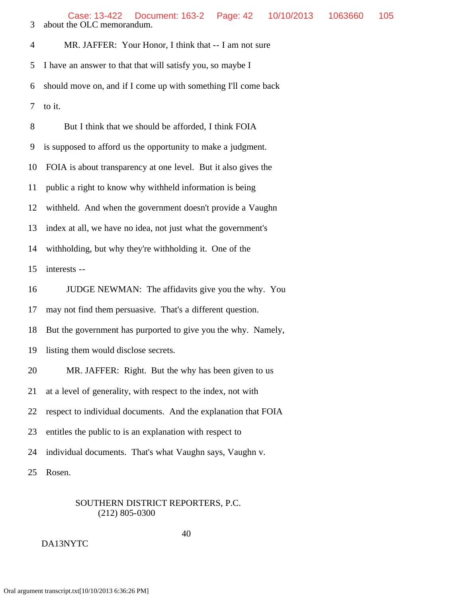4 MR. JAFFER: Your Honor, I think that -- I am not sure 5 I have an answer to that that will satisfy you, so maybe I 6 should move on, and if I come up with something I'll come back 7 to it.

 8 But I think that we should be afforded, I think FOIA 9 is supposed to afford us the opportunity to make a judgment. 10 FOIA is about transparency at one level. But it also gives the 11 public a right to know why withheld information is being 12 withheld. And when the government doesn't provide a Vaughn 13 index at all, we have no idea, not just what the government's 14 withholding, but why they're withholding it. One of the 15 interests -- 16 JUDGE NEWMAN: The affidavits give you the why. You 17 may not find them persuasive. That's a different question. 18 But the government has purported to give you the why. Namely, 19 listing them would disclose secrets. 20 MR. JAFFER: Right. But the why has been given to us 21 at a level of generality, with respect to the index, not with 22 respect to individual documents. And the explanation that FOIA 23 entitles the public to is an explanation with respect to 24 individual documents. That's what Vaughn says, Vaughn v. 25 Rosen.

## SOUTHERN DISTRICT REPORTERS, P.C. (212) 805-0300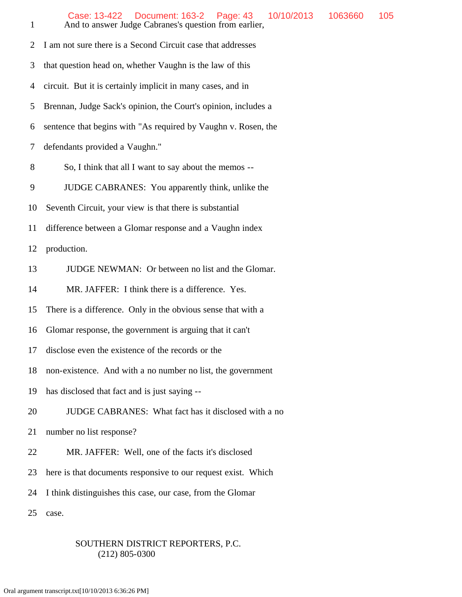| $\mathbf{1}$   | Case: 13-422  Document: 163-2  Page: 43<br>10/10/2013<br>1063660<br>105<br>And to answer Judge Cabranes's question from earlier, |  |  |  |  |  |  |
|----------------|----------------------------------------------------------------------------------------------------------------------------------|--|--|--|--|--|--|
| $\overline{2}$ | I am not sure there is a Second Circuit case that addresses                                                                      |  |  |  |  |  |  |
| 3              | that question head on, whether Vaughn is the law of this                                                                         |  |  |  |  |  |  |
| 4              | circuit. But it is certainly implicit in many cases, and in                                                                      |  |  |  |  |  |  |
| 5              | Brennan, Judge Sack's opinion, the Court's opinion, includes a                                                                   |  |  |  |  |  |  |
| 6              | sentence that begins with "As required by Vaughn v. Rosen, the                                                                   |  |  |  |  |  |  |
| 7              | defendants provided a Vaughn."                                                                                                   |  |  |  |  |  |  |
| 8              | So, I think that all I want to say about the memos --                                                                            |  |  |  |  |  |  |
| 9              | JUDGE CABRANES: You apparently think, unlike the                                                                                 |  |  |  |  |  |  |
| 10             | Seventh Circuit, your view is that there is substantial                                                                          |  |  |  |  |  |  |
| 11             | difference between a Glomar response and a Vaughn index                                                                          |  |  |  |  |  |  |
| 12             | production.                                                                                                                      |  |  |  |  |  |  |
| 13             | JUDGE NEWMAN: Or between no list and the Glomar.                                                                                 |  |  |  |  |  |  |
| 14             | MR. JAFFER: I think there is a difference. Yes.                                                                                  |  |  |  |  |  |  |
| 15             | There is a difference. Only in the obvious sense that with a                                                                     |  |  |  |  |  |  |
| 16             | Glomar response, the government is arguing that it can't                                                                         |  |  |  |  |  |  |
| 17             | disclose even the existence of the records or the                                                                                |  |  |  |  |  |  |
| 18             | non-existence. And with a no number no list, the government                                                                      |  |  |  |  |  |  |
| 19             | has disclosed that fact and is just saying --                                                                                    |  |  |  |  |  |  |
| 20             | JUDGE CABRANES: What fact has it disclosed with a no                                                                             |  |  |  |  |  |  |
| 21             | number no list response?                                                                                                         |  |  |  |  |  |  |
| 22             | MR. JAFFER: Well, one of the facts it's disclosed                                                                                |  |  |  |  |  |  |
| 23             | here is that documents responsive to our request exist. Which                                                                    |  |  |  |  |  |  |
| 24             | I think distinguishes this case, our case, from the Glomar                                                                       |  |  |  |  |  |  |
| 25             | case.                                                                                                                            |  |  |  |  |  |  |
|                |                                                                                                                                  |  |  |  |  |  |  |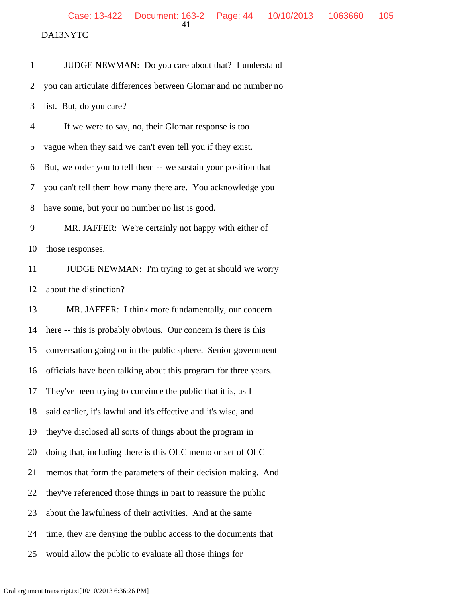DA13NYTC

 1 JUDGE NEWMAN: Do you care about that? I understand 2 you can articulate differences between Glomar and no number no 3 list. But, do you care? 4 If we were to say, no, their Glomar response is too 5 vague when they said we can't even tell you if they exist. 6 But, we order you to tell them -- we sustain your position that 7 you can't tell them how many there are. You acknowledge you 8 have some, but your no number no list is good. 9 MR. JAFFER: We're certainly not happy with either of 10 those responses. 11 JUDGE NEWMAN: I'm trying to get at should we worry 12 about the distinction? 13 MR. JAFFER: I think more fundamentally, our concern 14 here -- this is probably obvious. Our concern is there is this 15 conversation going on in the public sphere. Senior government 16 officials have been talking about this program for three years. 17 They've been trying to convince the public that it is, as I 18 said earlier, it's lawful and it's effective and it's wise, and 19 they've disclosed all sorts of things about the program in 20 doing that, including there is this OLC memo or set of OLC 21 memos that form the parameters of their decision making. And 22 they've referenced those things in part to reassure the public 23 about the lawfulness of their activities. And at the same 24 time, they are denying the public access to the documents that 25 would allow the public to evaluate all those things for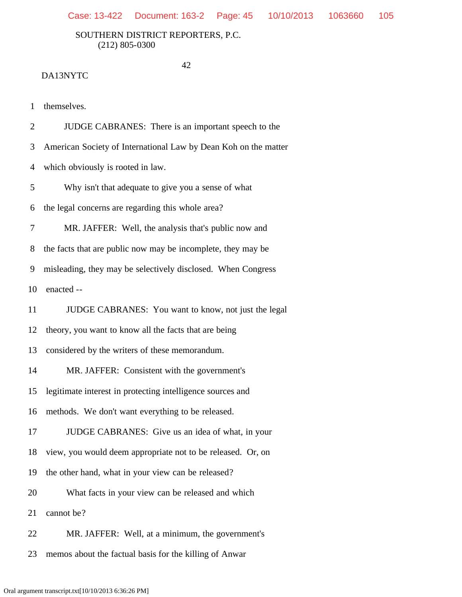42

### DA13NYTC

1 themselves.

2 JUDGE CABRANES: There is an important speech to the

3 American Society of International Law by Dean Koh on the matter

4 which obviously is rooted in law.

5 Why isn't that adequate to give you a sense of what

6 the legal concerns are regarding this whole area?

7 MR. JAFFER: Well, the analysis that's public now and

8 the facts that are public now may be incomplete, they may be

9 misleading, they may be selectively disclosed. When Congress

10 enacted --

11 JUDGE CABRANES: You want to know, not just the legal

12 theory, you want to know all the facts that are being

13 considered by the writers of these memorandum.

14 MR. JAFFER: Consistent with the government's

15 legitimate interest in protecting intelligence sources and

16 methods. We don't want everything to be released.

17 JUDGE CABRANES: Give us an idea of what, in your

18 view, you would deem appropriate not to be released. Or, on

19 the other hand, what in your view can be released?

20 What facts in your view can be released and which

21 cannot be?

22 MR. JAFFER: Well, at a minimum, the government's

23 memos about the factual basis for the killing of Anwar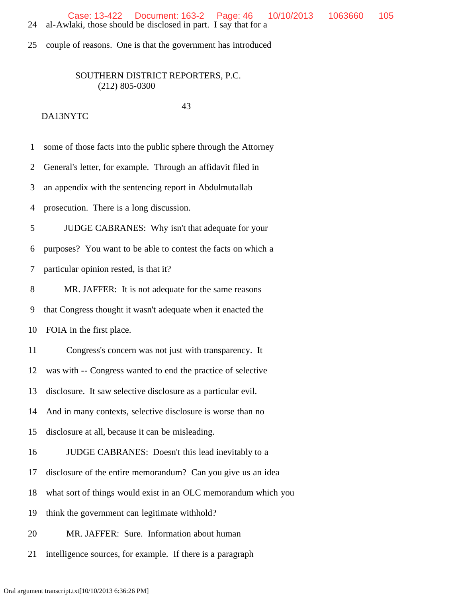Case: 13-422 Document: 163-2 Page: 46 10/10/2013 1063660 105

24 al-Awlaki, those should be disclosed in part. I say that for a

25 couple of reasons. One is that the government has introduced

# SOUTHERN DISTRICT REPORTERS, P.C. (212) 805-0300

### 43

| $\mathbf{1}$ | some of those facts into the public sphere through the Attorney |
|--------------|-----------------------------------------------------------------|
| 2            | General's letter, for example. Through an affidavit filed in    |
| 3            | an appendix with the sentencing report in Abdulmutallab         |
| 4            | prosecution. There is a long discussion.                        |
| 5            | JUDGE CABRANES: Why isn't that adequate for your                |
| 6            | purposes? You want to be able to contest the facts on which a   |
| 7            | particular opinion rested, is that it?                          |
| 8            | MR. JAFFER: It is not adequate for the same reasons             |
| 9            | that Congress thought it wasn't adequate when it enacted the    |
| 10           | FOIA in the first place.                                        |
| 11           | Congress's concern was not just with transparency. It           |
| 12           | was with -- Congress wanted to end the practice of selective    |
| 13           | disclosure. It saw selective disclosure as a particular evil.   |
| 14           | And in many contexts, selective disclosure is worse than no     |
| 15           | disclosure at all, because it can be misleading.                |
| 16           | JUDGE CABRANES: Doesn't this lead inevitably to a               |
| 17           | disclosure of the entire memorandum? Can you give us an idea    |
| 18           | what sort of things would exist in an OLC memorandum which you  |
| 19           | think the government can legitimate withhold?                   |
| 20           | MR. JAFFER: Sure. Information about human                       |
| 21           | intelligence sources, for example. If there is a paragraph      |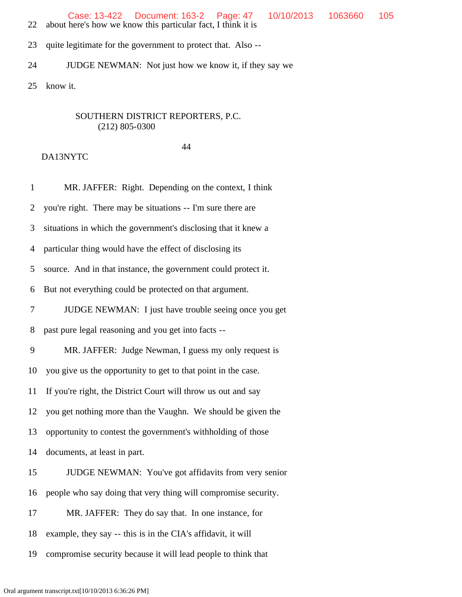- 22 about here's how we know this particular fact, I think it is
- 23 quite legitimate for the government to protect that. Also --
- 24 JUDGE NEWMAN: Not just how we know it, if they say we

25 know it.

## SOUTHERN DISTRICT REPORTERS, P.C. (212) 805-0300

#### 44

| $\mathbf{1}$   | MR. JAFFER: Right. Depending on the context, I think           |
|----------------|----------------------------------------------------------------|
| $\overline{2}$ | you're right. There may be situations -- I'm sure there are    |
| 3              | situations in which the government's disclosing that it knew a |
| $\overline{4}$ | particular thing would have the effect of disclosing its       |
| 5              | source. And in that instance, the government could protect it. |
| 6              | But not everything could be protected on that argument.        |
| $\tau$         | JUDGE NEWMAN: I just have trouble seeing once you get          |
| 8              | past pure legal reasoning and you get into facts --            |
| 9              | MR. JAFFER: Judge Newman, I guess my only request is           |
| 10             | you give us the opportunity to get to that point in the case.  |
| 11             | If you're right, the District Court will throw us out and say  |
| 12             | you get nothing more than the Vaughn. We should be given the   |
| 13             | opportunity to contest the government's withholding of those   |
| 14             | documents, at least in part.                                   |
| 15             | JUDGE NEWMAN: You've got affidavits from very senior           |
| 16             | people who say doing that very thing will compromise security. |
| 17             | MR. JAFFER: They do say that. In one instance, for             |
| 18             | example, they say -- this is in the CIA's affidavit, it will   |
| 19             | compromise security because it will lead people to think that  |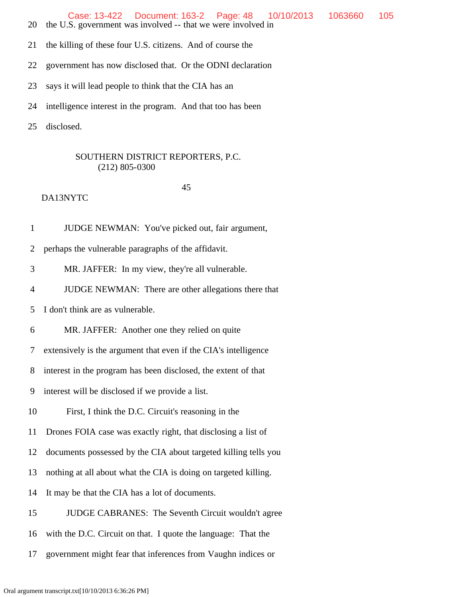Case: 13-422 Document: 163-2 Page: 48 10/10/2013 1063660 105

- 20 the U.S. government was involved -- that we were involved in
- 21 the killing of these four U.S. citizens. And of course the
- 22 government has now disclosed that. Or the ODNI declaration
- 23 says it will lead people to think that the CIA has an
- 24 intelligence interest in the program. And that too has been
- 25 disclosed.

### SOUTHERN DISTRICT REPORTERS, P.C. (212) 805-0300

### 45

DA13NYTC

1 JUDGE NEWMAN: You've picked out, fair argument,

2 perhaps the vulnerable paragraphs of the affidavit.

3 MR. JAFFER: In my view, they're all vulnerable.

4 JUDGE NEWMAN: There are other allegations there that

5 I don't think are as vulnerable.

6 MR. JAFFER: Another one they relied on quite

7 extensively is the argument that even if the CIA's intelligence

8 interest in the program has been disclosed, the extent of that

9 interest will be disclosed if we provide a list.

10 First, I think the D.C. Circuit's reasoning in the

11 Drones FOIA case was exactly right, that disclosing a list of

12 documents possessed by the CIA about targeted killing tells you

13 nothing at all about what the CIA is doing on targeted killing.

14 It may be that the CIA has a lot of documents.

15 JUDGE CABRANES: The Seventh Circuit wouldn't agree

16 with the D.C. Circuit on that. I quote the language: That the

17 government might fear that inferences from Vaughn indices or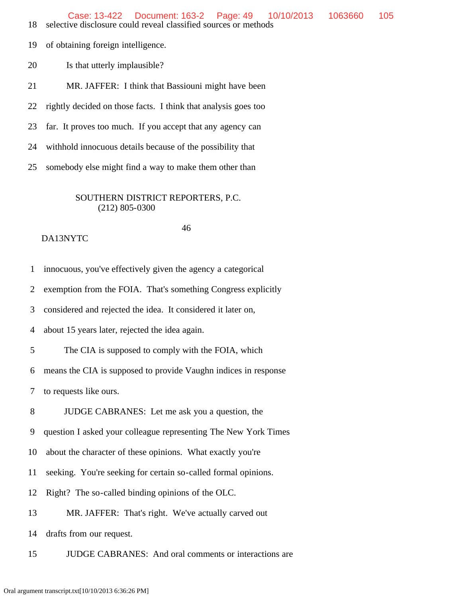19 of obtaining foreign intelligence.

20 Is that utterly implausible?

21 MR. JAFFER: I think that Bassiouni might have been

22 rightly decided on those facts. I think that analysis goes too

23 far. It proves too much. If you accept that any agency can

24 withhold innocuous details because of the possibility that

25 somebody else might find a way to make them other than

## SOUTHERN DISTRICT REPORTERS, P.C. (212) 805-0300

46

### DA13NYTC

1 innocuous, you've effectively given the agency a categorical

2 exemption from the FOIA. That's something Congress explicitly

3 considered and rejected the idea. It considered it later on,

4 about 15 years later, rejected the idea again.

5 The CIA is supposed to comply with the FOIA, which

6 means the CIA is supposed to provide Vaughn indices in response

7 to requests like ours.

8 JUDGE CABRANES: Let me ask you a question, the

9 question I asked your colleague representing The New York Times

10 about the character of these opinions. What exactly you're

11 seeking. You're seeking for certain so-called formal opinions.

12 Right? The so-called binding opinions of the OLC.

13 MR. JAFFER: That's right. We've actually carved out

14 drafts from our request.

15 JUDGE CABRANES: And oral comments or interactions are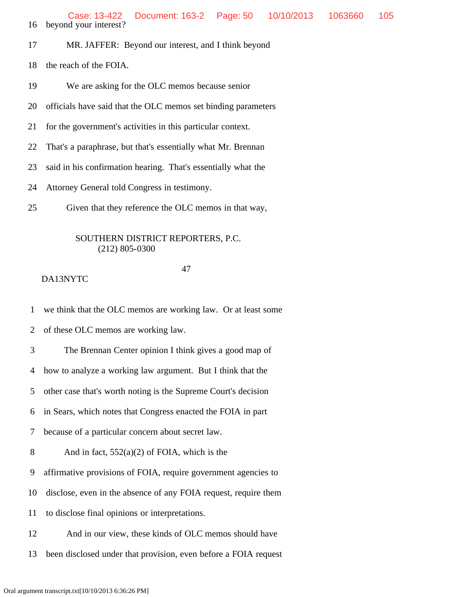16 beyond your interest?

- 17 MR. JAFFER: Beyond our interest, and I think beyond
- 18 the reach of the FOIA.
- 19 We are asking for the OLC memos because senior
- 20 officials have said that the OLC memos set binding parameters
- 21 for the government's activities in this particular context.
- 22 That's a paraphrase, but that's essentially what Mr. Brennan
- 23 said in his confirmation hearing. That's essentially what the
- 24 Attorney General told Congress in testimony.
- 25 Given that they reference the OLC memos in that way,

### SOUTHERN DISTRICT REPORTERS, P.C. (212) 805-0300

### 47

## DA13NYTC

1 we think that the OLC memos are working law. Or at least some

2 of these OLC memos are working law.

3 The Brennan Center opinion I think gives a good map of

4 how to analyze a working law argument. But I think that the

5 other case that's worth noting is the Supreme Court's decision

6 in Sears, which notes that Congress enacted the FOIA in part

7 because of a particular concern about secret law.

8 And in fact,  $552(a)(2)$  of FOIA, which is the

9 affirmative provisions of FOIA, require government agencies to

- 10 disclose, even in the absence of any FOIA request, require them
- 11 to disclose final opinions or interpretations.
- 12 And in our view, these kinds of OLC memos should have
- 13 been disclosed under that provision, even before a FOIA request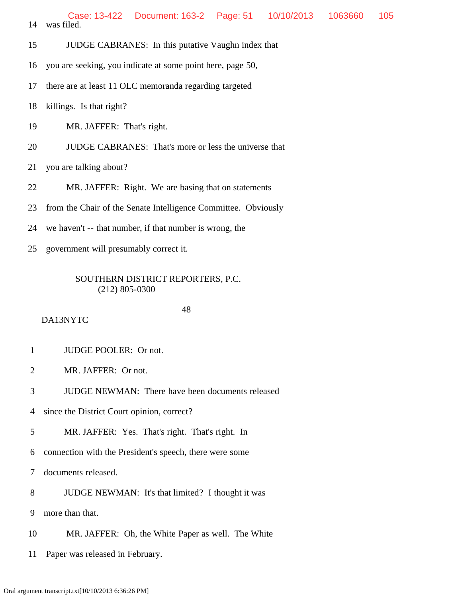- 15 JUDGE CABRANES: In this putative Vaughn index that
- 16 you are seeking, you indicate at some point here, page 50,
- 17 there are at least 11 OLC memoranda regarding targeted
- 18 killings. Is that right?
- 19 MR. JAFFER: That's right.
- 20 JUDGE CABRANES: That's more or less the universe that
- 21 you are talking about?
- 22 MR. JAFFER: Right. We are basing that on statements
- 23 from the Chair of the Senate Intelligence Committee. Obviously
- 24 we haven't -- that number, if that number is wrong, the
- 25 government will presumably correct it.

## DA13NYTC

48

- 1 JUDGE POOLER: Or not.
- 2 MR. JAFFER: Or not.
- 3 JUDGE NEWMAN: There have been documents released
- 4 since the District Court opinion, correct?
- 5 MR. JAFFER: Yes. That's right. That's right. In
- 6 connection with the President's speech, there were some
- 7 documents released.
- 8 JUDGE NEWMAN: It's that limited? I thought it was
- 9 more than that.
- 10 MR. JAFFER: Oh, the White Paper as well. The White
- 11 Paper was released in February.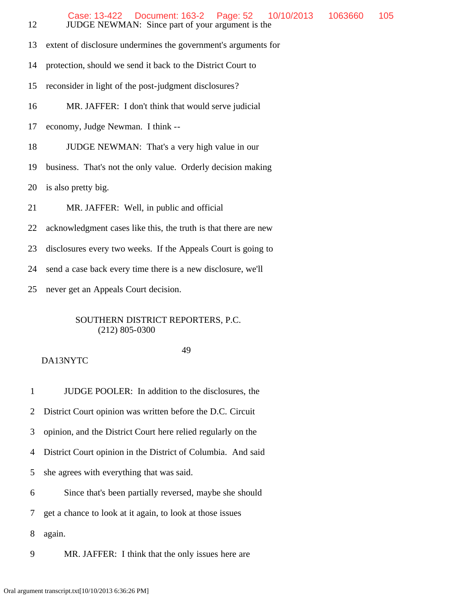- 12 JUDGE NEWMAN: Since part of your argument is the 13 extent of disclosure undermines the government's arguments for 14 protection, should we send it back to the District Court to 15 reconsider in light of the post-judgment disclosures? 16 MR. JAFFER: I don't think that would serve judicial 17 economy, Judge Newman. I think -- 18 JUDGE NEWMAN: That's a very high value in our 19 business. That's not the only value. Orderly decision making 20 is also pretty big. 21 MR. JAFFER: Well, in public and official 22 acknowledgment cases like this, the truth is that there are new 23 disclosures every two weeks. If the Appeals Court is going to Case: 13-422 Document: 163-2 Page: 52 10/10/2013 1063660 105
- 24 send a case back every time there is a new disclosure, we'll
- 25 never get an Appeals Court decision.

### 49

## DA13NYTC

 1 JUDGE POOLER: In addition to the disclosures, the 2 District Court opinion was written before the D.C. Circuit 3 opinion, and the District Court here relied regularly on the 4 District Court opinion in the District of Columbia. And said 5 she agrees with everything that was said. 6 Since that's been partially reversed, maybe she should 7 get a chance to look at it again, to look at those issues 8 again.

9 MR. JAFFER: I think that the only issues here are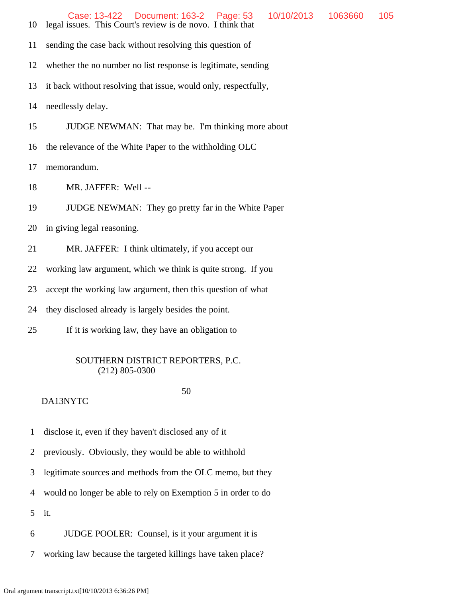- 11 sending the case back without resolving this question of
- 12 whether the no number no list response is legitimate, sending
- 13 it back without resolving that issue, would only, respectfully,

14 needlessly delay.

- 15 JUDGE NEWMAN: That may be. I'm thinking more about
- 16 the relevance of the White Paper to the withholding OLC
- 17 memorandum.
- 18 MR. JAFFER: Well --
- 19 JUDGE NEWMAN: They go pretty far in the White Paper
- 20 in giving legal reasoning.
- 21 MR. JAFFER: I think ultimately, if you accept our
- 22 working law argument, which we think is quite strong. If you
- 23 accept the working law argument, then this question of what
- 24 they disclosed already is largely besides the point.
- 25 If it is working law, they have an obligation to

### SOUTHERN DISTRICT REPORTERS, P.C. (212) 805-0300

#### 50

- 1 disclose it, even if they haven't disclosed any of it
- 2 previously. Obviously, they would be able to withhold
- 3 legitimate sources and methods from the OLC memo, but they
- 4 would no longer be able to rely on Exemption 5 in order to do
- 5 it.
- 6 JUDGE POOLER: Counsel, is it your argument it is
- 7 working law because the targeted killings have taken place?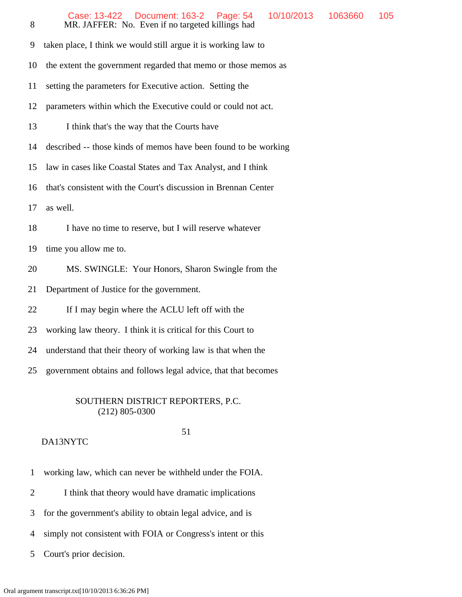- 12 parameters within which the Executive could or could not act.
- 13 I think that's the way that the Courts have
- 14 described -- those kinds of memos have been found to be working
- 15 law in cases like Coastal States and Tax Analyst, and I think
- 16 that's consistent with the Court's discussion in Brennan Center
- 17 as well.
- 18 I have no time to reserve, but I will reserve whatever
- 19 time you allow me to.
- 20 MS. SWINGLE: Your Honors, Sharon Swingle from the
- 21 Department of Justice for the government.
- 22 If I may begin where the ACLU left off with the
- 23 working law theory. I think it is critical for this Court to
- 24 understand that their theory of working law is that when the
- 25 government obtains and follows legal advice, that that becomes

### 51

- DA13NYTC
- 1 working law, which can never be withheld under the FOIA.
- 2 I think that theory would have dramatic implications
- 3 for the government's ability to obtain legal advice, and is
- 4 simply not consistent with FOIA or Congress's intent or this
- 5 Court's prior decision.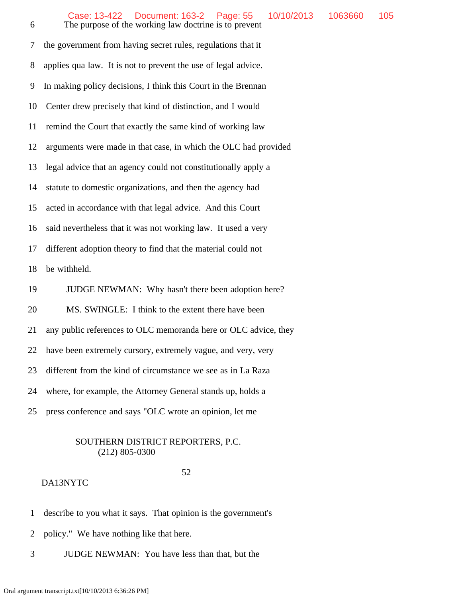6 The purpose of the working law doctrine is to prevent 7 the government from having secret rules, regulations that it 8 applies qua law. It is not to prevent the use of legal advice. 9 In making policy decisions, I think this Court in the Brennan 10 Center drew precisely that kind of distinction, and I would 11 remind the Court that exactly the same kind of working law 12 arguments were made in that case, in which the OLC had provided 13 legal advice that an agency could not constitutionally apply a 14 statute to domestic organizations, and then the agency had 15 acted in accordance with that legal advice. And this Court 16 said nevertheless that it was not working law. It used a very 17 different adoption theory to find that the material could not 18 be withheld. 19 JUDGE NEWMAN: Why hasn't there been adoption here? 20 MS. SWINGLE: I think to the extent there have been 21 any public references to OLC memoranda here or OLC advice, they 22 have been extremely cursory, extremely vague, and very, very 23 different from the kind of circumstance we see as in La Raza 24 where, for example, the Attorney General stands up, holds a 25 press conference and says "OLC wrote an opinion, let me

### SOUTHERN DISTRICT REPORTERS, P.C. (212) 805-0300

#### 52

- 1 describe to you what it says. That opinion is the government's
- 2 policy." We have nothing like that here.
- 3 JUDGE NEWMAN: You have less than that, but the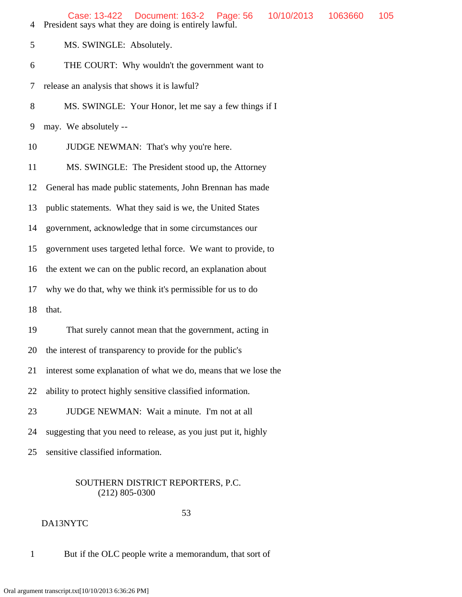| 4     | Document: 163-2<br>Page: 56<br>Case: 13-422<br>10/10/2013<br>1063660<br>President says what they are doing is entirely lawful. | 105 |  |  |  |  |  |
|-------|--------------------------------------------------------------------------------------------------------------------------------|-----|--|--|--|--|--|
| 5     | MS. SWINGLE: Absolutely.                                                                                                       |     |  |  |  |  |  |
| 6     | THE COURT: Why wouldn't the government want to                                                                                 |     |  |  |  |  |  |
| 7     | release an analysis that shows it is lawful?                                                                                   |     |  |  |  |  |  |
| $8\,$ | MS. SWINGLE: Your Honor, let me say a few things if I                                                                          |     |  |  |  |  |  |
| 9     | may. We absolutely --                                                                                                          |     |  |  |  |  |  |
| 10    | JUDGE NEWMAN: That's why you're here.                                                                                          |     |  |  |  |  |  |
| 11    | MS. SWINGLE: The President stood up, the Attorney                                                                              |     |  |  |  |  |  |
| 12    | General has made public statements, John Brennan has made                                                                      |     |  |  |  |  |  |
| 13    | public statements. What they said is we, the United States                                                                     |     |  |  |  |  |  |
| 14    | government, acknowledge that in some circumstances our                                                                         |     |  |  |  |  |  |
| 15    | government uses targeted lethal force. We want to provide, to                                                                  |     |  |  |  |  |  |
| 16    | the extent we can on the public record, an explanation about                                                                   |     |  |  |  |  |  |
| 17    | why we do that, why we think it's permissible for us to do                                                                     |     |  |  |  |  |  |
| 18    | that.                                                                                                                          |     |  |  |  |  |  |
| 19    | That surely cannot mean that the government, acting in                                                                         |     |  |  |  |  |  |
| 20    | the interest of transparency to provide for the public's                                                                       |     |  |  |  |  |  |
| 21    | interest some explanation of what we do, means that we lose the                                                                |     |  |  |  |  |  |
| 22    | ability to protect highly sensitive classified information.                                                                    |     |  |  |  |  |  |
| 23    | JUDGE NEWMAN: Wait a minute. I'm not at all                                                                                    |     |  |  |  |  |  |
| 24    | suggesting that you need to release, as you just put it, highly                                                                |     |  |  |  |  |  |
| 25    | sensitive classified information.                                                                                              |     |  |  |  |  |  |

 53 DA13NYTC

1 But if the OLC people write a memorandum, that sort of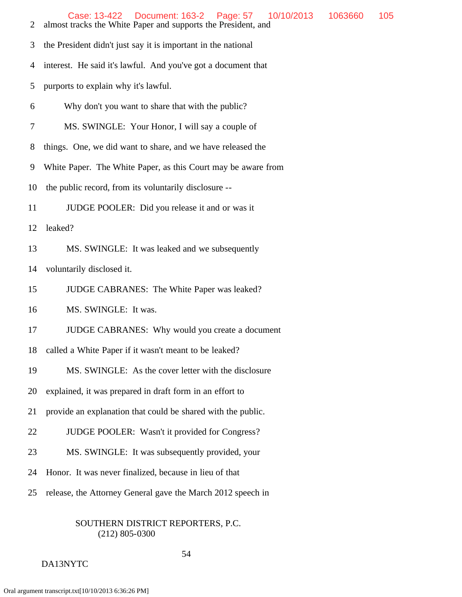| Case: 13-422  Document: 163-2  Page: 57 | 10/10/2013  1063660  105 |  |
|-----------------------------------------|--------------------------|--|
|                                         |                          |  |

- 2 almost tracks the White Paper and supports the President, and
- 3 the President didn't just say it is important in the national
- 4 interest. He said it's lawful. And you've got a document that
- 5 purports to explain why it's lawful.
- 6 Why don't you want to share that with the public?
- 7 MS. SWINGLE: Your Honor, I will say a couple of
- 8 things. One, we did want to share, and we have released the
- 9 White Paper. The White Paper, as this Court may be aware from
- 10 the public record, from its voluntarily disclosure --
- 11 JUDGE POOLER: Did you release it and or was it
- 12 leaked?
- 13 MS. SWINGLE: It was leaked and we subsequently
- 14 voluntarily disclosed it.
- 15 JUDGE CABRANES: The White Paper was leaked?
- 16 MS. SWINGLE: It was.
- 17 JUDGE CABRANES: Why would you create a document
- 18 called a White Paper if it wasn't meant to be leaked?
- 19 MS. SWINGLE: As the cover letter with the disclosure
- 20 explained, it was prepared in draft form in an effort to
- 21 provide an explanation that could be shared with the public.
- 22 JUDGE POOLER: Wasn't it provided for Congress?
- 23 MS. SWINGLE: It was subsequently provided, your
- 24 Honor. It was never finalized, because in lieu of that
- 25 release, the Attorney General gave the March 2012 speech in

#### 54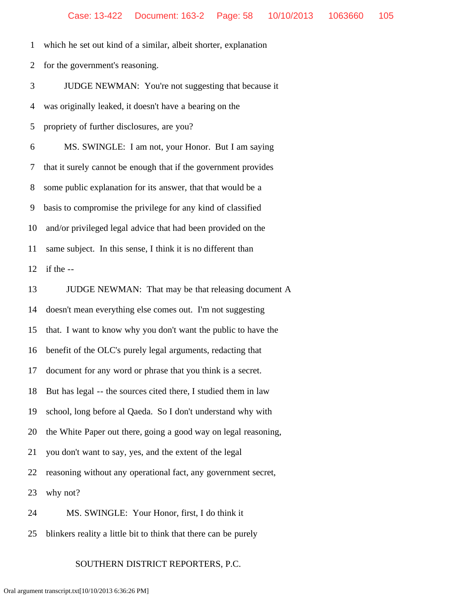1 which he set out kind of a similar, albeit shorter, explanation

2 for the government's reasoning.

 3 JUDGE NEWMAN: You're not suggesting that because it 4 was originally leaked, it doesn't have a bearing on the 5 propriety of further disclosures, are you?

 6 MS. SWINGLE: I am not, your Honor. But I am saying 7 that it surely cannot be enough that if the government provides 8 some public explanation for its answer, that that would be a 9 basis to compromise the privilege for any kind of classified 10 and/or privileged legal advice that had been provided on the 11 same subject. In this sense, I think it is no different than 12 if the --

 13 JUDGE NEWMAN: That may be that releasing document A 14 doesn't mean everything else comes out. I'm not suggesting 15 that. I want to know why you don't want the public to have the 16 benefit of the OLC's purely legal arguments, redacting that 17 document for any word or phrase that you think is a secret. 18 But has legal -- the sources cited there, I studied them in law 19 school, long before al Qaeda. So I don't understand why with 20 the White Paper out there, going a good way on legal reasoning, 21 you don't want to say, yes, and the extent of the legal 22 reasoning without any operational fact, any government secret, 23 why not? 24 MS. SWINGLE: Your Honor, first, I do think it

25 blinkers reality a little bit to think that there can be purely

### SOUTHERN DISTRICT REPORTERS, P.C.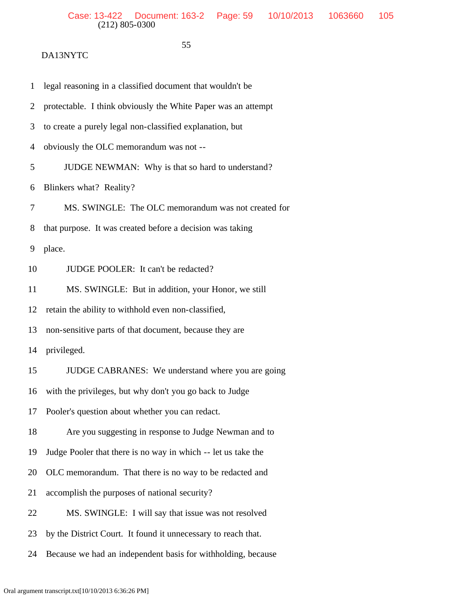$55$ 

| 1              | legal reasoning in a classified document that wouldn't be     |
|----------------|---------------------------------------------------------------|
| 2              | protectable. I think obviously the White Paper was an attempt |
| 3              | to create a purely legal non-classified explanation, but      |
| $\overline{4}$ | obviously the OLC memorandum was not --                       |
| 5              | JUDGE NEWMAN: Why is that so hard to understand?              |
| 6              | Blinkers what? Reality?                                       |
| 7              | MS. SWINGLE: The OLC memorandum was not created for           |
| 8              | that purpose. It was created before a decision was taking     |
| 9              | place.                                                        |
| 10             | JUDGE POOLER: It can't be redacted?                           |
| 11             | MS. SWINGLE: But in addition, your Honor, we still            |
| 12             | retain the ability to withhold even non-classified,           |
| 13             | non-sensitive parts of that document, because they are        |
| 14             | privileged.                                                   |
| 15             | JUDGE CABRANES: We understand where you are going             |
| 16             | with the privileges, but why don't you go back to Judge       |
|                | 17 Pooler's question about whether you can redact.            |
| 18             | Are you suggesting in response to Judge Newman and to         |
| 19             | Judge Pooler that there is no way in which -- let us take the |
| 20             | OLC memorandum. That there is no way to be redacted and       |
| 21             | accomplish the purposes of national security?                 |
| 22             | MS. SWINGLE: I will say that issue was not resolved           |
| 23             | by the District Court. It found it unnecessary to reach that. |
| 24             | Because we had an independent basis for withholding, because  |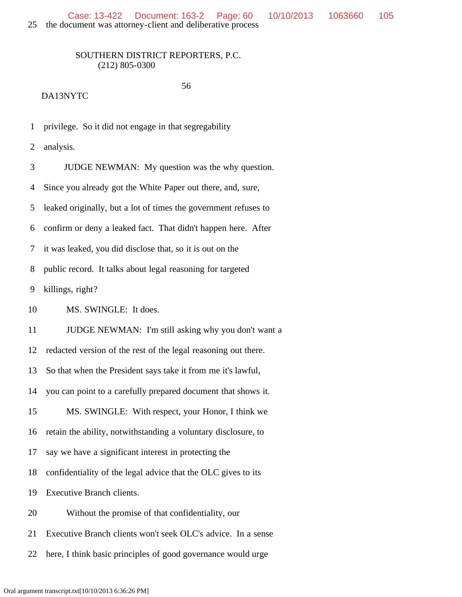56

### DA13NYTC

1 privilege. So it did not engage in that segregability

2 analysis.

 3 JUDGE NEWMAN: My question was the why question. 4 Since you already got the White Paper out there, and, sure, 5 leaked originally, but a lot of times the government refuses to 6 confirm or deny a leaked fact. That didn't happen here. After 7 it was leaked, you did disclose that, so it is out on the 8 public record. It talks about legal reasoning for targeted 9 killings, right? 10 MS. SWINGLE: It does. 11 JUDGE NEWMAN: I'm still asking why you don't want a 12 redacted version of the rest of the legal reasoning out there. 13 So that when the President says take it from me it's lawful, 14 you can point to a carefully prepared document that shows it. 15 MS. SWINGLE: With respect, your Honor, I think we 16 retain the ability, notwithstanding a voluntary disclosure, to 17 say we have a significant interest in protecting the 18 confidentiality of the legal advice that the OLC gives to its 19 Executive Branch clients. 20 Without the promise of that confidentiality, our 21 Executive Branch clients won't seek OLC's advice. In a sense 22 here, I think basic principles of good governance would urge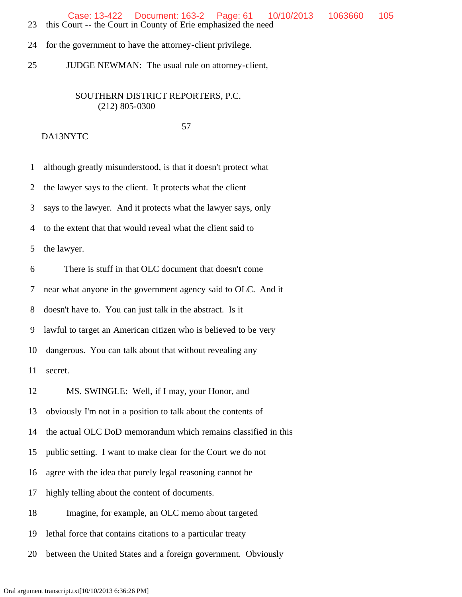Case: 13-422 Document: 163-2 Page: 61 10/10/2013 1063660 105

- 23 this Court -- the Court in County of Erie emphasized the need
- 24 for the government to have the attorney-client privilege.
- 25 JUDGE NEWMAN: The usual rule on attorney-client,

## SOUTHERN DISTRICT REPORTERS, P.C. (212) 805-0300

57

### DA13NYTC

1 although greatly misunderstood, is that it doesn't protect what

2 the lawyer says to the client. It protects what the client

3 says to the lawyer. And it protects what the lawyer says, only

4 to the extent that that would reveal what the client said to

5 the lawyer.

6 There is stuff in that OLC document that doesn't come

7 near what anyone in the government agency said to OLC. And it

8 doesn't have to. You can just talk in the abstract. Is it

9 lawful to target an American citizen who is believed to be very

10 dangerous. You can talk about that without revealing any

11 secret.

12 MS. SWINGLE: Well, if I may, your Honor, and

13 obviously I'm not in a position to talk about the contents of

14 the actual OLC DoD memorandum which remains classified in this

15 public setting. I want to make clear for the Court we do not

16 agree with the idea that purely legal reasoning cannot be

17 highly telling about the content of documents.

18 Imagine, for example, an OLC memo about targeted

19 lethal force that contains citations to a particular treaty

20 between the United States and a foreign government. Obviously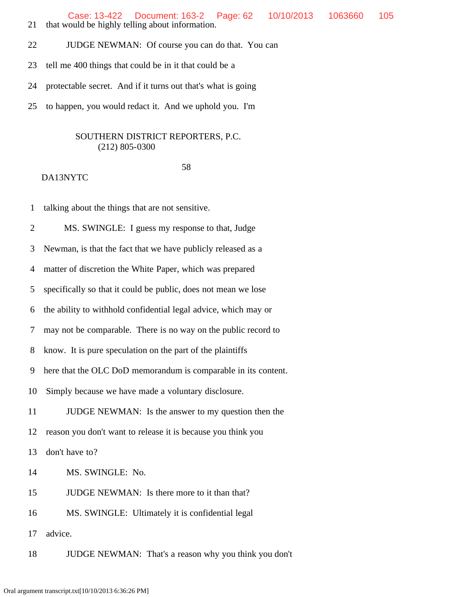Case: 13-422 Document: 163-2 Page: 62 10/10/2013 1063660 105

- 21 that would be highly telling about information.
- 22 JUDGE NEWMAN: Of course you can do that. You can
- 23 tell me 400 things that could be in it that could be a
- 24 protectable secret. And if it turns out that's what is going
- 25 to happen, you would redact it. And we uphold you. I'm

## SOUTHERN DISTRICT REPORTERS, P.C. (212) 805-0300

58

## DA13NYTC

1 talking about the things that are not sensitive.

 2 MS. SWINGLE: I guess my response to that, Judge 3 Newman, is that the fact that we have publicly released as a 4 matter of discretion the White Paper, which was prepared 5 specifically so that it could be public, does not mean we lose 6 the ability to withhold confidential legal advice, which may or 7 may not be comparable. There is no way on the public record to 8 know. It is pure speculation on the part of the plaintiffs 9 here that the OLC DoD memorandum is comparable in its content. 10 Simply because we have made a voluntary disclosure. 11 JUDGE NEWMAN: Is the answer to my question then the 12 reason you don't want to release it is because you think you 13 don't have to? 14 MS. SWINGLE: No. 15 JUDGE NEWMAN: Is there more to it than that? 16 MS. SWINGLE: Ultimately it is confidential legal 17 advice. 18 JUDGE NEWMAN: That's a reason why you think you don't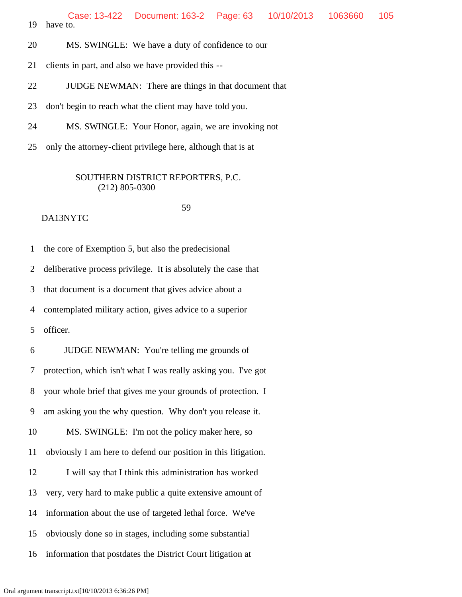20 MS. SWINGLE: We have a duty of confidence to our

21 clients in part, and also we have provided this --

22 JUDGE NEWMAN: There are things in that document that

23 don't begin to reach what the client may have told you.

24 MS. SWINGLE: Your Honor, again, we are invoking not

25 only the attorney-client privilege here, although that is at

### SOUTHERN DISTRICT REPORTERS, P.C. (212) 805-0300

#### 59 DA13NYTC

 1 the core of Exemption 5, but also the predecisional 2 deliberative process privilege. It is absolutely the case that 3 that document is a document that gives advice about a 4 contemplated military action, gives advice to a superior 5 officer. 6 JUDGE NEWMAN: You're telling me grounds of 7 protection, which isn't what I was really asking you. I've got 8 your whole brief that gives me your grounds of protection. I 9 am asking you the why question. Why don't you release it. 10 MS. SWINGLE: I'm not the policy maker here, so 11 obviously I am here to defend our position in this litigation. 12 I will say that I think this administration has worked 13 very, very hard to make public a quite extensive amount of 14 information about the use of targeted lethal force. We've 15 obviously done so in stages, including some substantial 16 information that postdates the District Court litigation at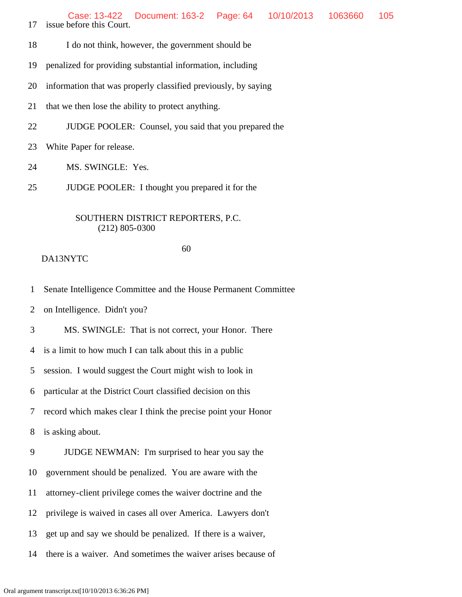Case: 13-422 Document: 163-2 Page: 64 10/10/2013 1063660 105

17 issue before this Court.

- 18 I do not think, however, the government should be
- 19 penalized for providing substantial information, including
- 20 information that was properly classified previously, by saying
- 21 that we then lose the ability to protect anything.
- 22 JUDGE POOLER: Counsel, you said that you prepared the
- 23 White Paper for release.
- 24 MS. SWINGLE: Yes.
- 25 JUDGE POOLER: I thought you prepared it for the

### SOUTHERN DISTRICT REPORTERS, P.C. (212) 805-0300

### 60

#### DA13NYTC

1 Senate Intelligence Committee and the House Permanent Committee

2 on Intelligence. Didn't you?

3 MS. SWINGLE: That is not correct, your Honor. There

4 is a limit to how much I can talk about this in a public

5 session. I would suggest the Court might wish to look in

6 particular at the District Court classified decision on this

7 record which makes clear I think the precise point your Honor

8 is asking about.

9 JUDGE NEWMAN: I'm surprised to hear you say the

10 government should be penalized. You are aware with the

11 attorney-client privilege comes the waiver doctrine and the

12 privilege is waived in cases all over America. Lawyers don't

13 get up and say we should be penalized. If there is a waiver,

14 there is a waiver. And sometimes the waiver arises because of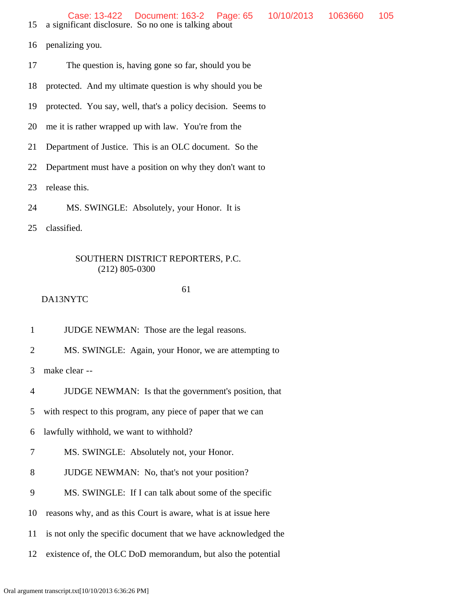- 15 a significant disclosure. So no one is talking about
- 16 penalizing you.
- 17 The question is, having gone so far, should you be
- 18 protected. And my ultimate question is why should you be
- 19 protected. You say, well, that's a policy decision. Seems to
- 20 me it is rather wrapped up with law. You're from the
- 21 Department of Justice. This is an OLC document. So the
- 22 Department must have a position on why they don't want to
- 23 release this.
- 24 MS. SWINGLE: Absolutely, your Honor. It is
- 25 classified.

#### 61

- DA13NYTC
- 1 JUDGE NEWMAN: Those are the legal reasons.
- 2 MS. SWINGLE: Again, your Honor, we are attempting to
- 3 make clear --
- 4 JUDGE NEWMAN: Is that the government's position, that
- 5 with respect to this program, any piece of paper that we can
- 6 lawfully withhold, we want to withhold?
- 7 MS. SWINGLE: Absolutely not, your Honor.
- 8 JUDGE NEWMAN: No, that's not your position?
- 9 MS. SWINGLE: If I can talk about some of the specific
- 10 reasons why, and as this Court is aware, what is at issue here
- 11 is not only the specific document that we have acknowledged the
- 12 existence of, the OLC DoD memorandum, but also the potential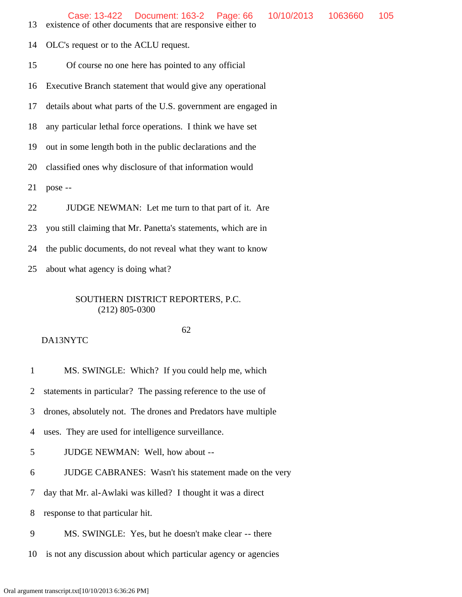- 13 existence of other documents that are responsive either to
- 14 OLC's request or to the ACLU request.

15 Of course no one here has pointed to any official

- 16 Executive Branch statement that would give any operational
- 17 details about what parts of the U.S. government are engaged in
- 18 any particular lethal force operations. I think we have set

19 out in some length both in the public declarations and the

20 classified ones why disclosure of that information would

21 pose --

22 JUDGE NEWMAN: Let me turn to that part of it. Are

23 you still claiming that Mr. Panetta's statements, which are in

24 the public documents, do not reveal what they want to know

25 about what agency is doing what?

### SOUTHERN DISTRICT REPORTERS, P.C. (212) 805-0300

#### 62 DA13NYTC

1 MS. SWINGLE: Which? If you could help me, which

2 statements in particular? The passing reference to the use of

3 drones, absolutely not. The drones and Predators have multiple

4 uses. They are used for intelligence surveillance.

5 JUDGE NEWMAN: Well, how about --

6 JUDGE CABRANES: Wasn't his statement made on the very

7 day that Mr. al-Awlaki was killed? I thought it was a direct

8 response to that particular hit.

- 9 MS. SWINGLE: Yes, but he doesn't make clear -- there
- 10 is not any discussion about which particular agency or agencies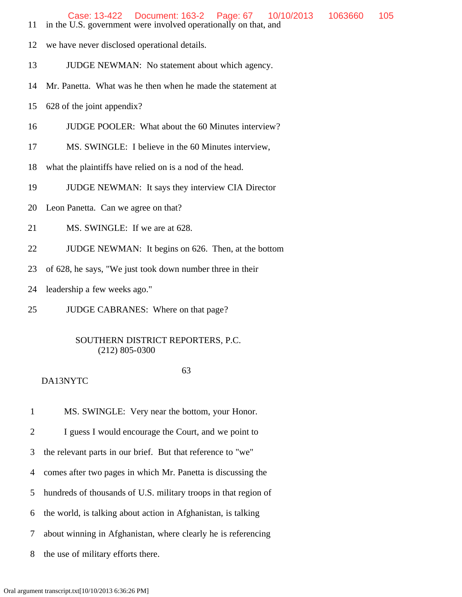- 12 we have never disclosed operational details.
- 13 JUDGE NEWMAN: No statement about which agency.
- 14 Mr. Panetta. What was he then when he made the statement at
- 15 628 of the joint appendix?
- 16 JUDGE POOLER: What about the 60 Minutes interview?
- 17 MS. SWINGLE: I believe in the 60 Minutes interview,
- 18 what the plaintiffs have relied on is a nod of the head.
- 19 JUDGE NEWMAN: It says they interview CIA Director
- 20 Leon Panetta. Can we agree on that?
- 21 MS. SWINGLE: If we are at 628.
- 22 JUDGE NEWMAN: It begins on 626. Then, at the bottom
- 23 of 628, he says, "We just took down number three in their
- 24 leadership a few weeks ago."
- 25 JUDGE CABRANES: Where on that page?

## 63

## DA13NYTC

1 MS. SWINGLE: Very near the bottom, your Honor.

2 I guess I would encourage the Court, and we point to

3 the relevant parts in our brief. But that reference to "we"

4 comes after two pages in which Mr. Panetta is discussing the

- 5 hundreds of thousands of U.S. military troops in that region of
- 6 the world, is talking about action in Afghanistan, is talking
- 7 about winning in Afghanistan, where clearly he is referencing
- 8 the use of military efforts there.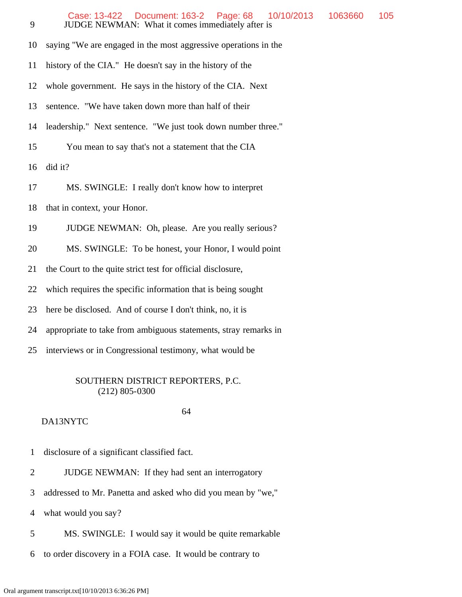| 9  | Document: 163-2<br>Page: 68<br>Case: 13-422<br>10/10/2013<br>1063660<br>105<br>JUDGE NEWMAN: What it comes immediately after is |
|----|---------------------------------------------------------------------------------------------------------------------------------|
| 10 | saying "We are engaged in the most aggressive operations in the                                                                 |
| 11 | history of the CIA." He doesn't say in the history of the                                                                       |
| 12 | whole government. He says in the history of the CIA. Next                                                                       |
| 13 | sentence. "We have taken down more than half of their                                                                           |
| 14 | leadership." Next sentence. "We just took down number three."                                                                   |
| 15 | You mean to say that's not a statement that the CIA                                                                             |
| 16 | did it?                                                                                                                         |
| 17 | MS. SWINGLE: I really don't know how to interpret                                                                               |
| 18 | that in context, your Honor.                                                                                                    |
| 19 | JUDGE NEWMAN: Oh, please. Are you really serious?                                                                               |
| 20 | MS. SWINGLE: To be honest, your Honor, I would point                                                                            |
| 21 | the Court to the quite strict test for official disclosure,                                                                     |
| 22 | which requires the specific information that is being sought                                                                    |
| 23 | here be disclosed. And of course I don't think, no, it is                                                                       |
| 24 | appropriate to take from ambiguous statements, stray remarks in                                                                 |
| 25 | interviews or in Congressional testimony, what would be                                                                         |
|    |                                                                                                                                 |

#### 64 DA13NYTC

- 1 disclosure of a significant classified fact.
- 2 JUDGE NEWMAN: If they had sent an interrogatory
- 3 addressed to Mr. Panetta and asked who did you mean by "we,"

4 what would you say?

- 5 MS. SWINGLE: I would say it would be quite remarkable
- 6 to order discovery in a FOIA case. It would be contrary to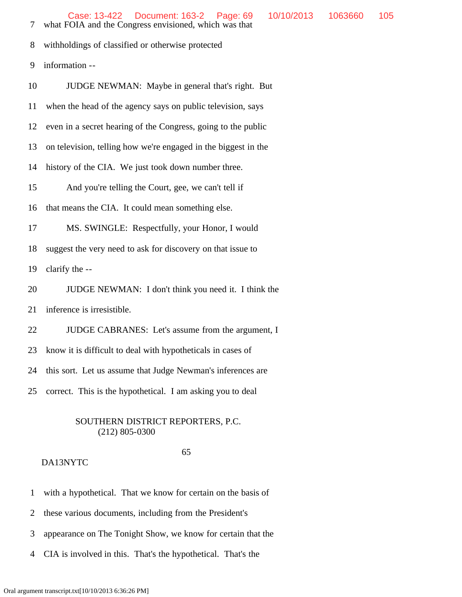Case: 13-422 Document: 163-2 Page: 69 10/10/2013 1063660 105

7 what FOIA and the Congress envisioned, which was that

8 withholdings of classified or otherwise protected

9 information --

 10 JUDGE NEWMAN: Maybe in general that's right. But 11 when the head of the agency says on public television, says 12 even in a secret hearing of the Congress, going to the public 13 on television, telling how we're engaged in the biggest in the 14 history of the CIA. We just took down number three. 15 And you're telling the Court, gee, we can't tell if 16 that means the CIA. It could mean something else. 17 MS. SWINGLE: Respectfully, your Honor, I would 18 suggest the very need to ask for discovery on that issue to 19 clarify the -- 20 JUDGE NEWMAN: I don't think you need it. I think the

21 inference is irresistible.

22 JUDGE CABRANES: Let's assume from the argument, I

23 know it is difficult to deal with hypotheticals in cases of

24 this sort. Let us assume that Judge Newman's inferences are

25 correct. This is the hypothetical. I am asking you to deal

### SOUTHERN DISTRICT REPORTERS, P.C. (212) 805-0300

### 65

- 1 with a hypothetical. That we know for certain on the basis of
- 2 these various documents, including from the President's
- 3 appearance on The Tonight Show, we know for certain that the
- 4 CIA is involved in this. That's the hypothetical. That's the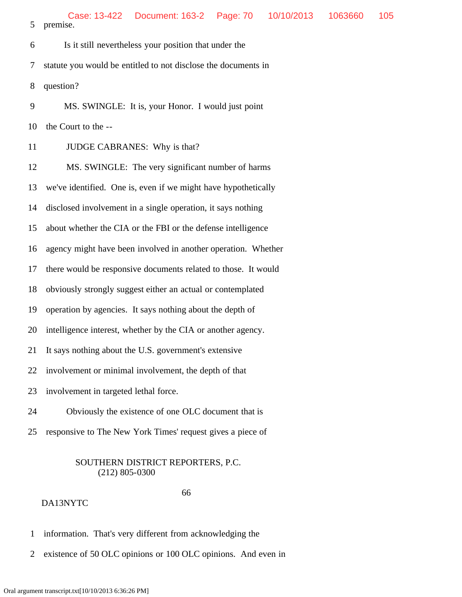6 Is it still nevertheless your position that under the 7 statute you would be entitled to not disclose the documents in 8 question? 9 MS. SWINGLE: It is, your Honor. I would just point 10 the Court to the -- 11 **JUDGE CABRANES:** Why is that? 12 MS. SWINGLE: The very significant number of harms 13 we've identified. One is, even if we might have hypothetically 14 disclosed involvement in a single operation, it says nothing 15 about whether the CIA or the FBI or the defense intelligence 16 agency might have been involved in another operation. Whether 17 there would be responsive documents related to those. It would 18 obviously strongly suggest either an actual or contemplated 19 operation by agencies. It says nothing about the depth of 20 intelligence interest, whether by the CIA or another agency. 21 It says nothing about the U.S. government's extensive 22 involvement or minimal involvement, the depth of that 23 involvement in targeted lethal force. 24 Obviously the existence of one OLC document that is

25 responsive to The New York Times' request gives a piece of

## SOUTHERN DISTRICT REPORTERS, P.C. (212) 805-0300

### 66

- 1 information. That's very different from acknowledging the
- 2 existence of 50 OLC opinions or 100 OLC opinions. And even in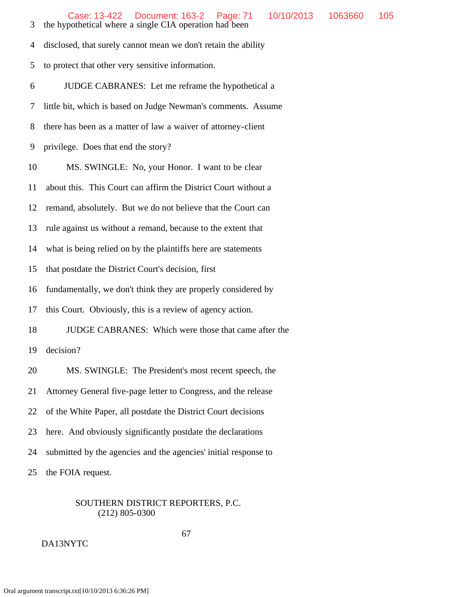4 disclosed, that surely cannot mean we don't retain the ability 5 to protect that other very sensitive information.

6 JUDGE CABRANES: Let me reframe the hypothetical a

7 little bit, which is based on Judge Newman's comments. Assume

8 there has been as a matter of law a waiver of attorney-client

9 privilege. Does that end the story?

10 MS. SWINGLE: No, your Honor. I want to be clear

11 about this. This Court can affirm the District Court without a

12 remand, absolutely. But we do not believe that the Court can

13 rule against us without a remand, because to the extent that

14 what is being relied on by the plaintiffs here are statements

15 that postdate the District Court's decision, first

16 fundamentally, we don't think they are properly considered by

17 this Court. Obviously, this is a review of agency action.

18 JUDGE CABRANES: Which were those that came after the

19 decision?

20 MS. SWINGLE: The President's most recent speech, the

21 Attorney General five-page letter to Congress, and the release

22 of the White Paper, all postdate the District Court decisions

23 here. And obviously significantly postdate the declarations

24 submitted by the agencies and the agencies' initial response to

25 the FOIA request.

# SOUTHERN DISTRICT REPORTERS, P.C. (212) 805-0300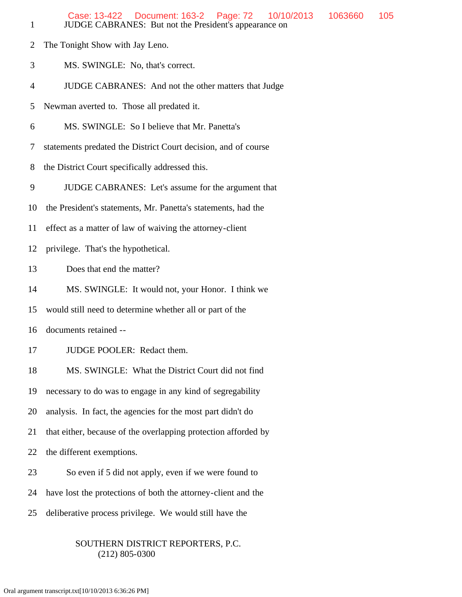| $\mathbf{1}$   | Case: 13-422  Document: 163-2  Page: 72<br>10/10/2013<br>1063660<br>JUDGE CABRANES: But not the President's appearance on | 105 |
|----------------|---------------------------------------------------------------------------------------------------------------------------|-----|
| $\overline{2}$ | The Tonight Show with Jay Leno.                                                                                           |     |
| 3              | MS. SWINGLE: No, that's correct.                                                                                          |     |
| $\overline{4}$ | JUDGE CABRANES: And not the other matters that Judge                                                                      |     |
| 5              | Newman averted to. Those all predated it.                                                                                 |     |
| 6              | MS. SWINGLE: So I believe that Mr. Panetta's                                                                              |     |
| 7              | statements predated the District Court decision, and of course                                                            |     |
| 8              | the District Court specifically addressed this.                                                                           |     |
| 9              | JUDGE CABRANES: Let's assume for the argument that                                                                        |     |
| 10             | the President's statements, Mr. Panetta's statements, had the                                                             |     |
| 11             | effect as a matter of law of waiving the attorney-client                                                                  |     |
| 12             | privilege. That's the hypothetical.                                                                                       |     |
| 13             | Does that end the matter?                                                                                                 |     |
| 14             | MS. SWINGLE: It would not, your Honor. I think we                                                                         |     |
| 15             | would still need to determine whether all or part of the                                                                  |     |
| 16             | documents retained --                                                                                                     |     |
| 17             | JUDGE POOLER: Redact them.                                                                                                |     |
| 18             | MS. SWINGLE: What the District Court did not find                                                                         |     |
| 19             | necessary to do was to engage in any kind of segregability                                                                |     |
| 20             | analysis. In fact, the agencies for the most part didn't do                                                               |     |
| 21             | that either, because of the overlapping protection afforded by                                                            |     |
| 22             | the different exemptions.                                                                                                 |     |
| 23             | So even if 5 did not apply, even if we were found to                                                                      |     |
| 24             | have lost the protections of both the attorney-client and the                                                             |     |
| 25             | deliberative process privilege. We would still have the                                                                   |     |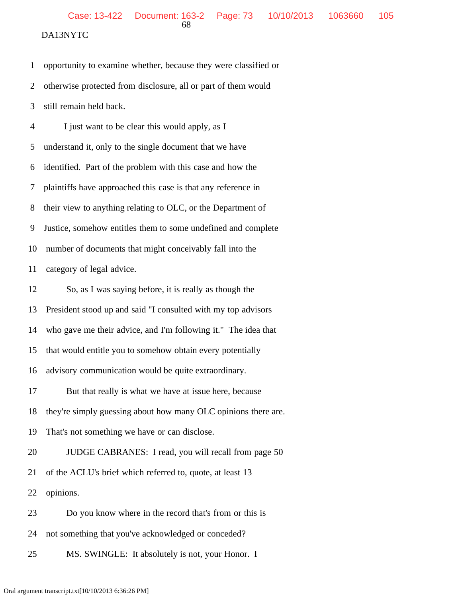1 opportunity to examine whether, because they were classified or 2 otherwise protected from disclosure, all or part of them would

 3 still remain held back. 4 I just want to be clear this would apply, as I

 5 understand it, only to the single document that we have 6 identified. Part of the problem with this case and how the 7 plaintiffs have approached this case is that any reference in 8 their view to anything relating to OLC, or the Department of 9 Justice, somehow entitles them to some undefined and complete 10 number of documents that might conceivably fall into the 11 category of legal advice.

12 So, as I was saying before, it is really as though the

13 President stood up and said "I consulted with my top advisors

14 who gave me their advice, and I'm following it." The idea that

15 that would entitle you to somehow obtain every potentially

16 advisory communication would be quite extraordinary.

17 But that really is what we have at issue here, because

18 they're simply guessing about how many OLC opinions there are.

19 That's not something we have or can disclose.

20 JUDGE CABRANES: I read, you will recall from page 50

21 of the ACLU's brief which referred to, quote, at least 13

22 opinions.

23 Do you know where in the record that's from or this is

24 not something that you've acknowledged or conceded?

25 MS. SWINGLE: It absolutely is not, your Honor. I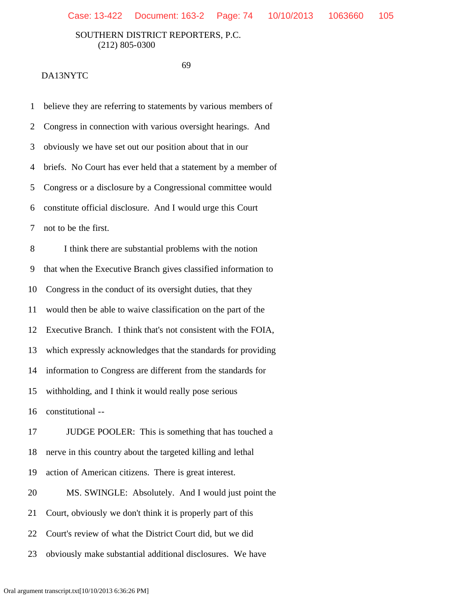69

| $\mathbf{1}$   | believe they are referring to statements by various members of |
|----------------|----------------------------------------------------------------|
| $\overline{2}$ | Congress in connection with various oversight hearings. And    |
| 3              | obviously we have set out our position about that in our       |
| 4              | briefs. No Court has ever held that a statement by a member of |
| 5              | Congress or a disclosure by a Congressional committee would    |
| 6              | constitute official disclosure. And I would urge this Court    |
| 7              | not to be the first.                                           |
| 8              | I think there are substantial problems with the notion         |
| 9              | that when the Executive Branch gives classified information to |
| 10             | Congress in the conduct of its oversight duties, that they     |
| 11             | would then be able to waive classification on the part of the  |
| 12             | Executive Branch. I think that's not consistent with the FOIA, |
| 13             | which expressly acknowledges that the standards for providing  |
| 14             | information to Congress are different from the standards for   |
| 15             | withholding, and I think it would really pose serious          |
| 16             | constitutional --                                              |
| 17             | JUDGE POOLER: This is something that has touched a             |
| 18             | nerve in this country about the targeted killing and lethal    |
| 19             | action of American citizens. There is great interest.          |
| 20             | MS. SWINGLE: Absolutely. And I would just point the            |
| 21             | Court, obviously we don't think it is properly part of this    |
| 22             | Court's review of what the District Court did, but we did      |
| 23             | obviously make substantial additional disclosures. We have     |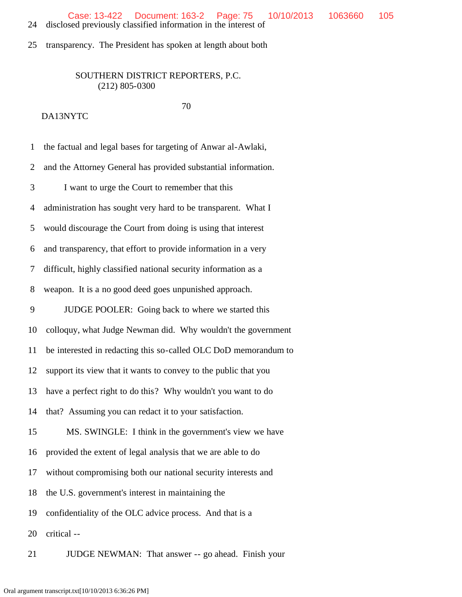24 disclosed previously classified information in the interest of

25 transparency. The President has spoken at length about both

# SOUTHERN DISTRICT REPORTERS, P.C. (212) 805-0300

| $\mathbf{1}$ | the factual and legal bases for targeting of Anwar al-Awlaki,   |
|--------------|-----------------------------------------------------------------|
| 2            | and the Attorney General has provided substantial information.  |
| 3            | I want to urge the Court to remember that this                  |
| 4            | administration has sought very hard to be transparent. What I   |
| 5            | would discourage the Court from doing is using that interest    |
| 6            | and transparency, that effort to provide information in a very  |
| 7            | difficult, highly classified national security information as a |
| 8            | weapon. It is a no good deed goes unpunished approach.          |
| 9            | JUDGE POOLER: Going back to where we started this               |
| 10           | colloquy, what Judge Newman did. Why wouldn't the government    |
| 11           | be interested in redacting this so-called OLC DoD memorandum to |
| 12           | support its view that it wants to convey to the public that you |
| 13           | have a perfect right to do this? Why wouldn't you want to do    |
| 14           | that? Assuming you can redact it to your satisfaction.          |
| 15           | MS. SWINGLE: I think in the government's view we have           |
| 16           | provided the extent of legal analysis that we are able to do    |
| 17           | without compromising both our national security interests and   |
| 18           | the U.S. government's interest in maintaining the               |
| 19           | confidentiality of the OLC advice process. And that is a        |
| 20           | critical --                                                     |
| 21           | JUDGE NEWMAN: That answer -- go ahead. Finish your              |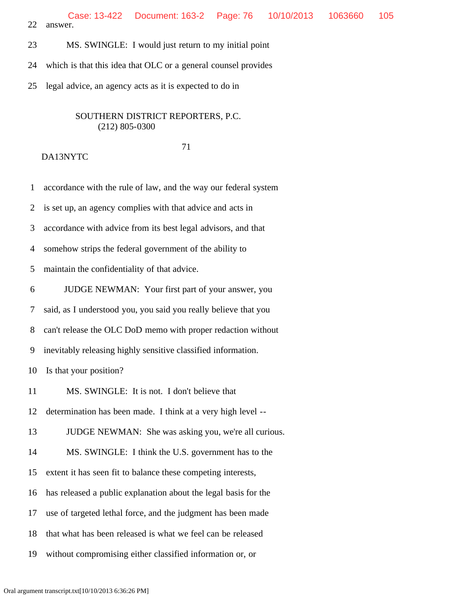- 23 MS. SWINGLE: I would just return to my initial point
- 24 which is that this idea that OLC or a general counsel provides
- 25 legal advice, an agency acts as it is expected to do in

#### 71

# DA13NYTC

1 accordance with the rule of law, and the way our federal system

2 is set up, an agency complies with that advice and acts in

3 accordance with advice from its best legal advisors, and that

4 somehow strips the federal government of the ability to

5 maintain the confidentiality of that advice.

6 JUDGE NEWMAN: Your first part of your answer, you

7 said, as I understood you, you said you really believe that you

8 can't release the OLC DoD memo with proper redaction without

9 inevitably releasing highly sensitive classified information.

10 Is that your position?

11 MS. SWINGLE: It is not. I don't believe that

12 determination has been made. I think at a very high level --

- 13 JUDGE NEWMAN: She was asking you, we're all curious.
- 14 MS. SWINGLE: I think the U.S. government has to the
- 15 extent it has seen fit to balance these competing interests,
- 16 has released a public explanation about the legal basis for the
- 17 use of targeted lethal force, and the judgment has been made
- 18 that what has been released is what we feel can be released
- 19 without compromising either classified information or, or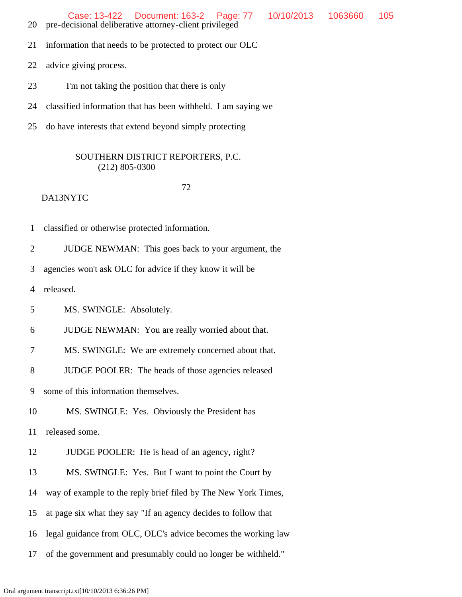Case: 13-422 Document: 163-2 Page: 77 10/10/2013 1063660 105

- 20 pre-decisional deliberative attorney-client privileged
- 21 information that needs to be protected to protect our OLC
- 22 advice giving process.
- 23 I'm not taking the position that there is only
- 24 classified information that has been withheld. I am saying we
- 25 do have interests that extend beyond simply protecting

#### SOUTHERN DISTRICT REPORTERS, P.C. (212) 805-0300

72

DA13NYTC

1 classified or otherwise protected information.

2 JUDGE NEWMAN: This goes back to your argument, the

3 agencies won't ask OLC for advice if they know it will be

4 released.

5 MS. SWINGLE: Absolutely.

6 JUDGE NEWMAN: You are really worried about that.

7 MS. SWINGLE: We are extremely concerned about that.

8 JUDGE POOLER: The heads of those agencies released

9 some of this information themselves.

10 MS. SWINGLE: Yes. Obviously the President has

11 released some.

- 12 JUDGE POOLER: He is head of an agency, right?
- 13 MS. SWINGLE: Yes. But I want to point the Court by
- 14 way of example to the reply brief filed by The New York Times,
- 15 at page six what they say "If an agency decides to follow that
- 16 legal guidance from OLC, OLC's advice becomes the working law
- 17 of the government and presumably could no longer be withheld."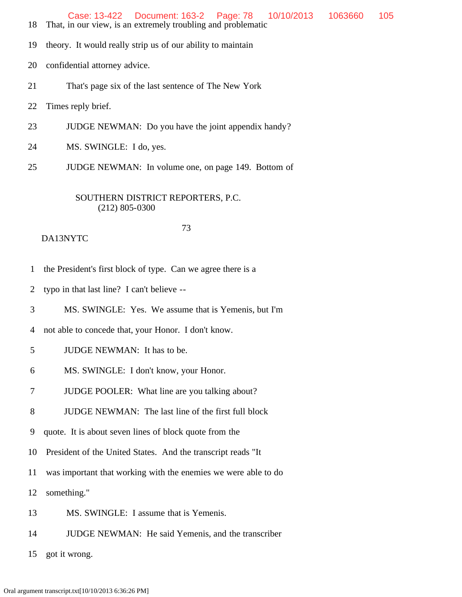- 18 That, in our view, is an extremely troubling and problematic
- 19 theory. It would really strip us of our ability to maintain
- 20 confidential attorney advice.
- 21 That's page six of the last sentence of The New York
- 22 Times reply brief.
- 23 JUDGE NEWMAN: Do you have the joint appendix handy?
- 24 MS. SWINGLE: I do, yes.
- 25 JUDGE NEWMAN: In volume one, on page 149. Bottom of

#### 73 DA13NYTC

- 1 the President's first block of type. Can we agree there is a
- 2 typo in that last line? I can't believe --
- 3 MS. SWINGLE: Yes. We assume that is Yemenis, but I'm

4 not able to concede that, your Honor. I don't know.

# 5 JUDGE NEWMAN: It has to be.

- 6 MS. SWINGLE: I don't know, your Honor.
- 7 JUDGE POOLER: What line are you talking about?
- 8 JUDGE NEWMAN: The last line of the first full block
- 9 quote. It is about seven lines of block quote from the
- 10 President of the United States. And the transcript reads "It
- 11 was important that working with the enemies we were able to do
- 12 something."
- 13 MS. SWINGLE: I assume that is Yemenis.
- 14 JUDGE NEWMAN: He said Yemenis, and the transcriber

15 got it wrong.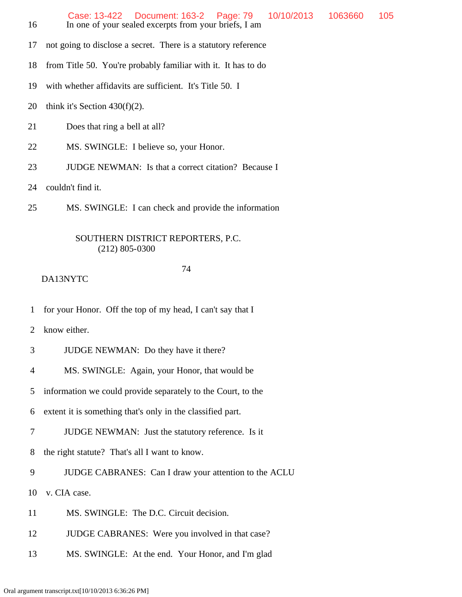| 16 | 10/10/2013<br>Case: 13-422  Document: 163-2  Page: 79<br>In one of your sealed excerpts from your briefs, I am | 1063660 | 105 |  |  |  |
|----|----------------------------------------------------------------------------------------------------------------|---------|-----|--|--|--|
| 17 | not going to disclose a secret. There is a statutory reference                                                 |         |     |  |  |  |
| 18 | from Title 50. You're probably familiar with it. It has to do                                                  |         |     |  |  |  |
| 19 | with whether affidavits are sufficient. It's Title 50. I                                                       |         |     |  |  |  |
| 20 | think it's Section $430(f)(2)$ .                                                                               |         |     |  |  |  |
| 21 | Does that ring a bell at all?                                                                                  |         |     |  |  |  |
| 22 | MS. SWINGLE: I believe so, your Honor.                                                                         |         |     |  |  |  |
| 23 | <b>JUDGE NEWMAN:</b> Is that a correct citation? Because I                                                     |         |     |  |  |  |
| 24 | couldn't find it.                                                                                              |         |     |  |  |  |
| 25 | MS. SWINGLE: I can check and provide the information                                                           |         |     |  |  |  |
|    | SOUTHERN DISTRICT REPORTERS, P.C.<br>$(212)$ 805-0300                                                          |         |     |  |  |  |

#### 74

- 1 for your Honor. Off the top of my head, I can't say that I
- 2 know either.
- 3 JUDGE NEWMAN: Do they have it there?
- 4 MS. SWINGLE: Again, your Honor, that would be
- 5 information we could provide separately to the Court, to the
- 6 extent it is something that's only in the classified part.
- 7 JUDGE NEWMAN: Just the statutory reference. Is it
- 8 the right statute? That's all I want to know.
- 9 JUDGE CABRANES: Can I draw your attention to the ACLU
- 10 v. CIA case.
- 11 MS. SWINGLE: The D.C. Circuit decision.
- 12 JUDGE CABRANES: Were you involved in that case?
- 13 MS. SWINGLE: At the end. Your Honor, and I'm glad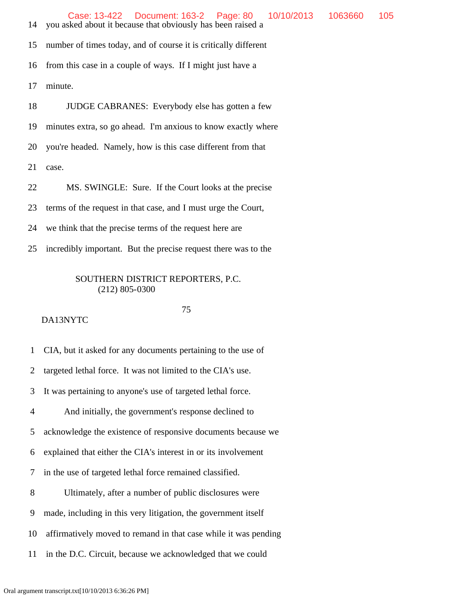14 you asked about it because that obviously has been raised a

15 number of times today, and of course it is critically different

16 from this case in a couple of ways. If I might just have a

17 minute.

18 JUDGE CABRANES: Everybody else has gotten a few

19 minutes extra, so go ahead. I'm anxious to know exactly where

20 you're headed. Namely, how is this case different from that

21 case.

22 MS. SWINGLE: Sure. If the Court looks at the precise

23 terms of the request in that case, and I must urge the Court,

24 we think that the precise terms of the request here are

25 incredibly important. But the precise request there was to the

#### SOUTHERN DISTRICT REPORTERS, P.C. (212) 805-0300

#### DA13NYTC

75

1 CIA, but it asked for any documents pertaining to the use of

2 targeted lethal force. It was not limited to the CIA's use.

3 It was pertaining to anyone's use of targeted lethal force.

4 And initially, the government's response declined to

5 acknowledge the existence of responsive documents because we

6 explained that either the CIA's interest in or its involvement

7 in the use of targeted lethal force remained classified.

8 Ultimately, after a number of public disclosures were

- 9 made, including in this very litigation, the government itself
- 10 affirmatively moved to remand in that case while it was pending
- 11 in the D.C. Circuit, because we acknowledged that we could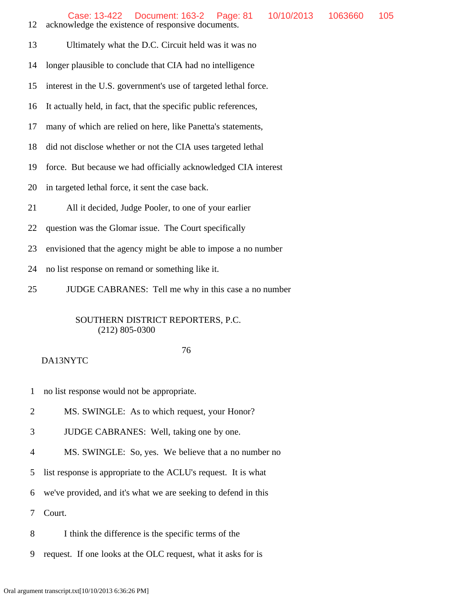- 12 acknowledge the existence of responsive documents.
- 13 Ultimately what the D.C. Circuit held was it was no
- 14 longer plausible to conclude that CIA had no intelligence
- 15 interest in the U.S. government's use of targeted lethal force.
- 16 It actually held, in fact, that the specific public references,
- 17 many of which are relied on here, like Panetta's statements,
- 18 did not disclose whether or not the CIA uses targeted lethal
- 19 force. But because we had officially acknowledged CIA interest
- 20 in targeted lethal force, it sent the case back.
- 21 All it decided, Judge Pooler, to one of your earlier
- 22 question was the Glomar issue. The Court specifically
- 23 envisioned that the agency might be able to impose a no number
- 24 no list response on remand or something like it.
- 25 JUDGE CABRANES: Tell me why in this case a no number

#### 76

# DA13NYTC

- 1 no list response would not be appropriate.
- 2 MS. SWINGLE: As to which request, your Honor?
- 3 JUDGE CABRANES: Well, taking one by one.
- 4 MS. SWINGLE: So, yes. We believe that a no number no
- 5 list response is appropriate to the ACLU's request. It is what
- 6 we've provided, and it's what we are seeking to defend in this

7 Court.

- 8 I think the difference is the specific terms of the
- 9 request. If one looks at the OLC request, what it asks for is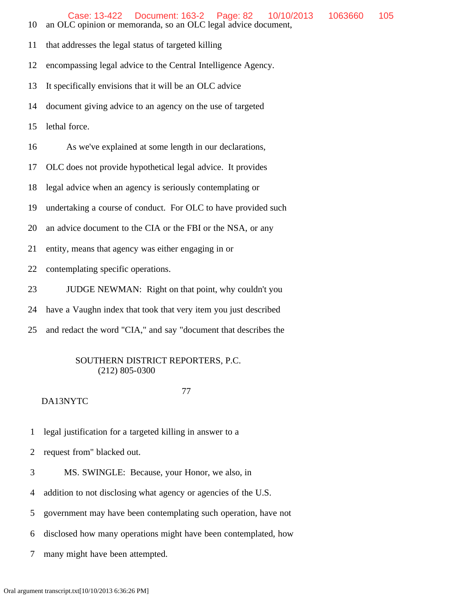- 10 an OLC opinion or memoranda, so an OLC legal advice document,
- 11 that addresses the legal status of targeted killing

12 encompassing legal advice to the Central Intelligence Agency.

- 13 It specifically envisions that it will be an OLC advice
- 14 document giving advice to an agency on the use of targeted
- 15 lethal force.

16 As we've explained at some length in our declarations,

17 OLC does not provide hypothetical legal advice. It provides

18 legal advice when an agency is seriously contemplating or

19 undertaking a course of conduct. For OLC to have provided such

20 an advice document to the CIA or the FBI or the NSA, or any

21 entity, means that agency was either engaging in or

22 contemplating specific operations.

23 JUDGE NEWMAN: Right on that point, why couldn't you

24 have a Vaughn index that took that very item you just described

25 and redact the word "CIA," and say "document that describes the

# SOUTHERN DISTRICT REPORTERS, P.C. (212) 805-0300

#### 77

# DA13NYTC

1 legal justification for a targeted killing in answer to a

2 request from" blacked out.

3 MS. SWINGLE: Because, your Honor, we also, in

4 addition to not disclosing what agency or agencies of the U.S.

5 government may have been contemplating such operation, have not

6 disclosed how many operations might have been contemplated, how

7 many might have been attempted.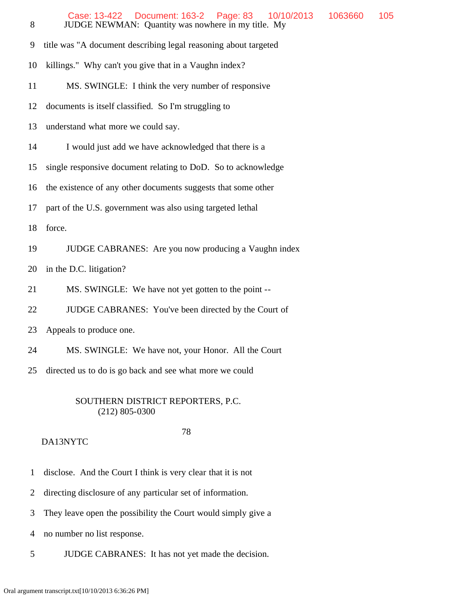| 8  | Case: 13-422<br>Document: 163-2<br>Page: 83<br>10/10/2013<br>1063660<br>JUDGE NEWMAN: Quantity was nowhere in my title. My | 105 |
|----|----------------------------------------------------------------------------------------------------------------------------|-----|
| 9  | title was "A document describing legal reasoning about targeted                                                            |     |
| 10 | killings." Why can't you give that in a Vaughn index?                                                                      |     |
| 11 | MS. SWINGLE: I think the very number of responsive                                                                         |     |
| 12 | documents is itself classified. So I'm struggling to                                                                       |     |
| 13 | understand what more we could say.                                                                                         |     |
| 14 | I would just add we have acknowledged that there is a                                                                      |     |
| 15 | single responsive document relating to DoD. So to acknowledge                                                              |     |
| 16 | the existence of any other documents suggests that some other                                                              |     |
| 17 | part of the U.S. government was also using targeted lethal                                                                 |     |
| 18 | force.                                                                                                                     |     |
| 19 | JUDGE CABRANES: Are you now producing a Vaughn index                                                                       |     |
| 20 | in the D.C. litigation?                                                                                                    |     |
| 21 | MS. SWINGLE: We have not yet gotten to the point --                                                                        |     |
| 22 | JUDGE CABRANES: You've been directed by the Court of                                                                       |     |
| 23 | Appeals to produce one.                                                                                                    |     |
| 24 | MS. SWINGLE: We have not, your Honor. All the Court                                                                        |     |
| 25 | directed us to do is go back and see what more we could                                                                    |     |

78

- 1 disclose. And the Court I think is very clear that it is not
- 2 directing disclosure of any particular set of information.
- 3 They leave open the possibility the Court would simply give a
- 4 no number no list response.
- 5 JUDGE CABRANES: It has not yet made the decision.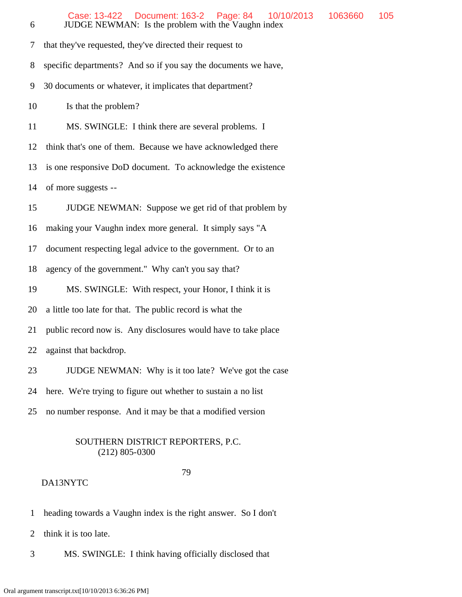| 6  | Case: 13-422  Document: 163-2  Page: 84<br>10/10/2013<br>JUDGE NEWMAN: Is the problem with the Vaughn index | 1063660 | 105 |  |  |  |  |  |  |
|----|-------------------------------------------------------------------------------------------------------------|---------|-----|--|--|--|--|--|--|
| 7  | that they've requested, they've directed their request to                                                   |         |     |  |  |  |  |  |  |
| 8  | specific departments? And so if you say the documents we have,                                              |         |     |  |  |  |  |  |  |
| 9  | 30 documents or whatever, it implicates that department?                                                    |         |     |  |  |  |  |  |  |
| 10 | Is that the problem?                                                                                        |         |     |  |  |  |  |  |  |
| 11 | MS. SWINGLE: I think there are several problems. I                                                          |         |     |  |  |  |  |  |  |
| 12 | think that's one of them. Because we have acknowledged there                                                |         |     |  |  |  |  |  |  |
| 13 | is one responsive DoD document. To acknowledge the existence                                                |         |     |  |  |  |  |  |  |
| 14 | of more suggests --                                                                                         |         |     |  |  |  |  |  |  |
| 15 | JUDGE NEWMAN: Suppose we get rid of that problem by                                                         |         |     |  |  |  |  |  |  |
| 16 | making your Vaughn index more general. It simply says "A                                                    |         |     |  |  |  |  |  |  |
| 17 | document respecting legal advice to the government. Or to an                                                |         |     |  |  |  |  |  |  |
| 18 | agency of the government." Why can't you say that?                                                          |         |     |  |  |  |  |  |  |
| 19 | MS. SWINGLE: With respect, your Honor, I think it is                                                        |         |     |  |  |  |  |  |  |
| 20 | a little too late for that. The public record is what the                                                   |         |     |  |  |  |  |  |  |
| 21 | public record now is. Any disclosures would have to take place                                              |         |     |  |  |  |  |  |  |
| 22 | against that backdrop.                                                                                      |         |     |  |  |  |  |  |  |
| 23 | JUDGE NEWMAN: Why is it too late? We've got the case                                                        |         |     |  |  |  |  |  |  |
| 24 | here. We're trying to figure out whether to sustain a no list                                               |         |     |  |  |  |  |  |  |
| 25 | no number response. And it may be that a modified version                                                   |         |     |  |  |  |  |  |  |
|    |                                                                                                             |         |     |  |  |  |  |  |  |

#### 79

- 1 heading towards a Vaughn index is the right answer. So I don't
- 2 think it is too late.
- 3 MS. SWINGLE: I think having officially disclosed that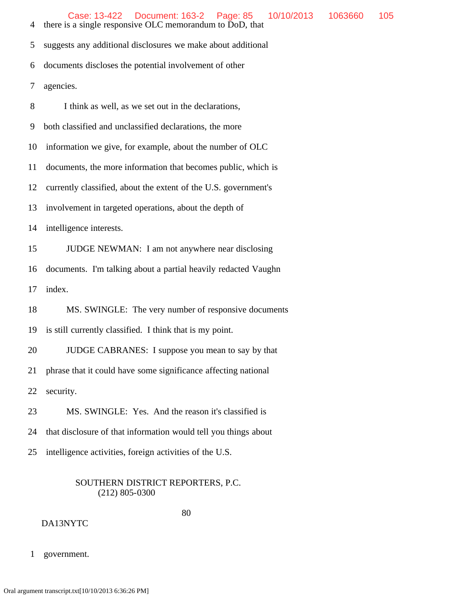4 there is a single responsive OLC memorandum to DoD, that

5 suggests any additional disclosures we make about additional

6 documents discloses the potential involvement of other

7 agencies.

8 I think as well, as we set out in the declarations,

9 both classified and unclassified declarations, the more

10 information we give, for example, about the number of OLC

11 documents, the more information that becomes public, which is

12 currently classified, about the extent of the U.S. government's

13 involvement in targeted operations, about the depth of

14 intelligence interests.

15 JUDGE NEWMAN: I am not anywhere near disclosing

16 documents. I'm talking about a partial heavily redacted Vaughn

17 index.

18 MS. SWINGLE: The very number of responsive documents

19 is still currently classified. I think that is my point.

20 JUDGE CABRANES: I suppose you mean to say by that

21 phrase that it could have some significance affecting national

22 security.

23 MS. SWINGLE: Yes. And the reason it's classified is

24 that disclosure of that information would tell you things about

25 intelligence activities, foreign activities of the U.S.

# SOUTHERN DISTRICT REPORTERS, P.C. (212) 805-0300

 80 DA13NYTC

1 government.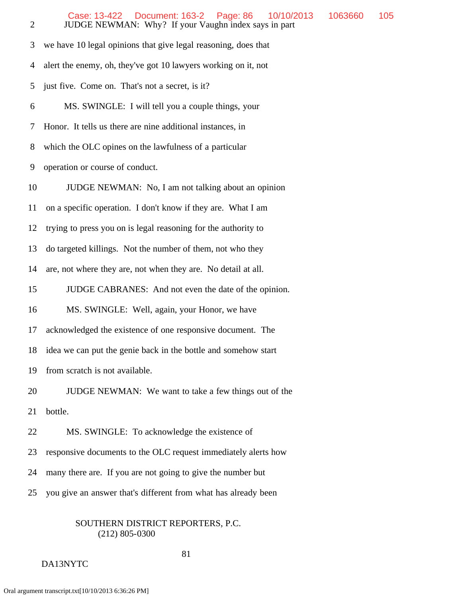| $\overline{2}$ | Case: 13-422  Document: 163-2  Page: 86<br>10/10/2013<br>JUDGE NEWMAN: Why? If your Vaughn index says in part | 1063660 | 105 |  |  |  |  |  |  |
|----------------|---------------------------------------------------------------------------------------------------------------|---------|-----|--|--|--|--|--|--|
| 3              | we have 10 legal opinions that give legal reasoning, does that                                                |         |     |  |  |  |  |  |  |
| 4              | alert the enemy, oh, they've got 10 lawyers working on it, not                                                |         |     |  |  |  |  |  |  |
| 5              | just five. Come on. That's not a secret, is it?                                                               |         |     |  |  |  |  |  |  |
| 6              | MS. SWINGLE: I will tell you a couple things, your                                                            |         |     |  |  |  |  |  |  |
| 7              | Honor. It tells us there are nine additional instances, in                                                    |         |     |  |  |  |  |  |  |
| 8              | which the OLC opines on the lawfulness of a particular                                                        |         |     |  |  |  |  |  |  |
| 9              | operation or course of conduct.                                                                               |         |     |  |  |  |  |  |  |
| 10             | JUDGE NEWMAN: No, I am not talking about an opinion                                                           |         |     |  |  |  |  |  |  |
| 11             | on a specific operation. I don't know if they are. What I am                                                  |         |     |  |  |  |  |  |  |
| 12             | trying to press you on is legal reasoning for the authority to                                                |         |     |  |  |  |  |  |  |
| 13             | do targeted killings. Not the number of them, not who they                                                    |         |     |  |  |  |  |  |  |
| 14             | are, not where they are, not when they are. No detail at all.                                                 |         |     |  |  |  |  |  |  |
| 15             | JUDGE CABRANES: And not even the date of the opinion.                                                         |         |     |  |  |  |  |  |  |
| 16             | MS. SWINGLE: Well, again, your Honor, we have                                                                 |         |     |  |  |  |  |  |  |
| 17             | acknowledged the existence of one responsive document. The                                                    |         |     |  |  |  |  |  |  |
| 18             | idea we can put the genie back in the bottle and somehow start                                                |         |     |  |  |  |  |  |  |
| 19             | from scratch is not available.                                                                                |         |     |  |  |  |  |  |  |
| 20             | JUDGE NEWMAN: We want to take a few things out of the                                                         |         |     |  |  |  |  |  |  |
| 21             | bottle.                                                                                                       |         |     |  |  |  |  |  |  |
| 22             | MS. SWINGLE: To acknowledge the existence of                                                                  |         |     |  |  |  |  |  |  |
| 23             | responsive documents to the OLC request immediately alerts how                                                |         |     |  |  |  |  |  |  |
| 24             | many there are. If you are not going to give the number but                                                   |         |     |  |  |  |  |  |  |
| 25             | you give an answer that's different from what has already been                                                |         |     |  |  |  |  |  |  |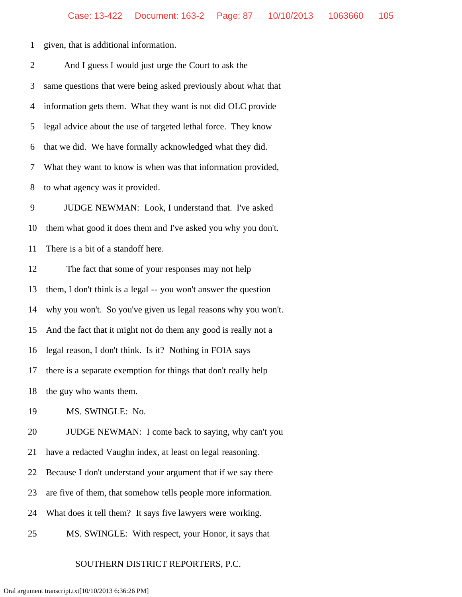1 given, that is additional information.

| $\overline{2}$ | And I guess I would just urge the Court to ask the              |
|----------------|-----------------------------------------------------------------|
| 3              | same questions that were being asked previously about what that |
| $\overline{4}$ | information gets them. What they want is not did OLC provide    |
| 5              | legal advice about the use of targeted lethal force. They know  |
| 6              | that we did. We have formally acknowledged what they did.       |
| 7              | What they want to know is when was that information provided,   |
| 8              | to what agency was it provided.                                 |
| 9              | JUDGE NEWMAN: Look, I understand that. I've asked               |
| 10             | them what good it does them and I've asked you why you don't.   |
| 11             | There is a bit of a standoff here.                              |
| 12             | The fact that some of your responses may not help               |
| 13             | them, I don't think is a legal -- you won't answer the question |
| 14             | why you won't. So you've given us legal reasons why you won't.  |
| 15             | And the fact that it might not do them any good is really not a |
| 16             | legal reason, I don't think. Is it? Nothing in FOIA says        |
| 17             | there is a separate exemption for things that don't really help |
| 18             | the guy who wants them.                                         |
| 19             | MS. SWINGLE: No.                                                |
| 20             | JUDGE NEWMAN: I come back to saying, why can't you              |
| 21             | have a redacted Vaughn index, at least on legal reasoning.      |
| 22             | Because I don't understand your argument that if we say there   |
| 23             | are five of them, that somehow tells people more information.   |
| 24             | What does it tell them? It says five lawyers were working.      |
|                |                                                                 |

25 MS. SWINGLE: With respect, your Honor, it says that

# SOUTHERN DISTRICT REPORTERS, P.C.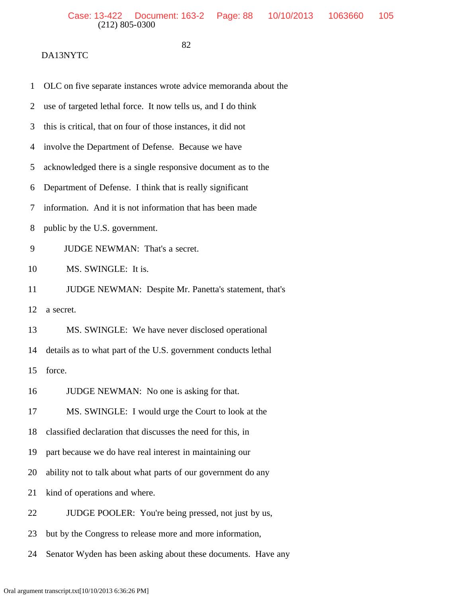- 1 OLC on five separate instances wrote advice memoranda about the
- 2 use of targeted lethal force. It now tells us, and I do think
- 3 this is critical, that on four of those instances, it did not
- 4 involve the Department of Defense. Because we have
- 5 acknowledged there is a single responsive document as to the
- 6 Department of Defense. I think that is really significant
- 7 information. And it is not information that has been made
- 8 public by the U.S. government.
- 9 JUDGE NEWMAN: That's a secret.
- 10 MS. SWINGLE: It is.
- 11 JUDGE NEWMAN: Despite Mr. Panetta's statement, that's
- 12 a secret.
- 13 MS. SWINGLE: We have never disclosed operational
- 14 details as to what part of the U.S. government conducts lethal
- 15 force.
- 16 JUDGE NEWMAN: No one is asking for that.
- 17 MS. SWINGLE: I would urge the Court to look at the
- 18 classified declaration that discusses the need for this, in
- 19 part because we do have real interest in maintaining our
- 20 ability not to talk about what parts of our government do any
- 21 kind of operations and where.
- 22 JUDGE POOLER: You're being pressed, not just by us,
- 23 but by the Congress to release more and more information,
- 24 Senator Wyden has been asking about these documents. Have any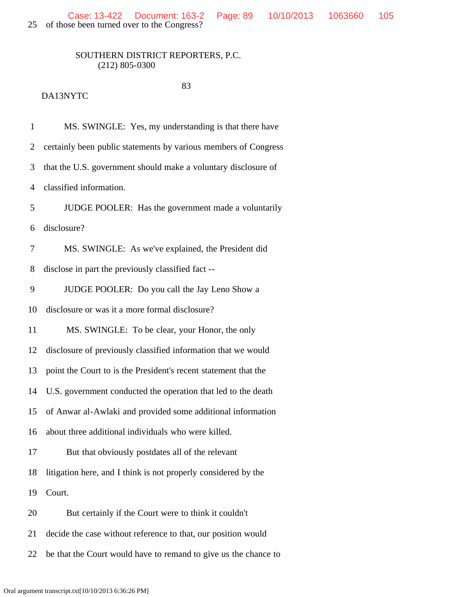25 of those been turned over to the Congress?

# SOUTHERN DISTRICT REPORTERS, P.C. (212) 805-0300

83

# DA13NYTC

 1 MS. SWINGLE: Yes, my understanding is that there have 2 certainly been public statements by various members of Congress 3 that the U.S. government should make a voluntary disclosure of 4 classified information. 5 JUDGE POOLER: Has the government made a voluntarily 6 disclosure? 7 MS. SWINGLE: As we've explained, the President did 8 disclose in part the previously classified fact -- 9 JUDGE POOLER: Do you call the Jay Leno Show a 10 disclosure or was it a more formal disclosure? 11 MS. SWINGLE: To be clear, your Honor, the only 12 disclosure of previously classified information that we would 13 point the Court to is the President's recent statement that the 14 U.S. government conducted the operation that led to the death 15 of Anwar al-Awlaki and provided some additional information 16 about three additional individuals who were killed. 17 But that obviously postdates all of the relevant 18 litigation here, and I think is not properly considered by the 19 Court. 20 But certainly if the Court were to think it couldn't 21 decide the case without reference to that, our position would 22 be that the Court would have to remand to give us the chance to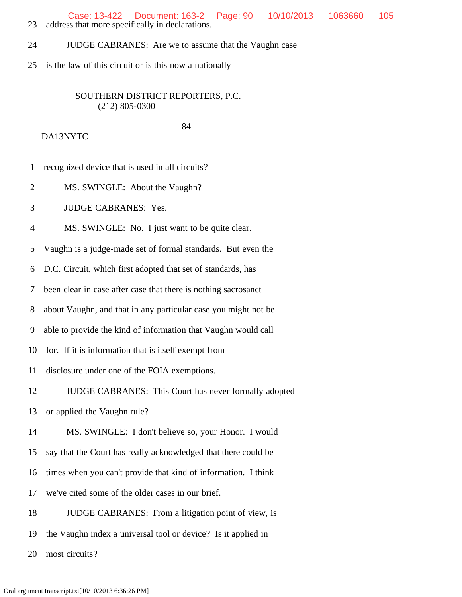Case: 13-422 Document: 163-2 Page: 90 10/10/2013 1063660 105

23 address that more specifically in declarations.

24 JUDGE CABRANES: Are we to assume that the Vaughn case

25 is the law of this circuit or is this now a nationally

# SOUTHERN DISTRICT REPORTERS, P.C. (212) 805-0300

84

DA13NYTC

- 1 recognized device that is used in all circuits?
- 2 MS. SWINGLE: About the Vaughn?

3 JUDGE CABRANES: Yes.

4 MS. SWINGLE: No. I just want to be quite clear.

5 Vaughn is a judge-made set of formal standards. But even the

6 D.C. Circuit, which first adopted that set of standards, has

7 been clear in case after case that there is nothing sacrosanct

8 about Vaughn, and that in any particular case you might not be

9 able to provide the kind of information that Vaughn would call

10 for. If it is information that is itself exempt from

11 disclosure under one of the FOIA exemptions.

12 JUDGE CABRANES: This Court has never formally adopted

13 or applied the Vaughn rule?

14 MS. SWINGLE: I don't believe so, your Honor. I would

15 say that the Court has really acknowledged that there could be

16 times when you can't provide that kind of information. I think

17 we've cited some of the older cases in our brief.

18 JUDGE CABRANES: From a litigation point of view, is

19 the Vaughn index a universal tool or device? Is it applied in

20 most circuits?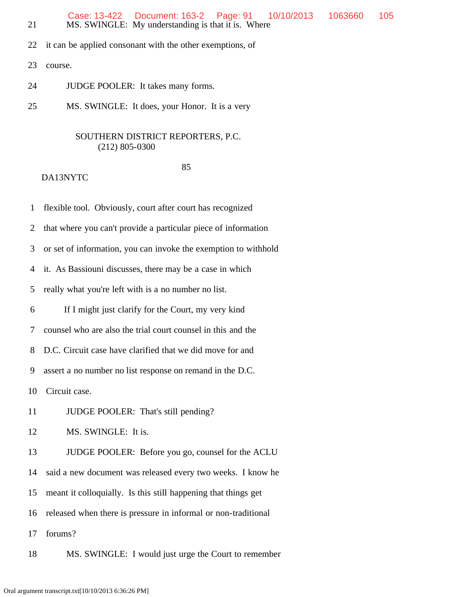|  | Case: 13-422  Document: 163-2  Page: 91  10/10/2013  1063660  105 |  |  |
|--|-------------------------------------------------------------------|--|--|
|  | MS. SWINGLE: My understanding is that it is. Where                |  |  |

- 22 it can be applied consonant with the other exemptions, of
- 23 course.
- 24 JUDGE POOLER: It takes many forms.
- 25 MS. SWINGLE: It does, your Honor. It is a very

#### 85 and the state of the state of the state of the state of the state of the state of the state of the state of the state of the state of the state of the state of the state of the state of the state of the state of the sta

- 1 flexible tool. Obviously, court after court has recognized
- 2 that where you can't provide a particular piece of information
- 3 or set of information, you can invoke the exemption to withhold
- 4 it. As Bassiouni discusses, there may be a case in which
- 5 really what you're left with is a no number no list.
- 6 If I might just clarify for the Court, my very kind
- 7 counsel who are also the trial court counsel in this and the
- 8 D.C. Circuit case have clarified that we did move for and
- 9 assert a no number no list response on remand in the D.C.
- 10 Circuit case.
- 11 JUDGE POOLER: That's still pending?
- 12 MS. SWINGLE: It is.
- 13 JUDGE POOLER: Before you go, counsel for the ACLU
- 14 said a new document was released every two weeks. I know he
- 15 meant it colloquially. Is this still happening that things get
- 16 released when there is pressure in informal or non-traditional
- 17 forums?
- 18 MS. SWINGLE: I would just urge the Court to remember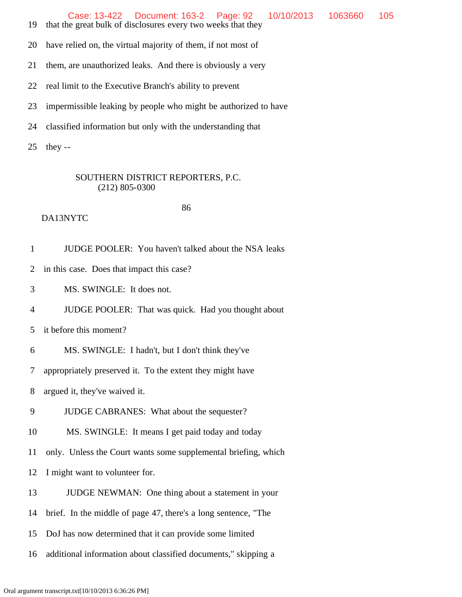Case: 13-422 Document: 163-2 Page: 92 10/10/2013 1063660 105

19 that the great bulk of disclosures every two weeks that they

20 have relied on, the virtual majority of them, if not most of

21 them, are unauthorized leaks. And there is obviously a very

- 22 real limit to the Executive Branch's ability to prevent
- 23 impermissible leaking by people who might be authorized to have
- 24 classified information but only with the understanding that
- 25 they --

# SOUTHERN DISTRICT REPORTERS, P.C. (212) 805-0300

# DA13NYTC

86

1 JUDGE POOLER: You haven't talked about the NSA leaks

2 in this case. Does that impact this case?

3 MS. SWINGLE: It does not.

4 JUDGE POOLER: That was quick. Had you thought about

5 it before this moment?

6 MS. SWINGLE: I hadn't, but I don't think they've

7 appropriately preserved it. To the extent they might have

8 argued it, they've waived it.

9 JUDGE CABRANES: What about the sequester?

10 MS. SWINGLE: It means I get paid today and today

11 only. Unless the Court wants some supplemental briefing, which

12 I might want to volunteer for.

13 JUDGE NEWMAN: One thing about a statement in your

14 brief. In the middle of page 47, there's a long sentence, "The

15 DoJ has now determined that it can provide some limited

16 additional information about classified documents," skipping a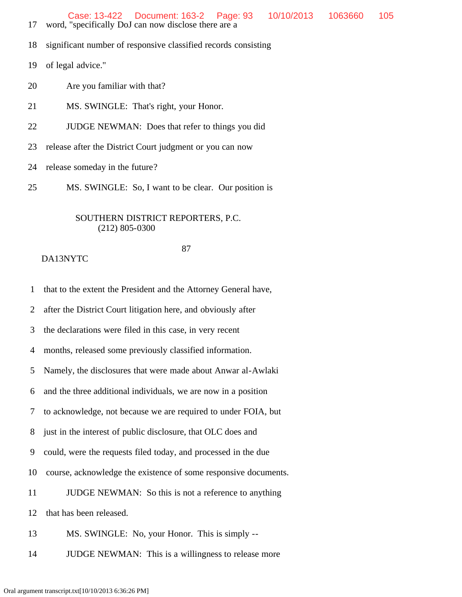- 17 word, "specifically DoJ can now disclose there are a
- 18 significant number of responsive classified records consisting
- 19 of legal advice."
- 20 Are you familiar with that?
- 21 MS. SWINGLE: That's right, your Honor.
- 22 JUDGE NEWMAN: Does that refer to things you did
- 23 release after the District Court judgment or you can now
- 24 release someday in the future?
- 25 MS. SWINGLE: So, I want to be clear. Our position is

#### 87

# DA13NYTC

1 that to the extent the President and the Attorney General have,

2 after the District Court litigation here, and obviously after

3 the declarations were filed in this case, in very recent

4 months, released some previously classified information.

5 Namely, the disclosures that were made about Anwar al-Awlaki

6 and the three additional individuals, we are now in a position

7 to acknowledge, not because we are required to under FOIA, but

8 just in the interest of public disclosure, that OLC does and

9 could, were the requests filed today, and processed in the due

10 course, acknowledge the existence of some responsive documents.

11 JUDGE NEWMAN: So this is not a reference to anything

12 that has been released.

13 MS. SWINGLE: No, your Honor. This is simply --

14 JUDGE NEWMAN: This is a willingness to release more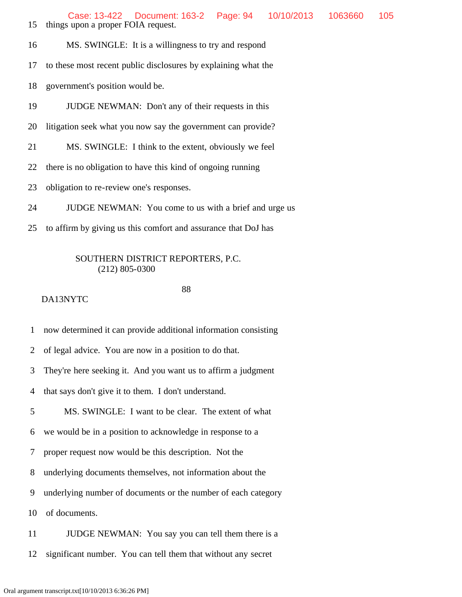Case: 13-422 Document: 163-2 Page: 94 10/10/2013 1063660 105

15 things upon a proper FOIA request.

16 MS. SWINGLE: It is a willingness to try and respond

17 to these most recent public disclosures by explaining what the

18 government's position would be.

19 JUDGE NEWMAN: Don't any of their requests in this

20 litigation seek what you now say the government can provide?

21 MS. SWINGLE: I think to the extent, obviously we feel

22 there is no obligation to have this kind of ongoing running

23 obligation to re-review one's responses.

24 JUDGE NEWMAN: You come to us with a brief and urge us

25 to affirm by giving us this comfort and assurance that DoJ has

### SOUTHERN DISTRICT REPORTERS, P.C. (212) 805-0300

#### 88

# DA13NYTC

1 now determined it can provide additional information consisting

2 of legal advice. You are now in a position to do that.

3 They're here seeking it. And you want us to affirm a judgment

4 that says don't give it to them. I don't understand.

5 MS. SWINGLE: I want to be clear. The extent of what

6 we would be in a position to acknowledge in response to a

7 proper request now would be this description. Not the

8 underlying documents themselves, not information about the

9 underlying number of documents or the number of each category

10 of documents.

11 **JUDGE NEWMAN:** You say you can tell them there is a

12 significant number. You can tell them that without any secret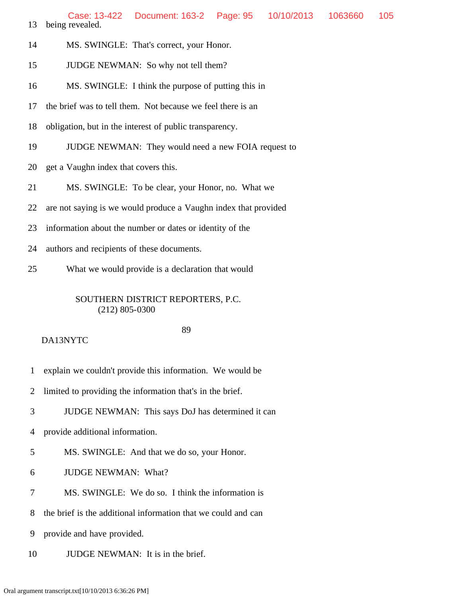13 being revealed. Case: 13-422 Document: 163-2 Page: 95 10/10/2013 1063660 105

- 14 MS. SWINGLE: That's correct, your Honor.
- 15 JUDGE NEWMAN: So why not tell them?
- 16 MS. SWINGLE: I think the purpose of putting this in
- 17 the brief was to tell them. Not because we feel there is an
- 18 obligation, but in the interest of public transparency.
- 19 JUDGE NEWMAN: They would need a new FOIA request to
- 20 get a Vaughn index that covers this.
- 21 MS. SWINGLE: To be clear, your Honor, no. What we
- 22 are not saying is we would produce a Vaughn index that provided
- 23 information about the number or dates or identity of the
- 24 authors and recipients of these documents.
- 25 What we would provide is a declaration that would

#### SOUTHERN DISTRICT REPORTERS, P.C. (212) 805-0300

- 1 explain we couldn't provide this information. We would be
- 2 limited to providing the information that's in the brief.
- 3 JUDGE NEWMAN: This says DoJ has determined it can
- 4 provide additional information.
- 5 MS. SWINGLE: And that we do so, your Honor.
- 6 JUDGE NEWMAN: What?
- 7 MS. SWINGLE: We do so. I think the information is
- 8 the brief is the additional information that we could and can
- 9 provide and have provided.
- 10 JUDGE NEWMAN: It is in the brief.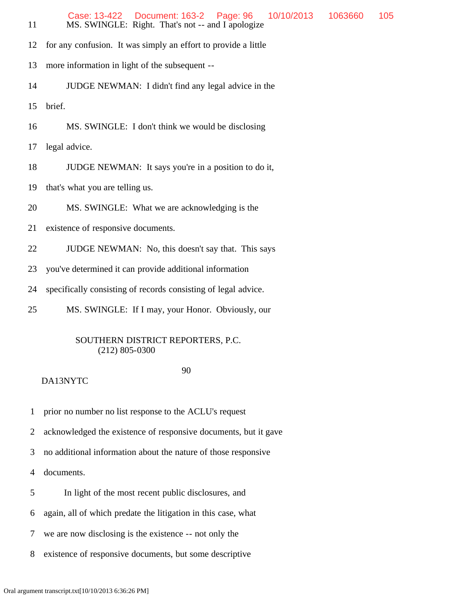| 11 | Document: 163-2<br>Page: 96<br>10/10/2013<br>1063660<br>105<br>Case: 13-422<br>MS. SWINGLE: Right. That's not -- and I apologize |  |  |  |  |  |  |
|----|----------------------------------------------------------------------------------------------------------------------------------|--|--|--|--|--|--|
| 12 | for any confusion. It was simply an effort to provide a little                                                                   |  |  |  |  |  |  |
| 13 | more information in light of the subsequent --                                                                                   |  |  |  |  |  |  |
| 14 | JUDGE NEWMAN: I didn't find any legal advice in the                                                                              |  |  |  |  |  |  |
| 15 | brief.                                                                                                                           |  |  |  |  |  |  |
| 16 | MS. SWINGLE: I don't think we would be disclosing                                                                                |  |  |  |  |  |  |
| 17 | legal advice.                                                                                                                    |  |  |  |  |  |  |
| 18 | JUDGE NEWMAN: It says you're in a position to do it,                                                                             |  |  |  |  |  |  |
| 19 | that's what you are telling us.                                                                                                  |  |  |  |  |  |  |
| 20 | MS. SWINGLE: What we are acknowledging is the                                                                                    |  |  |  |  |  |  |
| 21 | existence of responsive documents.                                                                                               |  |  |  |  |  |  |
| 22 | JUDGE NEWMAN: No, this doesn't say that. This says                                                                               |  |  |  |  |  |  |
| 23 | you've determined it can provide additional information                                                                          |  |  |  |  |  |  |
| 24 | specifically consisting of records consisting of legal advice.                                                                   |  |  |  |  |  |  |
| 25 | MS. SWINGLE: If I may, your Honor. Obviously, our                                                                                |  |  |  |  |  |  |
|    | SOUTHERN DISTRICT REPORTERS, P.C.<br>$(212)$ 805-0300                                                                            |  |  |  |  |  |  |

#### 90

#### DA13NYTC

1 prior no number no list response to the ACLU's request

2 acknowledged the existence of responsive documents, but it gave

3 no additional information about the nature of those responsive

4 documents.

- 5 In light of the most recent public disclosures, and
- 6 again, all of which predate the litigation in this case, what
- 7 we are now disclosing is the existence -- not only the
- 8 existence of responsive documents, but some descriptive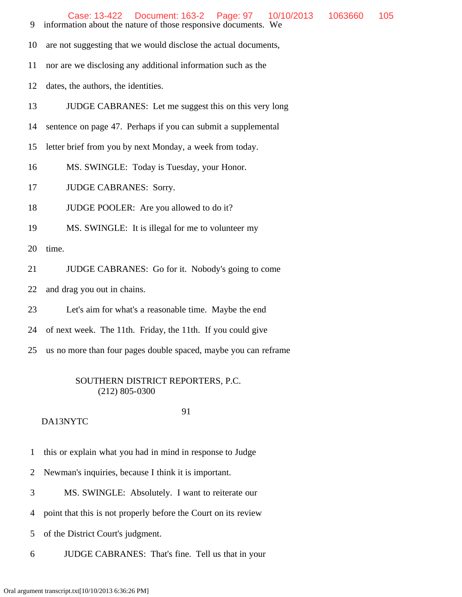- 9 information about the nature of those responsive documents. We
- 10 are not suggesting that we would disclose the actual documents,
- 11 nor are we disclosing any additional information such as the
- 12 dates, the authors, the identities.
- 13 JUDGE CABRANES: Let me suggest this on this very long
- 14 sentence on page 47. Perhaps if you can submit a supplemental
- 15 letter brief from you by next Monday, a week from today.
- 16 MS. SWINGLE: Today is Tuesday, your Honor.
- 17 JUDGE CABRANES: Sorry.
- 18 JUDGE POOLER: Are you allowed to do it?
- 19 MS. SWINGLE: It is illegal for me to volunteer my

20 time.

- 21 JUDGE CABRANES: Go for it. Nobody's going to come
- 22 and drag you out in chains.
- 23 Let's aim for what's a reasonable time. Maybe the end
- 24 of next week. The 11th. Friday, the 11th. If you could give
- 25 us no more than four pages double spaced, maybe you can reframe

#### SOUTHERN DISTRICT REPORTERS, P.C. (212) 805-0300

# 91

- 1 this or explain what you had in mind in response to Judge
- 2 Newman's inquiries, because I think it is important.
- 3 MS. SWINGLE: Absolutely. I want to reiterate our
- 4 point that this is not properly before the Court on its review
- 5 of the District Court's judgment.
- 6 JUDGE CABRANES: That's fine. Tell us that in your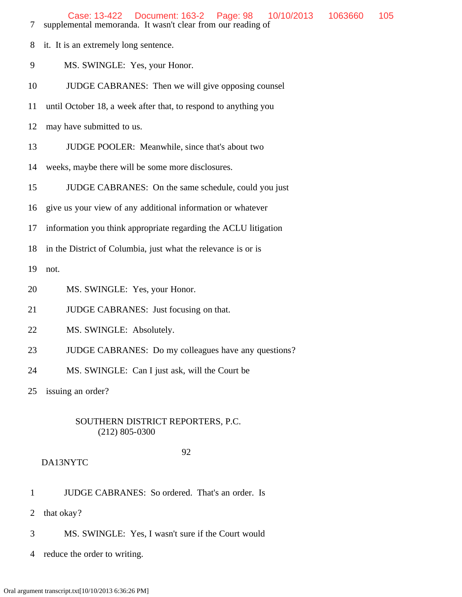- 7 supplemental memoranda. It wasn't clear from our reading of
- 8 it. It is an extremely long sentence.
- 9 MS. SWINGLE: Yes, your Honor.
- 10 JUDGE CABRANES: Then we will give opposing counsel
- 11 until October 18, a week after that, to respond to anything you
- 12 may have submitted to us.
- 13 JUDGE POOLER: Meanwhile, since that's about two
- 14 weeks, maybe there will be some more disclosures.
- 15 JUDGE CABRANES: On the same schedule, could you just
- 16 give us your view of any additional information or whatever
- 17 information you think appropriate regarding the ACLU litigation
- 18 in the District of Columbia, just what the relevance is or is

19 not.

- 20 MS. SWINGLE: Yes, your Honor.
- 21 **JUDGE CABRANES:** Just focusing on that.
- 22 MS. SWINGLE: Absolutely.
- 23 JUDGE CABRANES: Do my colleagues have any questions?
- 24 MS. SWINGLE: Can I just ask, will the Court be

25 issuing an order?

#### SOUTHERN DISTRICT REPORTERS, P.C. (212) 805-0300

#### 92

- 1 JUDGE CABRANES: So ordered. That's an order. Is
- 2 that okay?
- 3 MS. SWINGLE: Yes, I wasn't sure if the Court would
- 4 reduce the order to writing.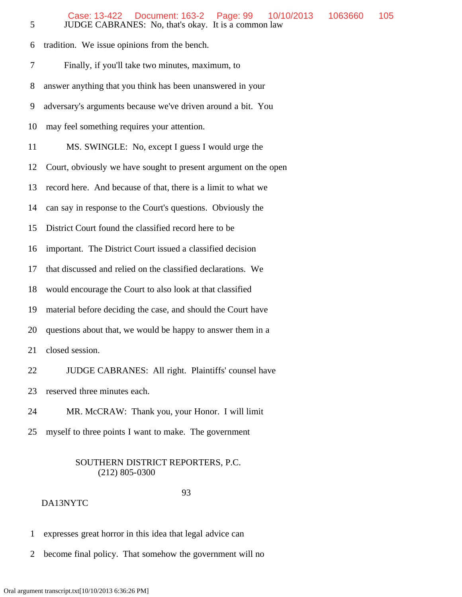6 tradition. We issue opinions from the bench. 7 Finally, if you'll take two minutes, maximum, to 8 answer anything that you think has been unanswered in your 9 adversary's arguments because we've driven around a bit. You 10 may feel something requires your attention. 11 MS. SWINGLE: No, except I guess I would urge the 12 Court, obviously we have sought to present argument on the open 13 record here. And because of that, there is a limit to what we 14 can say in response to the Court's questions. Obviously the 15 District Court found the classified record here to be 16 important. The District Court issued a classified decision 17 that discussed and relied on the classified declarations. We 18 would encourage the Court to also look at that classified 19 material before deciding the case, and should the Court have 20 questions about that, we would be happy to answer them in a 21 closed session. 22 JUDGE CABRANES: All right. Plaintiffs' counsel have

23 reserved three minutes each.

24 MR. McCRAW: Thank you, your Honor. I will limit

25 myself to three points I want to make. The government

# SOUTHERN DISTRICT REPORTERS, P.C. (212) 805-0300

#### 93

- 1 expresses great horror in this idea that legal advice can
- 2 become final policy. That somehow the government will no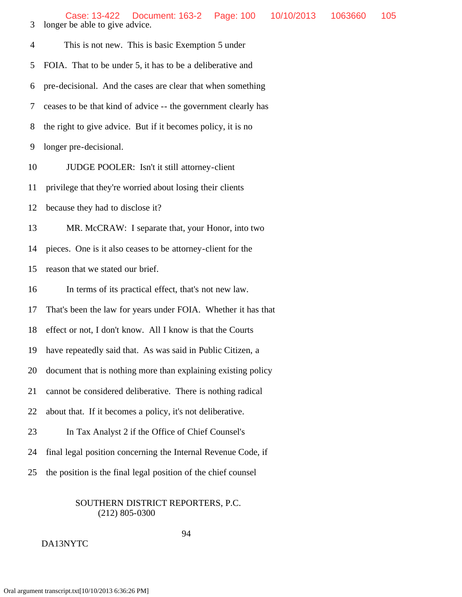Case: 13-422 Document: 163-2 Page: 100 10/10/2013 1063660 105

 3 longer be able to give advice. 4 This is not new. This is basic Exemption 5 under 5 FOIA. That to be under 5, it has to be a deliberative and 6 pre-decisional. And the cases are clear that when something 7 ceases to be that kind of advice -- the government clearly has 8 the right to give advice. But if it becomes policy, it is no 9 longer pre-decisional. 10 JUDGE POOLER: Isn't it still attorney-client 11 privilege that they're worried about losing their clients 12 because they had to disclose it? 13 MR. McCRAW: I separate that, your Honor, into two 14 pieces. One is it also ceases to be attorney-client for the 15 reason that we stated our brief. 16 In terms of its practical effect, that's not new law. 17 That's been the law for years under FOIA. Whether it has that 18 effect or not, I don't know. All I know is that the Courts 19 have repeatedly said that. As was said in Public Citizen, a 20 document that is nothing more than explaining existing policy 21 cannot be considered deliberative. There is nothing radical 22 about that. If it becomes a policy, it's not deliberative. 23 In Tax Analyst 2 if the Office of Chief Counsel's 24 final legal position concerning the Internal Revenue Code, if 25 the position is the final legal position of the chief counsel

#### SOUTHERN DISTRICT REPORTERS, P.C. (212) 805-0300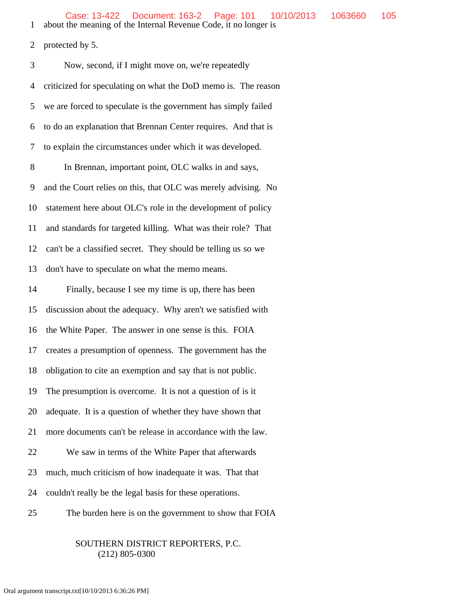1 about the meaning of the Internal Revenue Code, it no longer is

2 protected by 5.

| 3  | Now, second, if I might move on, we're repeatedly              |
|----|----------------------------------------------------------------|
| 4  | criticized for speculating on what the DoD memo is. The reason |
| 5  | we are forced to speculate is the government has simply failed |
| 6  | to do an explanation that Brennan Center requires. And that is |
| 7  | to explain the circumstances under which it was developed.     |
| 8  | In Brennan, important point, OLC walks in and says,            |
| 9  | and the Court relies on this, that OLC was merely advising. No |
| 10 | statement here about OLC's role in the development of policy   |
| 11 | and standards for targeted killing. What was their role? That  |
| 12 | can't be a classified secret. They should be telling us so we  |
| 13 | don't have to speculate on what the memo means.                |
| 14 | Finally, because I see my time is up, there has been           |
| 15 | discussion about the adequacy. Why aren't we satisfied with    |
| 16 | the White Paper. The answer in one sense is this. FOIA         |
| 17 | creates a presumption of openness. The government has the      |
| 18 | obligation to cite an exemption and say that is not public.    |
| 19 | The presumption is overcome. It is not a question of is it     |
| 20 | adequate. It is a question of whether they have shown that     |
| 21 | more documents can't be release in accordance with the law.    |
| 22 | We saw in terms of the White Paper that afterwards             |
| 23 | much, much criticism of how inadequate it was. That that       |
| 24 | couldn't really be the legal basis for these operations.       |
| 25 | The burden here is on the government to show that FOIA         |

# SOUTHERN DISTRICT REPORTERS, P.C.

# (212) 805-0300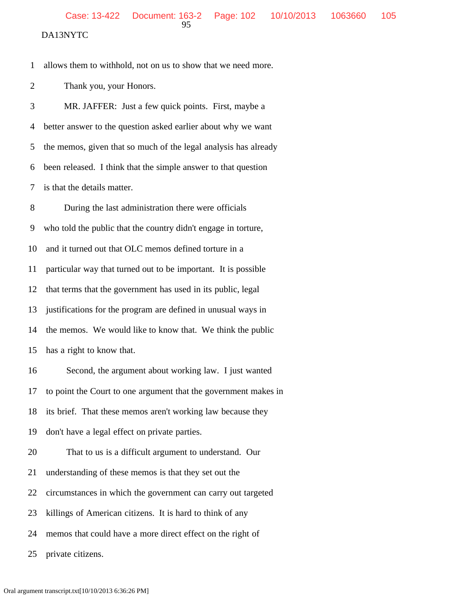DA13NYTC

1 allows them to withhold, not on us to show that we need more.

2 Thank you, your Honors.

 3 MR. JAFFER: Just a few quick points. First, maybe a 4 better answer to the question asked earlier about why we want 5 the memos, given that so much of the legal analysis has already 6 been released. I think that the simple answer to that question 7 is that the details matter.

 8 During the last administration there were officials 9 who told the public that the country didn't engage in torture, 10 and it turned out that OLC memos defined torture in a 11 particular way that turned out to be important. It is possible 12 that terms that the government has used in its public, legal 13 justifications for the program are defined in unusual ways in 14 the memos. We would like to know that. We think the public 15 has a right to know that. 16 Second, the argument about working law. I just wanted 17 to point the Court to one argument that the government makes in 18 its brief. That these memos aren't working law because they 19 don't have a legal effect on private parties.

20 That to us is a difficult argument to understand. Our

21 understanding of these memos is that they set out the

22 circumstances in which the government can carry out targeted

23 killings of American citizens. It is hard to think of any

24 memos that could have a more direct effect on the right of

25 private citizens.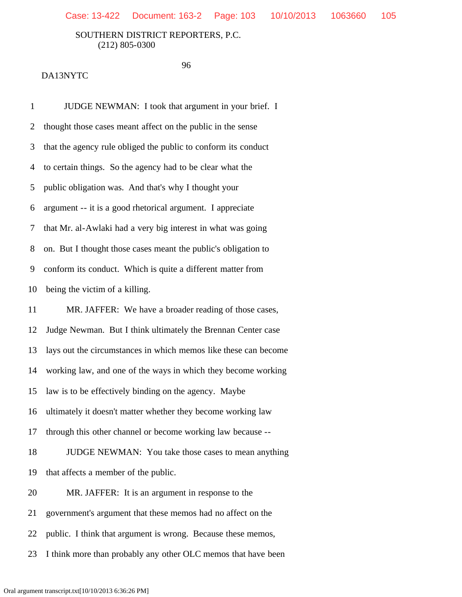96

#### DA13NYTC

 1 JUDGE NEWMAN: I took that argument in your brief. I 2 thought those cases meant affect on the public in the sense 3 that the agency rule obliged the public to conform its conduct 4 to certain things. So the agency had to be clear what the 5 public obligation was. And that's why I thought your 6 argument -- it is a good rhetorical argument. I appreciate 7 that Mr. al-Awlaki had a very big interest in what was going 8 on. But I thought those cases meant the public's obligation to 9 conform its conduct. Which is quite a different matter from 10 being the victim of a killing. 11 MR. JAFFER: We have a broader reading of those cases, 12 Judge Newman. But I think ultimately the Brennan Center case 13 lays out the circumstances in which memos like these can become 14 working law, and one of the ways in which they become working 15 law is to be effectively binding on the agency. Maybe 16 ultimately it doesn't matter whether they become working law 17 through this other channel or become working law because -- 18 JUDGE NEWMAN: You take those cases to mean anything 19 that affects a member of the public. 20 MR. JAFFER: It is an argument in response to the 21 government's argument that these memos had no affect on the 22 public. I think that argument is wrong. Because these memos, 23 I think more than probably any other OLC memos that have been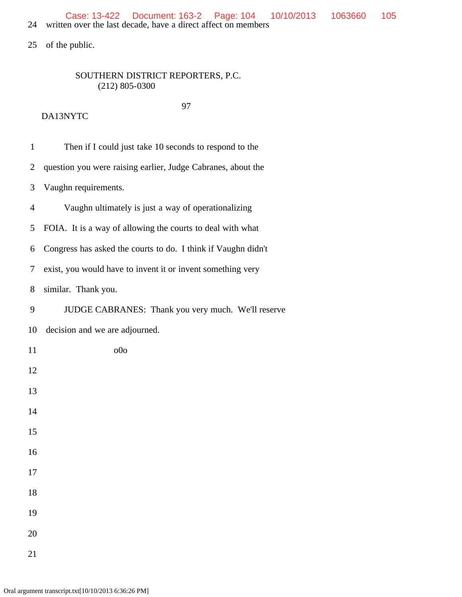25 of the public.

# SOUTHERN DISTRICT REPORTERS, P.C. (212) 805-0300

| $\mathbf{1}$   | Then if I could just take 10 seconds to respond to the        |
|----------------|---------------------------------------------------------------|
| $\overline{2}$ | question you were raising earlier, Judge Cabranes, about the  |
| 3              | Vaughn requirements.                                          |
| $\overline{4}$ | Vaughn ultimately is just a way of operationalizing           |
| 5              | FOIA. It is a way of allowing the courts to deal with what    |
| 6              | Congress has asked the courts to do. I think if Vaughn didn't |
| 7              | exist, you would have to invent it or invent something very   |
| 8              | similar. Thank you.                                           |
| 9              | JUDGE CABRANES: Thank you very much. We'll reserve            |
| 10             | decision and we are adjourned.                                |
| 11             | 00 <sub>o</sub>                                               |
| 12             |                                                               |
| 13             |                                                               |
| 14             |                                                               |
| 15             |                                                               |
| 16             |                                                               |
| 17             |                                                               |
| 18             |                                                               |
| 19             |                                                               |
| 20             |                                                               |
| 21             |                                                               |